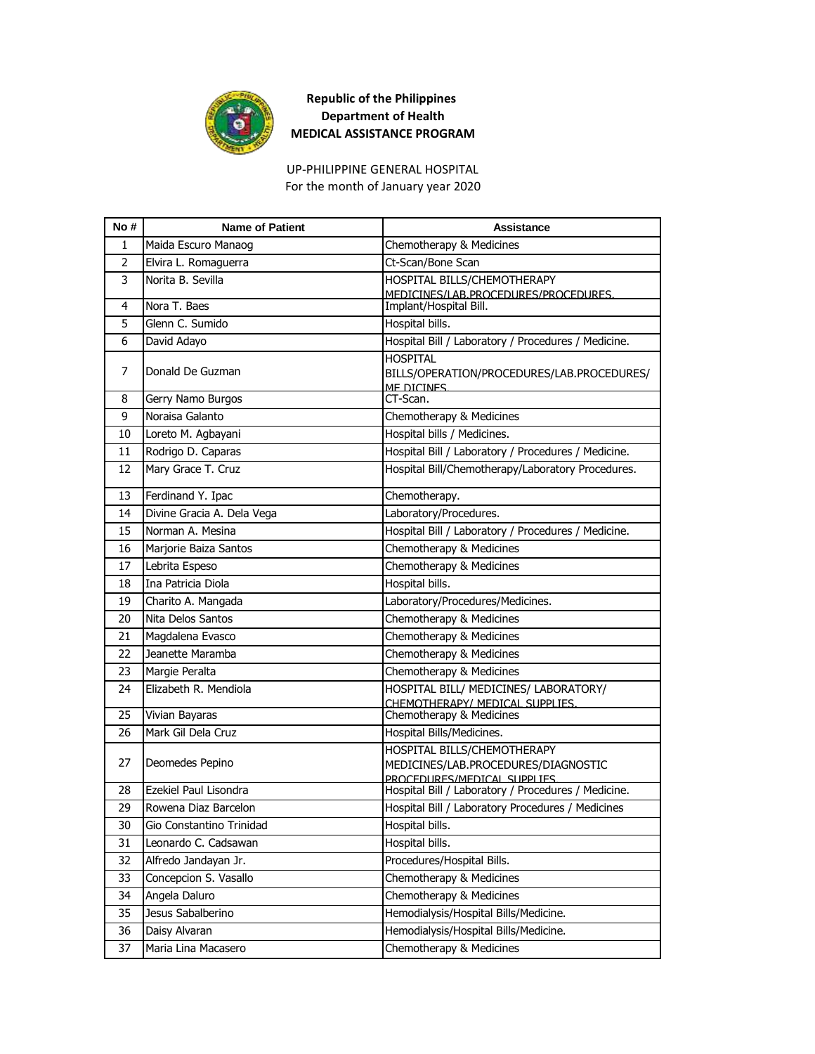

For the month of January year 2020 UP-PHILIPPINE GENERAL HOSPITAL

| No#            | <b>Name of Patient</b>     | <b>Assistance</b>                                                                                 |
|----------------|----------------------------|---------------------------------------------------------------------------------------------------|
| 1              | Maida Escuro Manaog        | Chemotherapy & Medicines                                                                          |
| $\overline{2}$ | Elvira L. Romaguerra       | Ct-Scan/Bone Scan                                                                                 |
| 3              | Norita B. Sevilla          | HOSPITAL BILLS/CHEMOTHERAPY<br>MEDICINES/LAB.PROCEDURES/PROCEDURES.                               |
| 4              | Nora T. Baes               | Implant/Hospital Bill.                                                                            |
| 5              | Glenn C. Sumido            | Hospital bills.                                                                                   |
| 6              | David Adayo                | Hospital Bill / Laboratory / Procedures / Medicine.                                               |
| 7              | Donald De Guzman           | <b>HOSPITAL</b><br>BILLS/OPERATION/PROCEDURES/LAB.PROCEDURES/<br><b>ME DICINES</b>                |
| 8              | Gerry Namo Burgos          | CT-Scan.                                                                                          |
| 9              | Noraisa Galanto            | Chemotherapy & Medicines                                                                          |
| 10             | Loreto M. Agbayani         | Hospital bills / Medicines.                                                                       |
| 11             | Rodrigo D. Caparas         | Hospital Bill / Laboratory / Procedures / Medicine.                                               |
| 12             | Mary Grace T. Cruz         | Hospital Bill/Chemotherapy/Laboratory Procedures.                                                 |
| 13             | Ferdinand Y. Ipac          | Chemotherapy.                                                                                     |
| 14             | Divine Gracia A. Dela Vega | Laboratory/Procedures.                                                                            |
| 15             | Norman A. Mesina           | Hospital Bill / Laboratory / Procedures / Medicine.                                               |
| 16             | Marjorie Baiza Santos      | Chemotherapy & Medicines                                                                          |
| 17             | Lebrita Espeso             | Chemotherapy & Medicines                                                                          |
| 18             | Ina Patricia Diola         | Hospital bills.                                                                                   |
| 19             | Charito A. Mangada         | Laboratory/Procedures/Medicines.                                                                  |
| 20             | Nita Delos Santos          | Chemotherapy & Medicines                                                                          |
| 21             | Magdalena Evasco           | Chemotherapy & Medicines                                                                          |
| 22             | Jeanette Maramba           | Chemotherapy & Medicines                                                                          |
| 23             | Margie Peralta             | Chemotherapy & Medicines                                                                          |
| 24             | Elizabeth R. Mendiola      | HOSPITAL BILL/ MEDICINES/ LABORATORY/<br>CHEMOTHERAPY/ MEDICAL SUPPLIES.                          |
| 25             | Vivian Bayaras             | Chemotherapy & Medicines                                                                          |
| 26             | Mark Gil Dela Cruz         | Hospital Bills/Medicines.                                                                         |
| 27             | Deomedes Pepino            | HOSPITAL BILLS/CHEMOTHERAPY<br>MEDICINES/LAB.PROCEDURES/DIAGNOSTIC<br>PROCEDURES/MEDICAL SUPPLIES |
| 28             | Ezekiel Paul Lisondra      | Hospital Bill / Laboratory / Procedures / Medicine.                                               |
| 29             | Rowena Diaz Barcelon       | Hospital Bill / Laboratory Procedures / Medicines                                                 |
| 30             | Gio Constantino Trinidad   | Hospital bills.                                                                                   |
| 31             | Leonardo C. Cadsawan       | Hospital bills.                                                                                   |
| 32             | Alfredo Jandayan Jr.       | Procedures/Hospital Bills.                                                                        |
| 33             | Concepcion S. Vasallo      | Chemotherapy & Medicines                                                                          |
| 34             | Angela Daluro              | Chemotherapy & Medicines                                                                          |
| 35             | Jesus Sabalberino          | Hemodialysis/Hospital Bills/Medicine.                                                             |
| 36             | Daisy Alvaran              | Hemodialysis/Hospital Bills/Medicine.                                                             |
| 37             | Maria Lina Macasero        | Chemotherapy & Medicines                                                                          |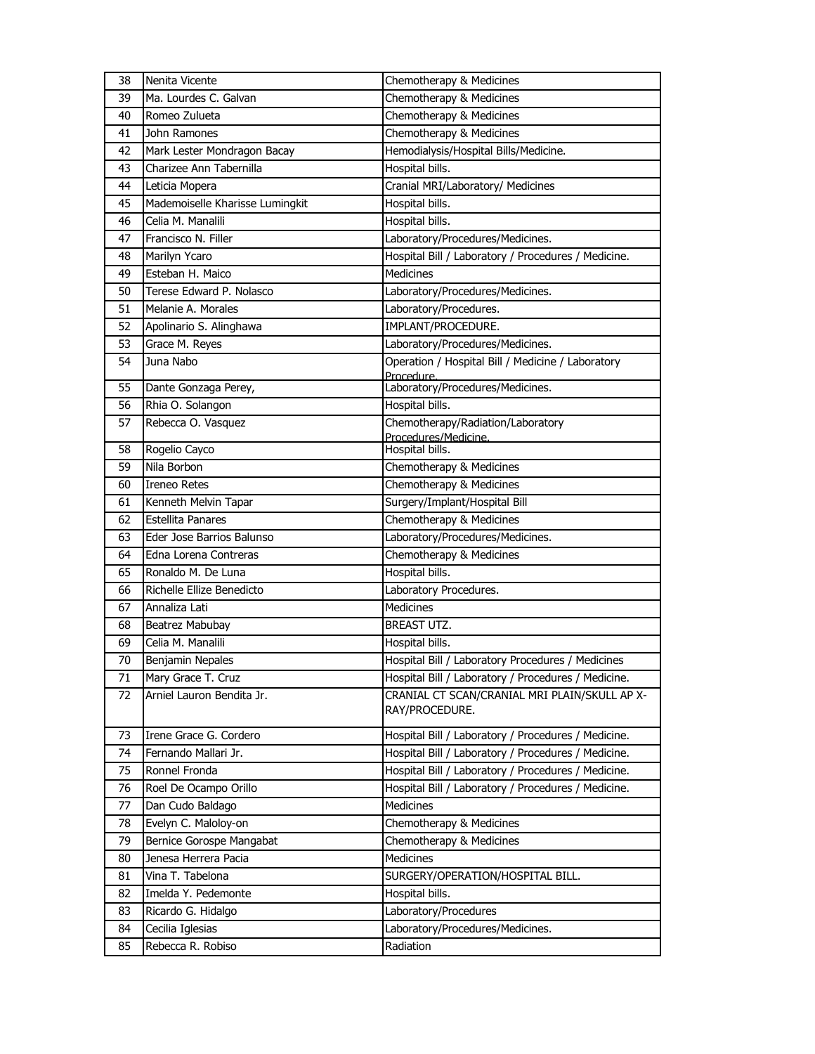| 38 | Nenita Vicente                  | Chemotherapy & Medicines                                        |
|----|---------------------------------|-----------------------------------------------------------------|
| 39 | Ma. Lourdes C. Galvan           | Chemotherapy & Medicines                                        |
| 40 | Romeo Zulueta                   | Chemotherapy & Medicines                                        |
| 41 | John Ramones                    | Chemotherapy & Medicines                                        |
| 42 | Mark Lester Mondragon Bacay     | Hemodialysis/Hospital Bills/Medicine.                           |
| 43 | Charizee Ann Tabernilla         | Hospital bills.                                                 |
| 44 | Leticia Mopera                  | Cranial MRI/Laboratory/ Medicines                               |
| 45 | Mademoiselle Kharisse Lumingkit | Hospital bills.                                                 |
| 46 | Celia M. Manalili               | Hospital bills.                                                 |
| 47 | Francisco N. Filler             | Laboratory/Procedures/Medicines.                                |
| 48 | Marilyn Ycaro                   | Hospital Bill / Laboratory / Procedures / Medicine.             |
| 49 | Esteban H. Maico                | Medicines                                                       |
| 50 | Terese Edward P. Nolasco        | Laboratory/Procedures/Medicines.                                |
| 51 | Melanie A. Morales              | Laboratory/Procedures.                                          |
| 52 | Apolinario S. Alinghawa         | IMPLANT/PROCEDURE.                                              |
| 53 | Grace M. Reyes                  | Laboratory/Procedures/Medicines.                                |
| 54 | Juna Nabo                       | Operation / Hospital Bill / Medicine / Laboratory               |
|    |                                 | Procedure.                                                      |
| 55 | Dante Gonzaga Perey,            | Laboratory/Procedures/Medicines.                                |
| 56 | Rhia O. Solangon                | Hospital bills.                                                 |
| 57 | Rebecca O. Vasquez              | Chemotherapy/Radiation/Laboratory<br>Procedures/Medicine.       |
| 58 | Rogelio Cayco                   | Hospital bills.                                                 |
| 59 | Nila Borbon                     | Chemotherapy & Medicines                                        |
| 60 | <b>Ireneo Retes</b>             | Chemotherapy & Medicines                                        |
| 61 | Kenneth Melvin Tapar            | Surgery/Implant/Hospital Bill                                   |
| 62 | <b>Estellita Panares</b>        | Chemotherapy & Medicines                                        |
| 63 | Eder Jose Barrios Balunso       | Laboratory/Procedures/Medicines.                                |
| 64 | Edna Lorena Contreras           | Chemotherapy & Medicines                                        |
| 65 | Ronaldo M. De Luna              | Hospital bills.                                                 |
| 66 | Richelle Ellize Benedicto       | Laboratory Procedures.                                          |
| 67 | Annaliza Lati                   | Medicines                                                       |
| 68 | Beatrez Mabubay                 | BREAST UTZ.                                                     |
| 69 | Celia M. Manalili               | Hospital bills.                                                 |
| 70 | Benjamin Nepales                | Hospital Bill / Laboratory Procedures / Medicines               |
| 71 | Mary Grace T. Cruz              | Hospital Bill / Laboratory / Procedures / Medicine.             |
| 72 | Arniel Lauron Bendita Jr.       | CRANIAL CT SCAN/CRANIAL MRI PLAIN/SKULL AP X-<br>RAY/PROCEDURE. |
| 73 | Irene Grace G. Cordero          | Hospital Bill / Laboratory / Procedures / Medicine.             |
| 74 | Fernando Mallari Jr.            | Hospital Bill / Laboratory / Procedures / Medicine.             |
| 75 | Ronnel Fronda                   | Hospital Bill / Laboratory / Procedures / Medicine.             |
| 76 | Roel De Ocampo Orillo           | Hospital Bill / Laboratory / Procedures / Medicine.             |
| 77 | Dan Cudo Baldago                | <b>Medicines</b>                                                |
| 78 | Evelyn C. Maloloy-on            | Chemotherapy & Medicines                                        |
| 79 | Bernice Gorospe Mangabat        | Chemotherapy & Medicines                                        |
| 80 | Jenesa Herrera Pacia            | Medicines                                                       |
| 81 | Vina T. Tabelona                | SURGERY/OPERATION/HOSPITAL BILL.                                |
| 82 | Imelda Y. Pedemonte             | Hospital bills.                                                 |
| 83 | Ricardo G. Hidalgo              | Laboratory/Procedures                                           |
| 84 | Cecilia Iglesias                | Laboratory/Procedures/Medicines.                                |
| 85 | Rebecca R. Robiso               | Radiation                                                       |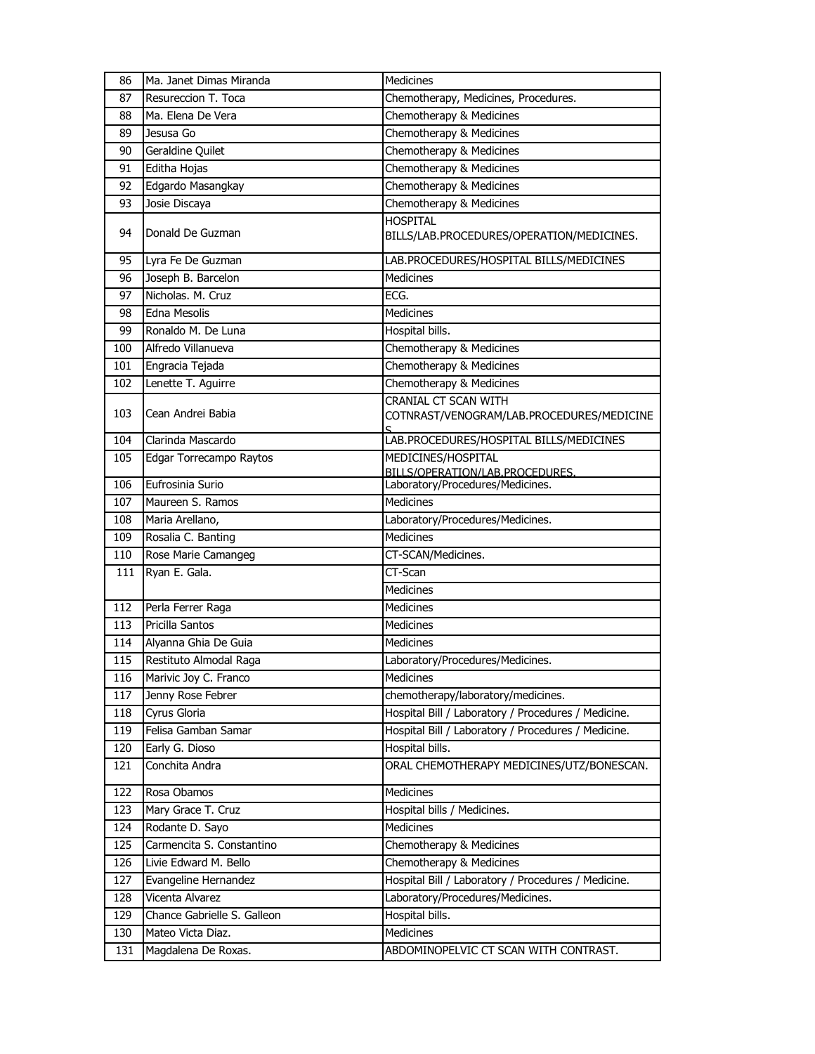| 86  | Ma. Janet Dimas Miranda     | <b>Medicines</b>                                                  |
|-----|-----------------------------|-------------------------------------------------------------------|
| 87  | Resureccion T. Toca         | Chemotherapy, Medicines, Procedures.                              |
| 88  | Ma. Elena De Vera           | Chemotherapy & Medicines                                          |
| 89  | Jesusa Go                   | Chemotherapy & Medicines                                          |
| 90  | Geraldine Quilet            | Chemotherapy & Medicines                                          |
| 91  | Editha Hojas                | Chemotherapy & Medicines                                          |
| 92  | Edgardo Masangkay           | Chemotherapy & Medicines                                          |
| 93  | Josie Discaya               | Chemotherapy & Medicines                                          |
| 94  | Donald De Guzman            | <b>HOSPITAL</b><br>BILLS/LAB.PROCEDURES/OPERATION/MEDICINES.      |
| 95  | Lyra Fe De Guzman           | LAB.PROCEDURES/HOSPITAL BILLS/MEDICINES                           |
| 96  | Joseph B. Barcelon          | <b>Medicines</b>                                                  |
| 97  | Nicholas. M. Cruz           | ECG.                                                              |
| 98  | <b>Edna Mesolis</b>         | <b>Medicines</b>                                                  |
| 99  | Ronaldo M. De Luna          | Hospital bills.                                                   |
| 100 | Alfredo Villanueva          | Chemotherapy & Medicines                                          |
| 101 | Engracia Tejada             | Chemotherapy & Medicines                                          |
| 102 | Lenette T. Aguirre          | Chemotherapy & Medicines                                          |
| 103 | Cean Andrei Babia           | CRANIAL CT SCAN WITH<br>COTNRAST/VENOGRAM/LAB.PROCEDURES/MEDICINE |
| 104 | Clarinda Mascardo           | LAB.PROCEDURES/HOSPITAL BILLS/MEDICINES                           |
| 105 | Edgar Torrecampo Raytos     | MEDICINES/HOSPITAL<br>BILLS/OPERATION/LAB.PROCEDURES.             |
| 106 | Eufrosinia Surio            | Laboratory/Procedures/Medicines.                                  |
| 107 | Maureen S. Ramos            | <b>Medicines</b>                                                  |
| 108 | Maria Arellano,             | Laboratory/Procedures/Medicines.                                  |
| 109 | Rosalia C. Banting          | <b>Medicines</b>                                                  |
| 110 | Rose Marie Camangeg         | CT-SCAN/Medicines.                                                |
| 111 | Ryan E. Gala.               | CT-Scan                                                           |
|     |                             | <b>Medicines</b>                                                  |
| 112 | Perla Ferrer Raga           | <b>Medicines</b>                                                  |
| 113 | Pricilla Santos             | <b>Medicines</b>                                                  |
| 114 | Alyanna Ghia De Guia        | <b>Medicines</b>                                                  |
| 115 | Restituto Almodal Raga      | Laboratory/Procedures/Medicines.                                  |
| 116 | Marivic Joy C. Franco       | Medicines                                                         |
| 117 | Jenny Rose Febrer           | chemotherapy/laboratory/medicines.                                |
| 118 | Cyrus Gloria                | Hospital Bill / Laboratory / Procedures / Medicine.               |
| 119 | Felisa Gamban Samar         | Hospital Bill / Laboratory / Procedures / Medicine.               |
| 120 | Early G. Dioso              | Hospital bills.                                                   |
| 121 | Conchita Andra              | ORAL CHEMOTHERAPY MEDICINES/UTZ/BONESCAN.                         |
| 122 | Rosa Obamos                 | Medicines                                                         |
| 123 | Mary Grace T. Cruz          | Hospital bills / Medicines.                                       |
| 124 | Rodante D. Sayo             | <b>Medicines</b>                                                  |
| 125 | Carmencita S. Constantino   | Chemotherapy & Medicines                                          |
| 126 | Livie Edward M. Bello       | Chemotherapy & Medicines                                          |
| 127 | Evangeline Hernandez        | Hospital Bill / Laboratory / Procedures / Medicine.               |
| 128 | Vicenta Alvarez             | Laboratory/Procedures/Medicines.                                  |
| 129 | Chance Gabrielle S. Galleon | Hospital bills.                                                   |
| 130 | Mateo Victa Diaz.           | Medicines                                                         |
| 131 | Magdalena De Roxas.         | ABDOMINOPELVIC CT SCAN WITH CONTRAST.                             |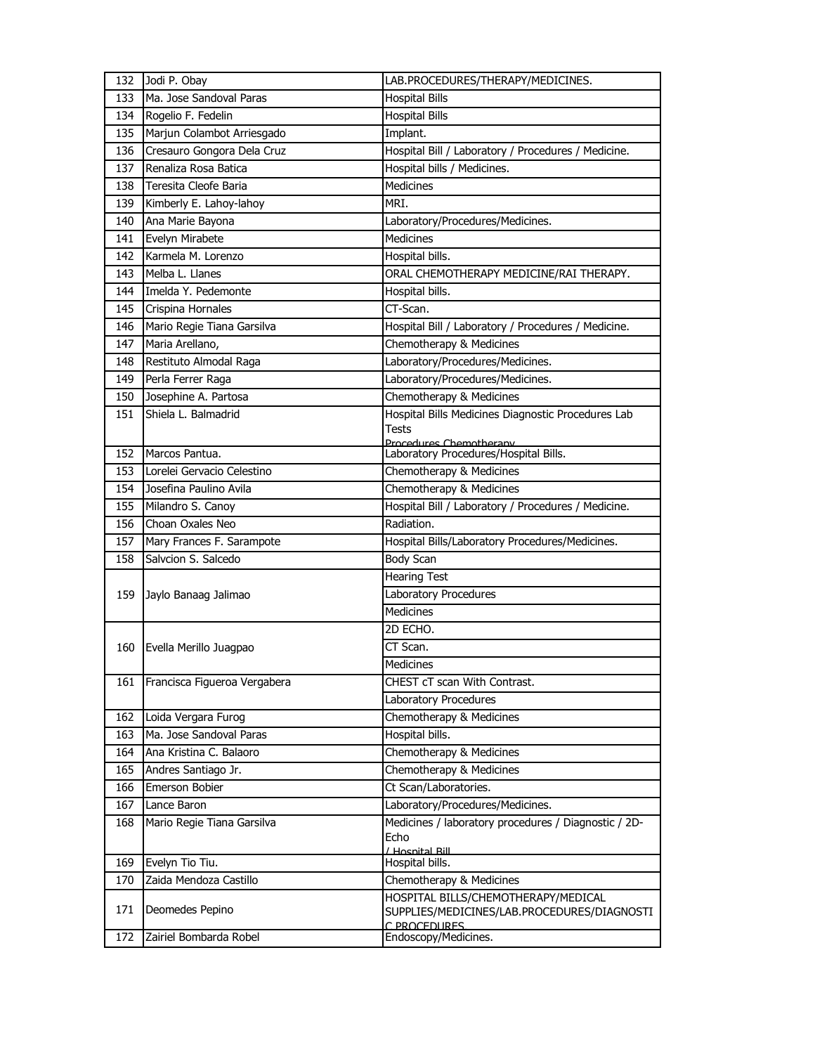| 132        | Jodi P. Obay                          | LAB.PROCEDURES/THERAPY/MEDICINES.                                                                  |
|------------|---------------------------------------|----------------------------------------------------------------------------------------------------|
| 133        | Ma. Jose Sandoval Paras               | <b>Hospital Bills</b>                                                                              |
| 134        | Rogelio F. Fedelin                    | <b>Hospital Bills</b>                                                                              |
| 135        | Marjun Colambot Arriesgado            | Implant.                                                                                           |
| 136        | Cresauro Gongora Dela Cruz            | Hospital Bill / Laboratory / Procedures / Medicine.                                                |
| 137        | Renaliza Rosa Batica                  | Hospital bills / Medicines.                                                                        |
| 138        | Teresita Cleofe Baria                 | <b>Medicines</b>                                                                                   |
| 139        | Kimberly E. Lahoy-lahoy               | MRI.                                                                                               |
| 140        | Ana Marie Bayona                      | Laboratory/Procedures/Medicines.                                                                   |
| 141        | Evelyn Mirabete                       | <b>Medicines</b>                                                                                   |
| 142        | Karmela M. Lorenzo                    | Hospital bills.                                                                                    |
| 143        | Melba L. Llanes                       | ORAL CHEMOTHERAPY MEDICINE/RAI THERAPY.                                                            |
| 144        | Imelda Y. Pedemonte                   | Hospital bills.                                                                                    |
| 145        | Crispina Hornales                     | CT-Scan.                                                                                           |
| 146        | Mario Regie Tiana Garsilva            | Hospital Bill / Laboratory / Procedures / Medicine.                                                |
| 147        | Maria Arellano,                       | Chemotherapy & Medicines                                                                           |
| 148        | Restituto Almodal Raga                | Laboratory/Procedures/Medicines.                                                                   |
| 149        | Perla Ferrer Raga                     | Laboratory/Procedures/Medicines.                                                                   |
| 150        | Josephine A. Partosa                  | Chemotherapy & Medicines                                                                           |
| 151        | Shiela L. Balmadrid                   | Hospital Bills Medicines Diagnostic Procedures Lab<br><b>Tests</b>                                 |
|            |                                       | Procedures Chemotherany                                                                            |
| 152        | Marcos Pantua.                        | Laboratory Procedures/Hospital Bills.                                                              |
| 153        | Lorelei Gervacio Celestino            | Chemotherapy & Medicines                                                                           |
| 154        | Josefina Paulino Avila                | Chemotherapy & Medicines                                                                           |
| 155        | Milandro S. Canoy<br>Choan Oxales Neo | Hospital Bill / Laboratory / Procedures / Medicine.<br>Radiation.                                  |
| 156<br>157 | Mary Frances F. Sarampote             |                                                                                                    |
|            |                                       | Hospital Bills/Laboratory Procedures/Medicines.                                                    |
| 158        | Salvcion S. Salcedo                   | Body Scan                                                                                          |
|            |                                       | <b>Hearing Test</b><br>Laboratory Procedures                                                       |
| 159        | Jaylo Banaag Jalimao                  | Medicines                                                                                          |
|            |                                       | 2D ECHO.                                                                                           |
| 160        | Evella Merillo Juagpao                | CT Scan.                                                                                           |
|            |                                       | Medicines                                                                                          |
| 161        | Francisca Figueroa Vergabera          | CHEST cT scan With Contrast.                                                                       |
|            |                                       | Laboratory Procedures                                                                              |
| 162        | Loida Vergara Furog                   | Chemotherapy & Medicines                                                                           |
| 163        | Ma. Jose Sandoval Paras               | Hospital bills.                                                                                    |
| 164        | Ana Kristina C. Balaoro               | Chemotherapy & Medicines                                                                           |
| 165        | Andres Santiago Jr.                   | Chemotherapy & Medicines                                                                           |
| 166        | Emerson Bobier                        | Ct Scan/Laboratories.                                                                              |
| 167        | Lance Baron                           | Laboratory/Procedures/Medicines.                                                                   |
| 168        | Mario Regie Tiana Garsilva            | Medicines / laboratory procedures / Diagnostic / 2D-                                               |
|            |                                       | Echo<br>/ Hosnital Rill                                                                            |
| 169        | Evelyn Tio Tiu.                       | Hospital bills.                                                                                    |
| 170        | Zaida Mendoza Castillo                | Chemotherapy & Medicines                                                                           |
| 171        | Deomedes Pepino                       | HOSPITAL BILLS/CHEMOTHERAPY/MEDICAL<br>SUPPLIES/MEDICINES/LAB.PROCEDURES/DIAGNOSTI<br>C PROCEDURES |
| 172        | Zairiel Bombarda Robel                | Endoscopy/Medicines.                                                                               |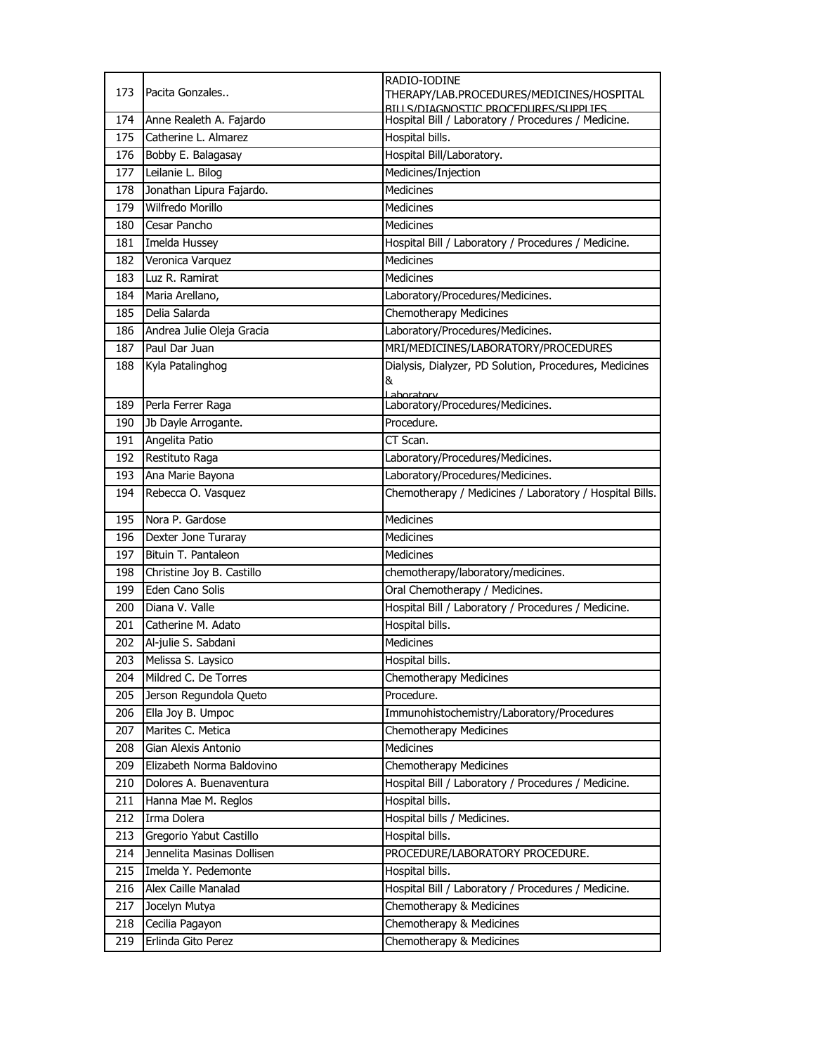|            |                                       | RADIO-IODINE                                                                                |
|------------|---------------------------------------|---------------------------------------------------------------------------------------------|
| 173        | Pacita Gonzales                       | THERAPY/LAB.PROCEDURES/MEDICINES/HOSPITAL                                                   |
| 174        | Anne Realeth A. Fajardo               | RILLS/DIAGNOSTIC PROCEDURES/SUPPLIES<br>Hospital Bill / Laboratory / Procedures / Medicine. |
| 175        | Catherine L. Almarez                  | Hospital bills.                                                                             |
| 176        | Bobby E. Balagasay                    | Hospital Bill/Laboratory.                                                                   |
| 177        | Leilanie L. Bilog                     | Medicines/Injection                                                                         |
| 178        | Jonathan Lipura Fajardo.              | Medicines                                                                                   |
| 179        | Wilfredo Morillo                      | <b>Medicines</b>                                                                            |
| 180        | Cesar Pancho                          | <b>Medicines</b>                                                                            |
| 181        | Imelda Hussey                         | Hospital Bill / Laboratory / Procedures / Medicine.                                         |
| 182        | Veronica Varquez                      | Medicines                                                                                   |
| 183        | Luz R. Ramirat                        | <b>Medicines</b>                                                                            |
| 184        | Maria Arellano,                       | Laboratory/Procedures/Medicines.                                                            |
| 185        | Delia Salarda                         | <b>Chemotherapy Medicines</b>                                                               |
| 186        | Andrea Julie Oleja Gracia             | Laboratory/Procedures/Medicines.                                                            |
| 187        | Paul Dar Juan                         | MRI/MEDICINES/LABORATORY/PROCEDURES                                                         |
| 188        | Kyla Patalinghog                      | Dialysis, Dialyzer, PD Solution, Procedures, Medicines                                      |
|            |                                       | &                                                                                           |
| 189        | Perla Ferrer Raga                     | Laboratory<br>Laboratory/Procedures/Medicines.                                              |
| 190        | Jb Dayle Arrogante.                   | Procedure.                                                                                  |
| 191        | Angelita Patio                        | CT Scan.                                                                                    |
| 192        | Restituto Raga                        | Laboratory/Procedures/Medicines.                                                            |
| 193        | Ana Marie Bayona                      | Laboratory/Procedures/Medicines.                                                            |
| 194        | Rebecca O. Vasquez                    | Chemotherapy / Medicines / Laboratory / Hospital Bills.                                     |
|            |                                       |                                                                                             |
|            |                                       |                                                                                             |
| 195        | Nora P. Gardose                       | <b>Medicines</b>                                                                            |
| 196        | Dexter Jone Turaray                   | <b>Medicines</b>                                                                            |
| 197        | Bituin T. Pantaleon                   | Medicines                                                                                   |
| 198        | Christine Joy B. Castillo             | chemotherapy/laboratory/medicines.                                                          |
| 199        | Eden Cano Solis                       | Oral Chemotherapy / Medicines.                                                              |
| 200        | Diana V. Valle                        | Hospital Bill / Laboratory / Procedures / Medicine.                                         |
| 201        | Catherine M. Adato                    | Hospital bills.                                                                             |
| 202        | Al-julie S. Sabdani                   | Medicines                                                                                   |
| 203        | Melissa S. Laysico                    | Hospital bills.                                                                             |
| 204        | Mildred C. De Torres                  | Chemotherapy Medicines                                                                      |
| 205        | Jerson Regundola Queto                | Procedure.                                                                                  |
| 206        | Ella Joy B. Umpoc                     | Immunohistochemistry/Laboratory/Procedures                                                  |
| 207        | Marites C. Metica                     | Chemotherapy Medicines                                                                      |
| 208        | Gian Alexis Antonio                   | Medicines                                                                                   |
| 209        | Elizabeth Norma Baldovino             | Chemotherapy Medicines                                                                      |
| 210        | Dolores A. Buenaventura               | Hospital Bill / Laboratory / Procedures / Medicine.                                         |
| 211        | Hanna Mae M. Reglos                   | Hospital bills.                                                                             |
| 212        | Irma Dolera                           | Hospital bills / Medicines.                                                                 |
| 213        | Gregorio Yabut Castillo               | Hospital bills.                                                                             |
| 214        | Jennelita Masinas Dollisen            | PROCEDURE/LABORATORY PROCEDURE.                                                             |
| 215        | Imelda Y. Pedemonte                   | Hospital bills.                                                                             |
| 216        | Alex Caille Manalad                   | Hospital Bill / Laboratory / Procedures / Medicine.                                         |
| 217        | Jocelyn Mutya                         | Chemotherapy & Medicines                                                                    |
| 218<br>219 | Cecilia Pagayon<br>Erlinda Gito Perez | Chemotherapy & Medicines<br>Chemotherapy & Medicines                                        |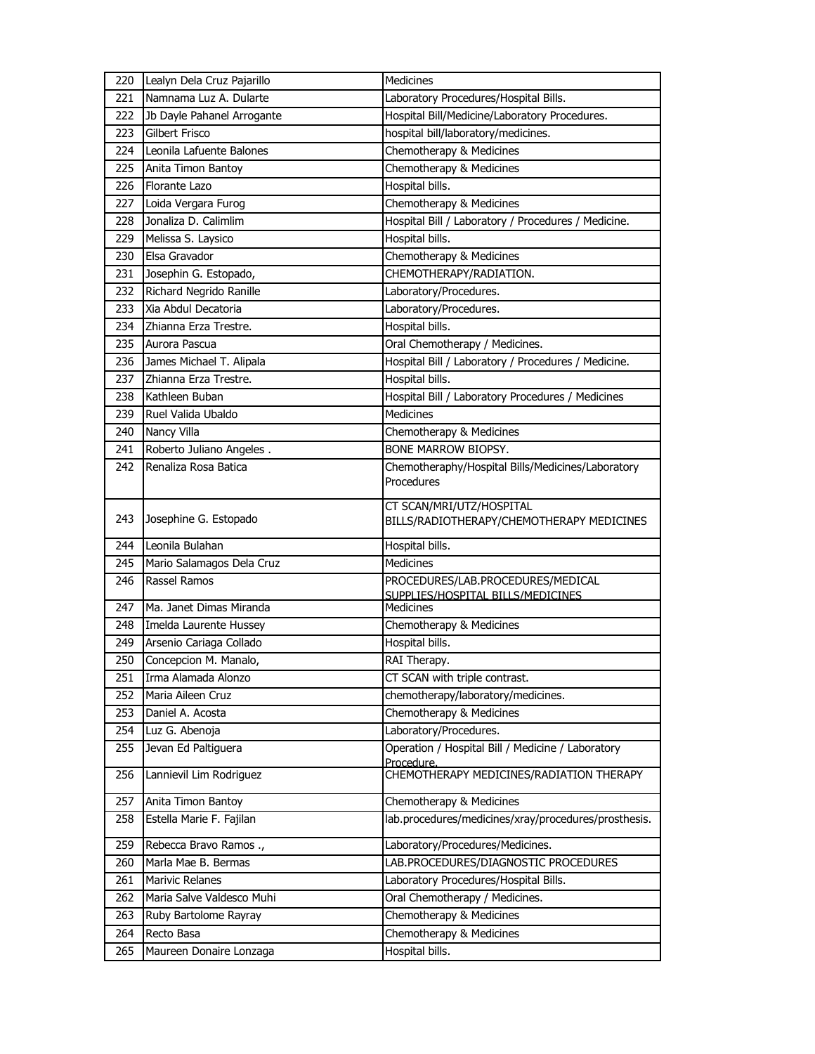| 220 | Lealyn Dela Cruz Pajarillo | <b>Medicines</b>                                                       |
|-----|----------------------------|------------------------------------------------------------------------|
| 221 | Namnama Luz A. Dularte     | Laboratory Procedures/Hospital Bills.                                  |
| 222 | Jb Dayle Pahanel Arrogante | Hospital Bill/Medicine/Laboratory Procedures.                          |
| 223 | Gilbert Frisco             | hospital bill/laboratory/medicines.                                    |
| 224 | Leonila Lafuente Balones   | Chemotherapy & Medicines                                               |
| 225 | Anita Timon Bantoy         | Chemotherapy & Medicines                                               |
| 226 | Florante Lazo              | Hospital bills.                                                        |
| 227 | Loida Vergara Furog        | Chemotherapy & Medicines                                               |
| 228 | Jonaliza D. Calimlim       | Hospital Bill / Laboratory / Procedures / Medicine.                    |
| 229 | Melissa S. Laysico         | Hospital bills.                                                        |
| 230 | Elsa Gravador              | Chemotherapy & Medicines                                               |
| 231 | Josephin G. Estopado,      | CHEMOTHERAPY/RADIATION.                                                |
| 232 | Richard Negrido Ranille    | Laboratory/Procedures.                                                 |
| 233 | Xia Abdul Decatoria        | Laboratory/Procedures.                                                 |
| 234 | Zhianna Erza Trestre.      | Hospital bills.                                                        |
| 235 | Aurora Pascua              | Oral Chemotherapy / Medicines.                                         |
| 236 | James Michael T. Alipala   | Hospital Bill / Laboratory / Procedures / Medicine.                    |
| 237 | Zhianna Erza Trestre.      | Hospital bills.                                                        |
| 238 | Kathleen Buban             | Hospital Bill / Laboratory Procedures / Medicines                      |
| 239 | Ruel Valida Ubaldo         | <b>Medicines</b>                                                       |
| 240 | Nancy Villa                | Chemotherapy & Medicines                                               |
| 241 | Roberto Juliano Angeles.   | BONE MARROW BIOPSY.                                                    |
| 242 | Renaliza Rosa Batica       | Chemotheraphy/Hospital Bills/Medicines/Laboratory                      |
|     |                            | Procedures                                                             |
|     |                            | CT SCAN/MRI/UTZ/HOSPITAL                                               |
| 243 | Josephine G. Estopado      | BILLS/RADIOTHERAPY/CHEMOTHERAPY MEDICINES                              |
|     |                            |                                                                        |
| 244 | Leonila Bulahan            | Hospital bills.                                                        |
| 245 | Mario Salamagos Dela Cruz  | <b>Medicines</b>                                                       |
| 246 | Rassel Ramos               | PROCEDURES/LAB.PROCEDURES/MEDICAL<br>SUPPLIES/HOSPITAL BILLS/MEDICINES |
| 247 | Ma. Janet Dimas Miranda    | <b>Medicines</b>                                                       |
| 248 | Imelda Laurente Hussey     | Chemotherapy & Medicines                                               |
| 249 | Arsenio Cariaga Collado    | Hospital bills.                                                        |
| 250 | Concepcion M. Manalo,      | RAI Therapy.                                                           |
| 251 | Irma Alamada Alonzo        | CT SCAN with triple contrast.                                          |
| 252 | Maria Aileen Cruz          | chemotherapy/laboratory/medicines.                                     |
| 253 | Daniel A. Acosta           | Chemotherapy & Medicines                                               |
| 254 | Luz G. Abenoja             | Laboratory/Procedures.                                                 |
| 255 | Jevan Ed Paltiguera        | Operation / Hospital Bill / Medicine / Laboratory                      |
|     |                            | Procedure.                                                             |
| 256 | Lannievil Lim Rodriguez    | CHEMOTHERAPY MEDICINES/RADIATION THERAPY                               |
| 257 | Anita Timon Bantoy         | Chemotherapy & Medicines                                               |
| 258 | Estella Marie F. Fajilan   | lab.procedures/medicines/xray/procedures/prosthesis.                   |
|     |                            |                                                                        |
| 259 | Rebecca Bravo Ramos .,     | Laboratory/Procedures/Medicines.                                       |
| 260 | Marla Mae B. Bermas        | LAB.PROCEDURES/DIAGNOSTIC PROCEDURES                                   |
| 261 | Marivic Relanes            | Laboratory Procedures/Hospital Bills.                                  |
| 262 | Maria Salve Valdesco Muhi  | Oral Chemotherapy / Medicines.                                         |
| 263 | Ruby Bartolome Rayray      | Chemotherapy & Medicines                                               |
| 264 | Recto Basa                 | Chemotherapy & Medicines                                               |
| 265 | Maureen Donaire Lonzaga    | Hospital bills.                                                        |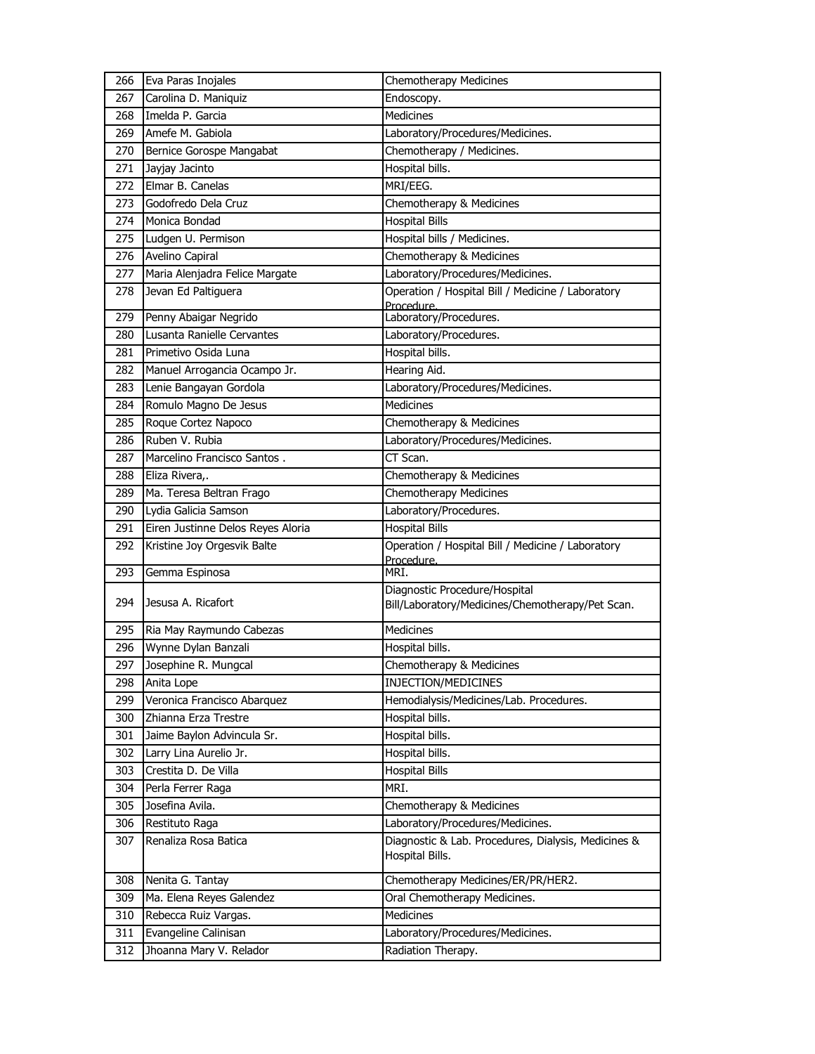| 266 | Eva Paras Inojales                | <b>Chemotherapy Medicines</b>                                   |
|-----|-----------------------------------|-----------------------------------------------------------------|
| 267 | Carolina D. Maniquiz              | Endoscopy.                                                      |
| 268 | Imelda P. Garcia                  | <b>Medicines</b>                                                |
| 269 | Amefe M. Gabiola                  | Laboratory/Procedures/Medicines.                                |
| 270 | Bernice Gorospe Mangabat          | Chemotherapy / Medicines.                                       |
| 271 | Jayjay Jacinto                    | Hospital bills.                                                 |
| 272 | Elmar B. Canelas                  | MRI/EEG.                                                        |
| 273 | Godofredo Dela Cruz               | Chemotherapy & Medicines                                        |
| 274 | Monica Bondad                     | <b>Hospital Bills</b>                                           |
| 275 | Ludgen U. Permison                | Hospital bills / Medicines.                                     |
| 276 | Avelino Capiral                   | Chemotherapy & Medicines                                        |
| 277 | Maria Alenjadra Felice Margate    | Laboratory/Procedures/Medicines.                                |
| 278 | Jevan Ed Paltiguera               | Operation / Hospital Bill / Medicine / Laboratory               |
|     |                                   | Procedure.                                                      |
| 279 | Penny Abaigar Negrido             | Laboratory/Procedures.                                          |
| 280 | Lusanta Ranielle Cervantes        | Laboratory/Procedures.                                          |
| 281 | Primetivo Osida Luna              | Hospital bills.                                                 |
| 282 | Manuel Arrogancia Ocampo Jr.      | Hearing Aid.                                                    |
| 283 | Lenie Bangayan Gordola            | Laboratory/Procedures/Medicines.                                |
| 284 | Romulo Magno De Jesus             | <b>Medicines</b>                                                |
| 285 | Roque Cortez Napoco               | Chemotherapy & Medicines                                        |
| 286 | Ruben V. Rubia                    | Laboratory/Procedures/Medicines.                                |
| 287 | Marcelino Francisco Santos.       | CT Scan.                                                        |
| 288 | Eliza Rivera,.                    | Chemotherapy & Medicines                                        |
| 289 | Ma. Teresa Beltran Frago          | Chemotherapy Medicines                                          |
| 290 | Lydia Galicia Samson              | Laboratory/Procedures.                                          |
| 291 | Eiren Justinne Delos Reyes Aloria | <b>Hospital Bills</b>                                           |
| 292 | Kristine Joy Orgesvik Balte       | Operation / Hospital Bill / Medicine / Laboratory<br>Procedure. |
| 293 | Gemma Espinosa                    | MRI.                                                            |
|     |                                   | Diagnostic Procedure/Hospital                                   |
| 294 | Jesusa A. Ricafort                | Bill/Laboratory/Medicines/Chemotherapy/Pet Scan.                |
| 295 | Ria May Raymundo Cabezas          | <b>Medicines</b>                                                |
| 296 | Wynne Dylan Banzali               | Hospital bills.                                                 |
| 297 | Josephine R. Mungcal              | Chemotherapy & Medicines                                        |
| 298 | Anita Lope                        | INJECTION/MEDICINES                                             |
| 299 | Veronica Francisco Abarquez       | Hemodialysis/Medicines/Lab. Procedures.                         |
| 300 | Zhianna Erza Trestre              | Hospital bills.                                                 |
| 301 | Jaime Baylon Advincula Sr.        | Hospital bills.                                                 |
| 302 | Larry Lina Aurelio Jr.            | Hospital bills.                                                 |
| 303 | Crestita D. De Villa              | <b>Hospital Bills</b>                                           |
| 304 | Perla Ferrer Raga                 | MRI.                                                            |
| 305 | Josefina Avila.                   | Chemotherapy & Medicines                                        |
| 306 | Restituto Raga                    | Laboratory/Procedures/Medicines.                                |
| 307 | Renaliza Rosa Batica              | Diagnostic & Lab. Procedures, Dialysis, Medicines &             |
|     |                                   | Hospital Bills.                                                 |
| 308 | Nenita G. Tantay                  | Chemotherapy Medicines/ER/PR/HER2.                              |
| 309 | Ma. Elena Reyes Galendez          | Oral Chemotherapy Medicines.                                    |
| 310 | Rebecca Ruiz Vargas.              | Medicines                                                       |
| 311 | Evangeline Calinisan              | Laboratory/Procedures/Medicines.                                |
| 312 | Jhoanna Mary V. Relador           | Radiation Therapy.                                              |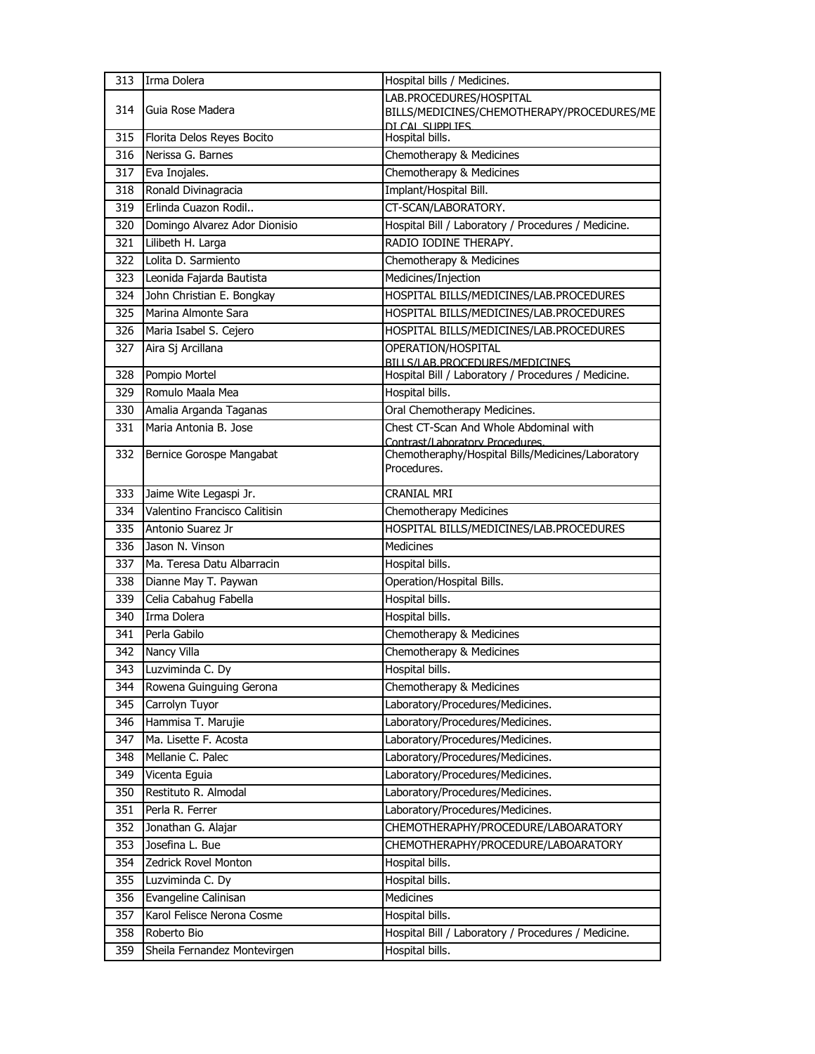| 313 | Irma Dolera                   | Hospital bills / Medicines.                                                          |
|-----|-------------------------------|--------------------------------------------------------------------------------------|
|     |                               | LAB.PROCEDURES/HOSPITAL                                                              |
| 314 | Guia Rose Madera              | BILLS/MEDICINES/CHEMOTHERAPY/PROCEDURES/ME                                           |
| 315 | Florita Delos Reyes Bocito    | <u>DI CAL SUPPLIFS</u><br>Hospital bills.                                            |
| 316 | Nerissa G. Barnes             | Chemotherapy & Medicines                                                             |
| 317 | Eva Inojales.                 | Chemotherapy & Medicines                                                             |
| 318 | Ronald Divinagracia           | Implant/Hospital Bill.                                                               |
| 319 | Erlinda Cuazon Rodil          | CT-SCAN/LABORATORY.                                                                  |
| 320 | Domingo Alvarez Ador Dionisio | Hospital Bill / Laboratory / Procedures / Medicine.                                  |
| 321 | Lilibeth H. Larga             | RADIO IODINE THERAPY.                                                                |
| 322 | Lolita D. Sarmiento           | Chemotherapy & Medicines                                                             |
| 323 | Leonida Fajarda Bautista      | Medicines/Injection                                                                  |
| 324 | John Christian E. Bongkay     | HOSPITAL BILLS/MEDICINES/LAB.PROCEDURES                                              |
| 325 | Marina Almonte Sara           | HOSPITAL BILLS/MEDICINES/LAB.PROCEDURES                                              |
| 326 | Maria Isabel S. Cejero        | HOSPITAL BILLS/MEDICINES/LAB.PROCEDURES                                              |
| 327 | Aira Sj Arcillana             | OPERATION/HOSPITAL                                                                   |
|     |                               | BILLS/LAB.PROCEDURES/MEDICINES                                                       |
| 328 | Pompio Mortel                 | Hospital Bill / Laboratory / Procedures / Medicine.                                  |
| 329 | Romulo Maala Mea              | Hospital bills.                                                                      |
| 330 | Amalia Arganda Taganas        | Oral Chemotherapy Medicines.                                                         |
| 331 | Maria Antonia B. Jose         | Chest CT-Scan And Whole Abdominal with                                               |
| 332 | Bernice Gorospe Mangabat      | Contrast/Laboratory Procedures.<br>Chemotheraphy/Hospital Bills/Medicines/Laboratory |
|     |                               | Procedures.                                                                          |
|     |                               |                                                                                      |
| 333 | Jaime Wite Legaspi Jr.        | CRANIAL MRI                                                                          |
| 334 | Valentino Francisco Calitisin | Chemotherapy Medicines                                                               |
| 335 | Antonio Suarez Jr             | HOSPITAL BILLS/MEDICINES/LAB.PROCEDURES                                              |
| 336 | Jason N. Vinson               | <b>Medicines</b>                                                                     |
| 337 | Ma. Teresa Datu Albarracin    | Hospital bills.                                                                      |
| 338 | Dianne May T. Paywan          | Operation/Hospital Bills.                                                            |
| 339 | Celia Cabahug Fabella         | Hospital bills.                                                                      |
| 340 | Irma Dolera                   | Hospital bills.                                                                      |
| 341 | Perla Gabilo                  | Chemotherapy & Medicines                                                             |
| 342 | Nancy Villa                   | Chemotherapy & Medicines                                                             |
| 343 | Luzviminda C. Dy              | Hospital bills.                                                                      |
| 344 | Rowena Guinguing Gerona       | Chemotherapy & Medicines                                                             |
| 345 | Carrolyn Tuyor                | Laboratory/Procedures/Medicines.                                                     |
| 346 | Hammisa T. Marujie            | Laboratory/Procedures/Medicines.                                                     |
| 347 | Ma. Lisette F. Acosta         | Laboratory/Procedures/Medicines.                                                     |
| 348 | Mellanie C. Palec             | Laboratory/Procedures/Medicines.                                                     |
| 349 | Vicenta Eguia                 | Laboratory/Procedures/Medicines.                                                     |
| 350 | Restituto R. Almodal          | Laboratory/Procedures/Medicines.                                                     |
| 351 | Perla R. Ferrer               | Laboratory/Procedures/Medicines.                                                     |
| 352 | Jonathan G. Alajar            | CHEMOTHERAPHY/PROCEDURE/LABOARATORY                                                  |
| 353 | Josefina L. Bue               | CHEMOTHERAPHY/PROCEDURE/LABOARATORY                                                  |
| 354 | Zedrick Rovel Monton          | Hospital bills.                                                                      |
| 355 | Luzviminda C. Dy              | Hospital bills.                                                                      |
| 356 | Evangeline Calinisan          | Medicines                                                                            |
| 357 | Karol Felisce Nerona Cosme    | Hospital bills.                                                                      |
| 358 | Roberto Bio                   | Hospital Bill / Laboratory / Procedures / Medicine.                                  |
| 359 | Sheila Fernandez Montevirgen  | Hospital bills.                                                                      |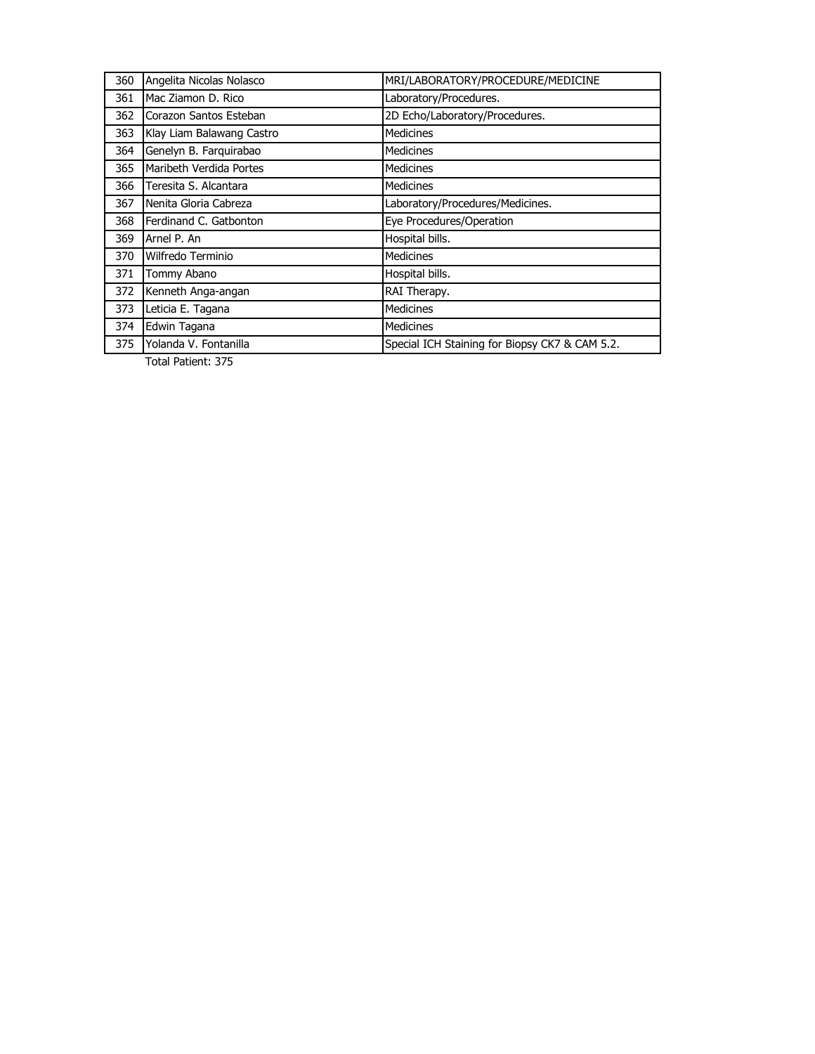| 360 | Angelita Nicolas Nolasco  | MRI/LABORATORY/PROCEDURE/MEDICINE              |
|-----|---------------------------|------------------------------------------------|
| 361 | Mac Ziamon D. Rico        | Laboratory/Procedures.                         |
| 362 | Corazon Santos Esteban    | 2D Echo/Laboratory/Procedures.                 |
| 363 | Klay Liam Balawang Castro | <b>Medicines</b>                               |
| 364 | Genelyn B. Farquirabao    | <b>Medicines</b>                               |
| 365 | Maribeth Verdida Portes   | <b>Medicines</b>                               |
| 366 | Teresita S. Alcantara     | <b>Medicines</b>                               |
| 367 | Nenita Gloria Cabreza     | Laboratory/Procedures/Medicines.               |
| 368 | Ferdinand C. Gatbonton    | Eye Procedures/Operation                       |
| 369 | Arnel P. An               | Hospital bills.                                |
| 370 | Wilfredo Terminio         | <b>Medicines</b>                               |
| 371 | Tommy Abano               | Hospital bills.                                |
| 372 | Kenneth Anga-angan        | RAI Therapy.                                   |
| 373 | Leticia E. Tagana         | <b>Medicines</b>                               |
| 374 | Edwin Tagana              | <b>Medicines</b>                               |
| 375 | Yolanda V. Fontanilla     | Special ICH Staining for Biopsy CK7 & CAM 5.2. |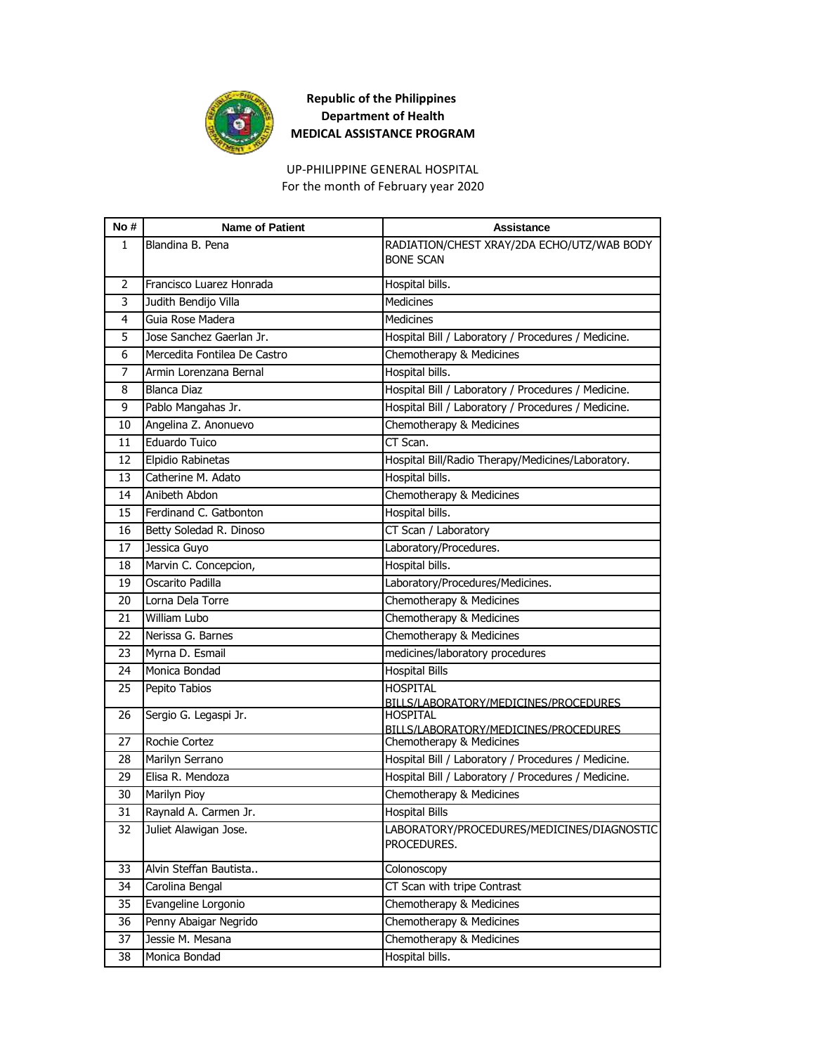

For the month of February year 2020 UP-PHILIPPINE GENERAL HOSPITAL

| No# | <b>Name of Patient</b>       | <b>Assistance</b>                                        |
|-----|------------------------------|----------------------------------------------------------|
| 1   | Blandina B. Pena             | RADIATION/CHEST XRAY/2DA ECHO/UTZ/WAB BODY               |
|     |                              | <b>BONE SCAN</b>                                         |
| 2   | Francisco Luarez Honrada     | Hospital bills.                                          |
| 3   | Judith Bendijo Villa         | <b>Medicines</b>                                         |
| 4   | Guia Rose Madera             | Medicines                                                |
| 5   | Jose Sanchez Gaerlan Jr.     | Hospital Bill / Laboratory / Procedures / Medicine.      |
| 6   | Mercedita Fontilea De Castro | Chemotherapy & Medicines                                 |
| 7   | Armin Lorenzana Bernal       | Hospital bills.                                          |
| 8   | Blanca Diaz                  | Hospital Bill / Laboratory / Procedures / Medicine.      |
| 9   | Pablo Mangahas Jr.           | Hospital Bill / Laboratory / Procedures / Medicine.      |
| 10  | Angelina Z. Anonuevo         | Chemotherapy & Medicines                                 |
| 11  | Eduardo Tuico                | CT Scan.                                                 |
| 12  | Elpidio Rabinetas            | Hospital Bill/Radio Therapy/Medicines/Laboratory.        |
| 13  | Catherine M. Adato           | Hospital bills.                                          |
| 14  | Anibeth Abdon                | Chemotherapy & Medicines                                 |
| 15  | Ferdinand C. Gatbonton       | Hospital bills.                                          |
| 16  | Betty Soledad R. Dinoso      | CT Scan / Laboratory                                     |
| 17  | Jessica Guyo                 | Laboratory/Procedures.                                   |
| 18  | Marvin C. Concepcion,        | Hospital bills.                                          |
| 19  | Oscarito Padilla             | Laboratory/Procedures/Medicines.                         |
| 20  | Lorna Dela Torre             | Chemotherapy & Medicines                                 |
| 21  | William Lubo                 | Chemotherapy & Medicines                                 |
| 22  | Nerissa G. Barnes            | Chemotherapy & Medicines                                 |
| 23  | Myrna D. Esmail              | medicines/laboratory procedures                          |
| 24  | Monica Bondad                | <b>Hospital Bills</b>                                    |
| 25  | Pepito Tabios                | <b>HOSPITAL</b>                                          |
|     |                              | BILLS/LABORATORY/MEDICINES/PROCEDURES                    |
| 26  | Sergio G. Legaspi Jr.        | <b>HOSPITAL</b><br>BILLS/LABORATORY/MEDICINES/PROCEDURES |
| 27  | Rochie Cortez                | Chemotherapy & Medicines                                 |
| 28  | Marilyn Serrano              | Hospital Bill / Laboratory / Procedures / Medicine.      |
| 29  | Elisa R. Mendoza             | Hospital Bill / Laboratory / Procedures / Medicine.      |
| 30  | Marilyn Pioy                 | Chemotherapy & Medicines                                 |
| 31  | Raynald A. Carmen Jr.        | <b>Hospital Bills</b>                                    |
| 32  | Juliet Alawigan Jose.        | LABORATORY/PROCEDURES/MEDICINES/DIAGNOSTIC               |
|     |                              | PROCEDURES.                                              |
| 33  | Alvin Steffan Bautista       | Colonoscopy                                              |
| 34  | Carolina Bengal              | CT Scan with tripe Contrast                              |
| 35  | Evangeline Lorgonio          | Chemotherapy & Medicines                                 |
| 36  | Penny Abaigar Negrido        | Chemotherapy & Medicines                                 |
| 37  | Jessie M. Mesana             | Chemotherapy & Medicines                                 |
| 38  | Monica Bondad                | Hospital bills.                                          |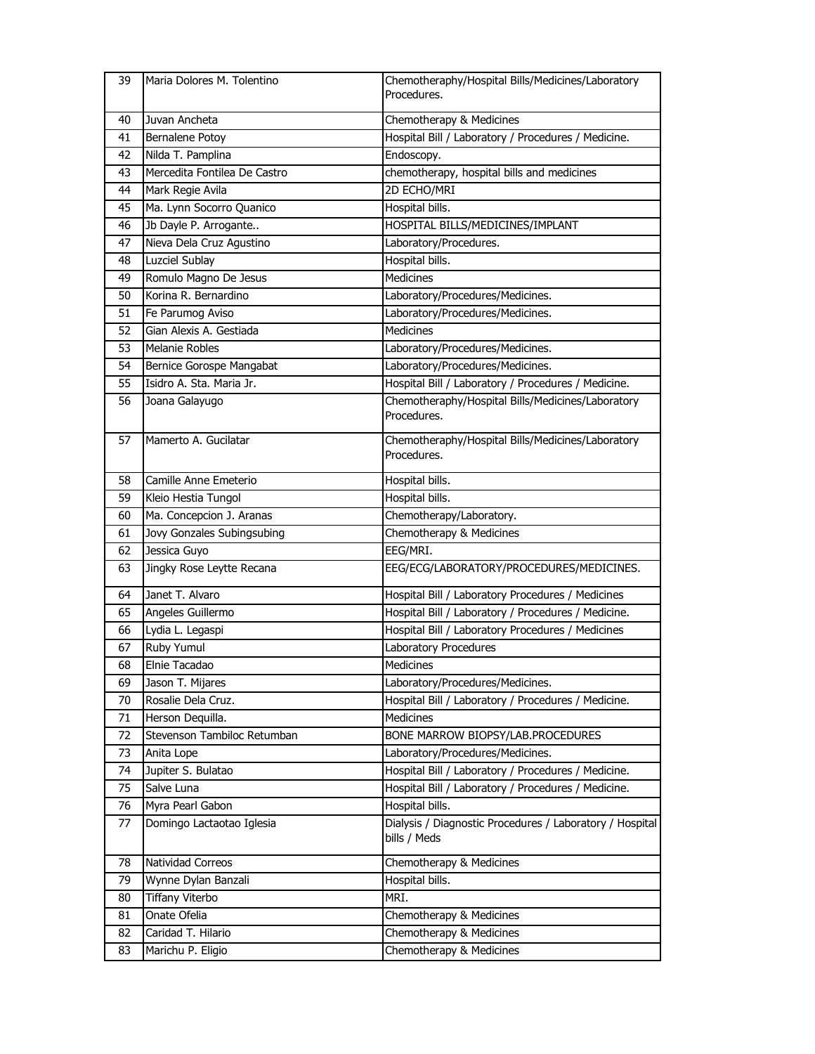| 39 | Maria Dolores M. Tolentino   | Chemotheraphy/Hospital Bills/Medicines/Laboratory<br>Procedures.         |
|----|------------------------------|--------------------------------------------------------------------------|
| 40 | Juvan Ancheta                | Chemotherapy & Medicines                                                 |
| 41 | Bernalene Potoy              | Hospital Bill / Laboratory / Procedures / Medicine.                      |
| 42 | Nilda T. Pamplina            | Endoscopy.                                                               |
| 43 | Mercedita Fontilea De Castro | chemotherapy, hospital bills and medicines                               |
| 44 | Mark Regie Avila             | 2D ECHO/MRI                                                              |
| 45 | Ma. Lynn Socorro Quanico     | Hospital bills.                                                          |
| 46 | Jb Dayle P. Arrogante        | HOSPITAL BILLS/MEDICINES/IMPLANT                                         |
| 47 | Nieva Dela Cruz Agustino     | Laboratory/Procedures.                                                   |
| 48 | Luzciel Sublay               | Hospital bills.                                                          |
| 49 | Romulo Magno De Jesus        | Medicines                                                                |
| 50 | Korina R. Bernardino         | Laboratory/Procedures/Medicines.                                         |
| 51 | Fe Parumog Aviso             | Laboratory/Procedures/Medicines.                                         |
| 52 | Gian Alexis A. Gestiada      | Medicines                                                                |
| 53 | <b>Melanie Robles</b>        | Laboratory/Procedures/Medicines.                                         |
| 54 | Bernice Gorospe Mangabat     | Laboratory/Procedures/Medicines.                                         |
| 55 | Isidro A. Sta. Maria Jr.     | Hospital Bill / Laboratory / Procedures / Medicine.                      |
| 56 | Joana Galayugo               | Chemotheraphy/Hospital Bills/Medicines/Laboratory<br>Procedures.         |
| 57 | Mamerto A. Gucilatar         | Chemotheraphy/Hospital Bills/Medicines/Laboratory<br>Procedures.         |
| 58 | Camille Anne Emeterio        | Hospital bills.                                                          |
| 59 | Kleio Hestia Tungol          | Hospital bills.                                                          |
| 60 | Ma. Concepcion J. Aranas     | Chemotherapy/Laboratory.                                                 |
| 61 | Jovy Gonzales Subingsubing   | Chemotherapy & Medicines                                                 |
| 62 | Jessica Guyo                 | EEG/MRI.                                                                 |
| 63 | Jingky Rose Leytte Recana    | EEG/ECG/LABORATORY/PROCEDURES/MEDICINES.                                 |
| 64 | Janet T. Alvaro              | Hospital Bill / Laboratory Procedures / Medicines                        |
| 65 | Angeles Guillermo            | Hospital Bill / Laboratory / Procedures / Medicine.                      |
| 66 | Lydia L. Legaspi             | Hospital Bill / Laboratory Procedures / Medicines                        |
| 67 | Ruby Yumul                   | Laboratory Procedures                                                    |
| 68 | Elnie Tacadao                | Medicines                                                                |
| 69 | Jason T. Mijares             | Laboratory/Procedures/Medicines.                                         |
| 70 | Rosalie Dela Cruz.           | Hospital Bill / Laboratory / Procedures / Medicine.                      |
| 71 | Herson Dequilla.             | <b>Medicines</b>                                                         |
| 72 | Stevenson Tambiloc Retumban  | BONE MARROW BIOPSY/LAB.PROCEDURES                                        |
| 73 | Anita Lope                   | Laboratory/Procedures/Medicines.                                         |
| 74 | Jupiter S. Bulatao           | Hospital Bill / Laboratory / Procedures / Medicine.                      |
| 75 | Salve Luna                   | Hospital Bill / Laboratory / Procedures / Medicine.                      |
| 76 | Myra Pearl Gabon             | Hospital bills.                                                          |
| 77 | Domingo Lactaotao Iglesia    | Dialysis / Diagnostic Procedures / Laboratory / Hospital<br>bills / Meds |
| 78 | Natividad Correos            | Chemotherapy & Medicines                                                 |
| 79 | Wynne Dylan Banzali          | Hospital bills.                                                          |
| 80 | <b>Tiffany Viterbo</b>       | MRI.                                                                     |
| 81 | Onate Ofelia                 | Chemotherapy & Medicines                                                 |
| 82 | Caridad T. Hilario           | Chemotherapy & Medicines                                                 |
| 83 | Marichu P. Eligio            | Chemotherapy & Medicines                                                 |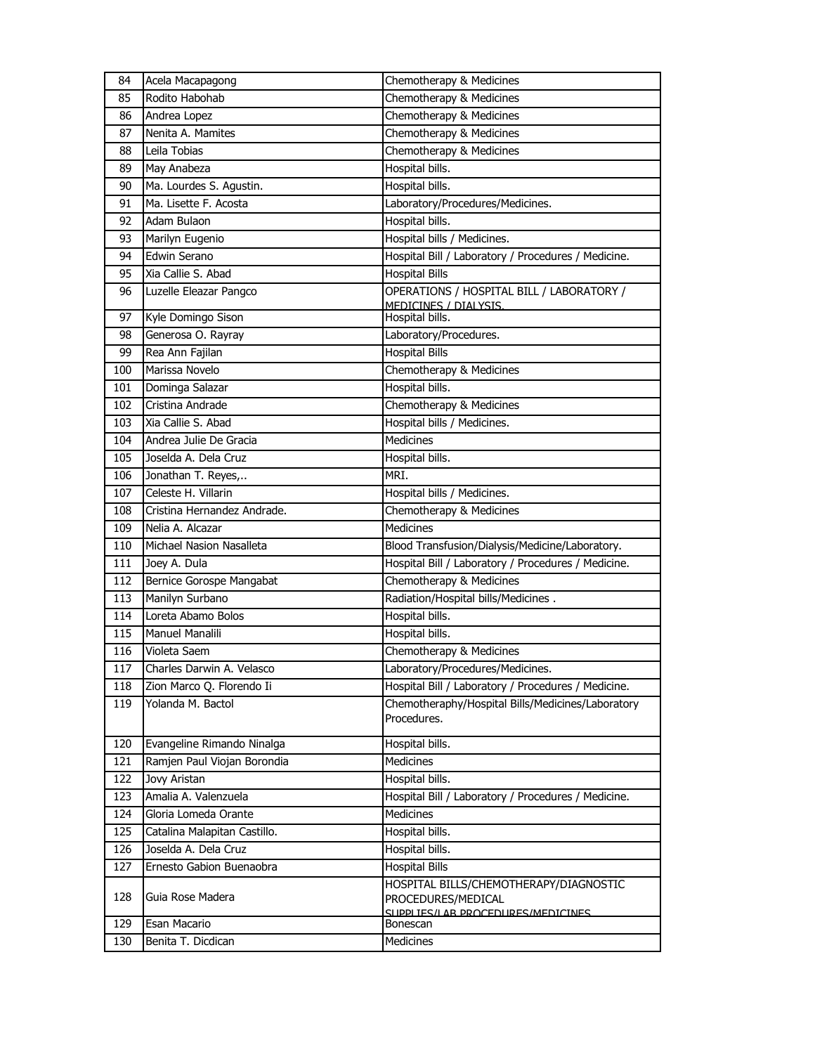| 84         | Acela Macapagong                   | Chemotherapy & Medicines                                         |
|------------|------------------------------------|------------------------------------------------------------------|
| 85         | Rodito Habohab                     | Chemotherapy & Medicines                                         |
| 86         | Andrea Lopez                       | Chemotherapy & Medicines                                         |
| 87         | Nenita A. Mamites                  | Chemotherapy & Medicines                                         |
| 88         | Leila Tobias                       | Chemotherapy & Medicines                                         |
| 89         | May Anabeza                        | Hospital bills.                                                  |
| 90         | Ma. Lourdes S. Agustin.            | Hospital bills.                                                  |
| 91         | Ma. Lisette F. Acosta              | Laboratory/Procedures/Medicines.                                 |
| 92         | Adam Bulaon                        | Hospital bills.                                                  |
| 93         | Marilyn Eugenio                    | Hospital bills / Medicines.                                      |
| 94         | Edwin Serano                       | Hospital Bill / Laboratory / Procedures / Medicine.              |
| 95         | Xia Callie S. Abad                 | <b>Hospital Bills</b>                                            |
| 96         | Luzelle Eleazar Pangco             | OPERATIONS / HOSPITAL BILL / LABORATORY /                        |
|            |                                    | MEDICINES / DIALYSIS.                                            |
| 97         | Kyle Domingo Sison                 | Hospital bills.                                                  |
| 98         | Generosa O. Rayray                 | Laboratory/Procedures.                                           |
| 99         | Rea Ann Fajilan                    | <b>Hospital Bills</b>                                            |
| 100        | Marissa Novelo                     | Chemotherapy & Medicines                                         |
| 101        | Dominga Salazar                    | Hospital bills.                                                  |
| 102        | Cristina Andrade                   | Chemotherapy & Medicines                                         |
| 103        | Xia Callie S. Abad                 | Hospital bills / Medicines.                                      |
| 104        | Andrea Julie De Gracia             | Medicines                                                        |
| 105        | Joselda A. Dela Cruz               | Hospital bills.                                                  |
| 106        | Jonathan T. Reyes,                 | MRI.                                                             |
| 107        | Celeste H. Villarin                | Hospital bills / Medicines.                                      |
| 108        | Cristina Hernandez Andrade.        | Chemotherapy & Medicines                                         |
| 109        | Nelia A. Alcazar                   | <b>Medicines</b>                                                 |
| 110        | Michael Nasion Nasalleta           | Blood Transfusion/Dialysis/Medicine/Laboratory.                  |
| 111        | Joey A. Dula                       | Hospital Bill / Laboratory / Procedures / Medicine.              |
| 112        | Bernice Gorospe Mangabat           | Chemotherapy & Medicines                                         |
| 113        | Manilyn Surbano                    | Radiation/Hospital bills/Medicines.                              |
| 114        | Loreta Abamo Bolos                 | Hospital bills.                                                  |
| 115        | <b>Manuel Manalili</b>             | Hospital bills.                                                  |
| 116        | Violeta Saem                       | Chemotherapy & Medicines                                         |
| 117        | Charles Darwin A. Velasco          | Laboratory/Procedures/Medicines.                                 |
| 118        | Zion Marco Q. Florendo Ii          | Hospital Bill / Laboratory / Procedures / Medicine.              |
| 119        | Yolanda M. Bactol                  | Chemotheraphy/Hospital Bills/Medicines/Laboratory<br>Procedures. |
| 120        | Evangeline Rimando Ninalga         | Hospital bills.                                                  |
| 121        | Ramjen Paul Viojan Borondia        | Medicines                                                        |
| 122        | Jovy Aristan                       | Hospital bills.                                                  |
| 123        | Amalia A. Valenzuela               | Hospital Bill / Laboratory / Procedures / Medicine.              |
| 124        | Gloria Lomeda Orante               | Medicines                                                        |
| 125        | Catalina Malapitan Castillo.       | Hospital bills.                                                  |
| 126        |                                    |                                                                  |
|            |                                    |                                                                  |
|            | Joselda A. Dela Cruz               | Hospital bills.                                                  |
| 127        | Ernesto Gabion Buenaobra           | <b>Hospital Bills</b>                                            |
| 128        | Guia Rose Madera                   | HOSPITAL BILLS/CHEMOTHERAPY/DIAGNOSTIC                           |
|            |                                    | PROCEDURES/MEDICAL<br>SLIPPLIES/LAR PROCEDURES/MEDICINES         |
| 129<br>130 | Esan Macario<br>Benita T. Dicdican | Bonescan<br>Medicines                                            |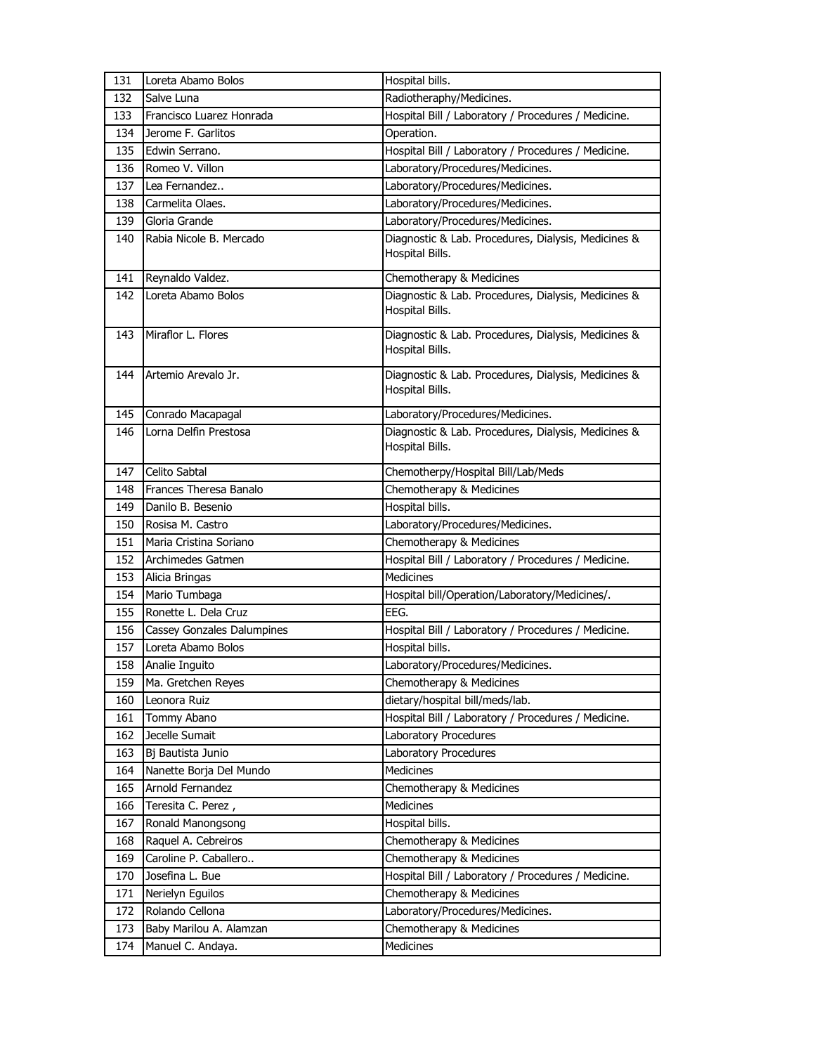| 131 | Loreta Abamo Bolos                | Hospital bills.                                                        |
|-----|-----------------------------------|------------------------------------------------------------------------|
| 132 | Salve Luna                        | Radiotheraphy/Medicines.                                               |
| 133 | Francisco Luarez Honrada          | Hospital Bill / Laboratory / Procedures / Medicine.                    |
| 134 | Jerome F. Garlitos                | Operation.                                                             |
| 135 | Edwin Serrano.                    | Hospital Bill / Laboratory / Procedures / Medicine.                    |
| 136 | Romeo V. Villon                   | Laboratory/Procedures/Medicines.                                       |
| 137 | Lea Fernandez                     | Laboratory/Procedures/Medicines.                                       |
| 138 | Carmelita Olaes.                  | Laboratory/Procedures/Medicines.                                       |
| 139 | Gloria Grande                     | Laboratory/Procedures/Medicines.                                       |
| 140 | Rabia Nicole B. Mercado           | Diagnostic & Lab. Procedures, Dialysis, Medicines &<br>Hospital Bills. |
| 141 | Reynaldo Valdez.                  | Chemotherapy & Medicines                                               |
| 142 | Loreta Abamo Bolos                | Diagnostic & Lab. Procedures, Dialysis, Medicines &<br>Hospital Bills. |
| 143 | Miraflor L. Flores                | Diagnostic & Lab. Procedures, Dialysis, Medicines &<br>Hospital Bills. |
| 144 | Artemio Arevalo Jr.               | Diagnostic & Lab. Procedures, Dialysis, Medicines &<br>Hospital Bills. |
| 145 | Conrado Macapagal                 | Laboratory/Procedures/Medicines.                                       |
| 146 | Lorna Delfin Prestosa             | Diagnostic & Lab. Procedures, Dialysis, Medicines &<br>Hospital Bills. |
| 147 | Celito Sabtal                     | Chemotherpy/Hospital Bill/Lab/Meds                                     |
| 148 | Frances Theresa Banalo            | Chemotherapy & Medicines                                               |
| 149 | Danilo B. Besenio                 | Hospital bills.                                                        |
| 150 | Rosisa M. Castro                  | Laboratory/Procedures/Medicines.                                       |
| 151 | Maria Cristina Soriano            | Chemotherapy & Medicines                                               |
| 152 | Archimedes Gatmen                 | Hospital Bill / Laboratory / Procedures / Medicine.                    |
| 153 | Alicia Bringas                    | <b>Medicines</b>                                                       |
| 154 | Mario Tumbaga                     | Hospital bill/Operation/Laboratory/Medicines/.                         |
| 155 | Ronette L. Dela Cruz              | EEG.                                                                   |
| 156 | <b>Cassey Gonzales Dalumpines</b> | Hospital Bill / Laboratory / Procedures / Medicine.                    |
| 157 | Loreta Abamo Bolos                | Hospital bills.                                                        |
| 158 | Analie Inguito                    | Laboratory/Procedures/Medicines.                                       |
| 159 | Ma. Gretchen Reyes                | Chemotherapy & Medicines                                               |
| 160 | Leonora Ruiz                      | dietary/hospital bill/meds/lab.                                        |
| 161 | Tommy Abano                       | Hospital Bill / Laboratory / Procedures / Medicine.                    |
| 162 | Jecelle Sumait                    | Laboratory Procedures                                                  |
| 163 | Bj Bautista Junio                 | Laboratory Procedures                                                  |
| 164 | Nanette Borja Del Mundo           | Medicines                                                              |
| 165 | Arnold Fernandez                  | Chemotherapy & Medicines                                               |
| 166 | Teresita C. Perez,                | Medicines                                                              |
| 167 | Ronald Manongsong                 | Hospital bills.                                                        |
| 168 | Raquel A. Cebreiros               | Chemotherapy & Medicines                                               |
| 169 | Caroline P. Caballero             | Chemotherapy & Medicines                                               |
| 170 | Josefina L. Bue                   | Hospital Bill / Laboratory / Procedures / Medicine.                    |
| 171 | Nerielyn Eguilos                  | Chemotherapy & Medicines                                               |
| 172 | Rolando Cellona                   | Laboratory/Procedures/Medicines.                                       |
| 173 | Baby Marilou A. Alamzan           | Chemotherapy & Medicines                                               |
| 174 | Manuel C. Andaya.                 | Medicines                                                              |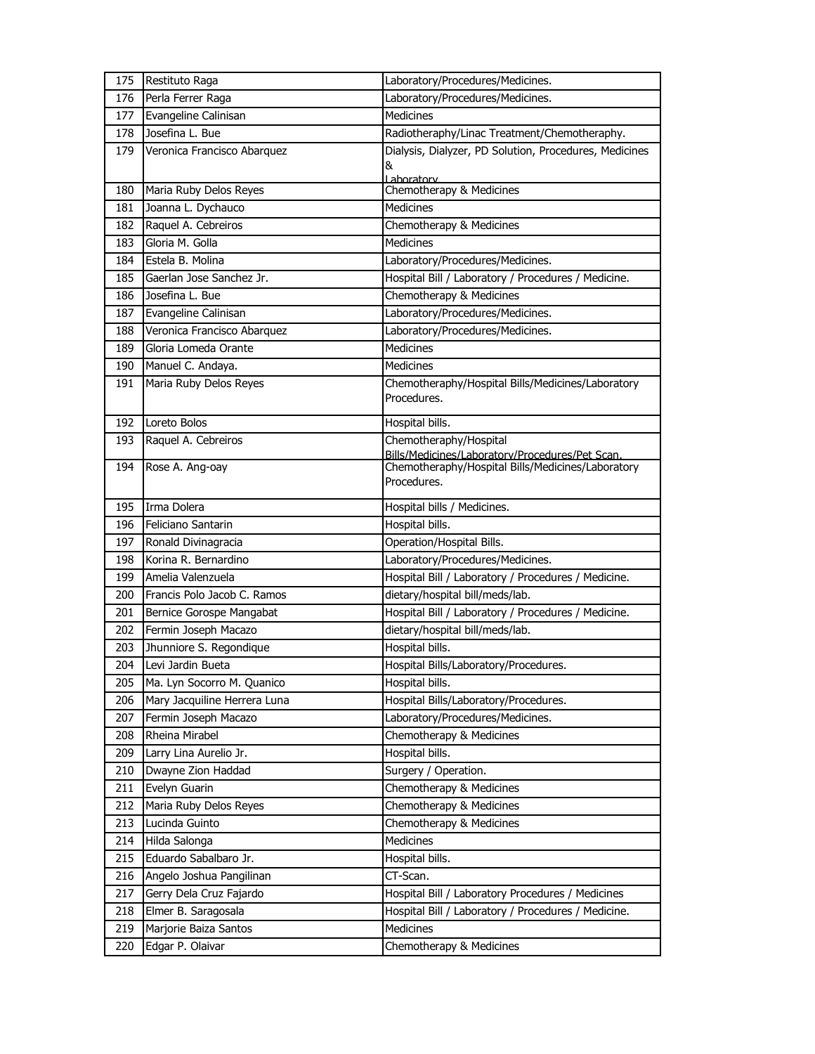| 175 | Restituto Raga               | Laboratory/Procedures/Medicines.                       |
|-----|------------------------------|--------------------------------------------------------|
| 176 | Perla Ferrer Raga            | Laboratory/Procedures/Medicines.                       |
| 177 | Evangeline Calinisan         | Medicines                                              |
| 178 | Josefina L. Bue              | Radiotheraphy/Linac Treatment/Chemotheraphy.           |
| 179 | Veronica Francisco Abarquez  | Dialysis, Dialyzer, PD Solution, Procedures, Medicines |
|     |                              | &                                                      |
| 180 | Maria Ruby Delos Reyes       | Laboratory<br>Chemotherapy & Medicines                 |
| 181 | Joanna L. Dychauco           | Medicines                                              |
| 182 | Raquel A. Cebreiros          | Chemotherapy & Medicines                               |
| 183 | Gloria M. Golla              | <b>Medicines</b>                                       |
| 184 | Estela B. Molina             | Laboratory/Procedures/Medicines.                       |
| 185 | Gaerlan Jose Sanchez Jr.     | Hospital Bill / Laboratory / Procedures / Medicine.    |
| 186 | Josefina L. Bue              | Chemotherapy & Medicines                               |
| 187 | Evangeline Calinisan         | Laboratory/Procedures/Medicines.                       |
| 188 | Veronica Francisco Abarquez  | Laboratory/Procedures/Medicines.                       |
| 189 | Gloria Lomeda Orante         | <b>Medicines</b>                                       |
| 190 | Manuel C. Andaya.            | <b>Medicines</b>                                       |
| 191 | Maria Ruby Delos Reyes       | Chemotheraphy/Hospital Bills/Medicines/Laboratory      |
|     |                              | Procedures.                                            |
| 192 | Loreto Bolos                 | Hospital bills.                                        |
| 193 | Raquel A. Cebreiros          | Chemotheraphy/Hospital                                 |
|     |                              | Bills/Medicines/Laboratory/Procedures/Pet Scan.        |
| 194 | Rose A. Ang-oay              | Chemotheraphy/Hospital Bills/Medicines/Laboratory      |
|     |                              | Procedures.                                            |
| 195 | Irma Dolera                  | Hospital bills / Medicines.                            |
| 196 | Feliciano Santarin           | Hospital bills.                                        |
| 197 | Ronald Divinagracia          | Operation/Hospital Bills.                              |
| 198 | Korina R. Bernardino         | Laboratory/Procedures/Medicines.                       |
| 199 | Amelia Valenzuela            | Hospital Bill / Laboratory / Procedures / Medicine.    |
| 200 | Francis Polo Jacob C. Ramos  | dietary/hospital bill/meds/lab.                        |
| 201 | Bernice Gorospe Mangabat     | Hospital Bill / Laboratory / Procedures / Medicine.    |
| 202 | Fermin Joseph Macazo         | dietary/hospital bill/meds/lab.                        |
| 203 | Jhunniore S. Regondique      | Hospital bills.                                        |
| 204 | Levi Jardin Bueta            | Hospital Bills/Laboratory/Procedures.                  |
| 205 | Ma. Lyn Socorro M. Quanico   | Hospital bills.                                        |
| 206 | Mary Jacquiline Herrera Luna | Hospital Bills/Laboratory/Procedures.                  |
| 207 | Fermin Joseph Macazo         | Laboratory/Procedures/Medicines.                       |
| 208 | Rheina Mirabel               | Chemotherapy & Medicines                               |
| 209 | Larry Lina Aurelio Jr.       | Hospital bills.                                        |
| 210 | Dwayne Zion Haddad           | Surgery / Operation.                                   |
| 211 | Evelyn Guarin                | Chemotherapy & Medicines                               |
| 212 | Maria Ruby Delos Reyes       | Chemotherapy & Medicines                               |
| 213 | Lucinda Guinto               | Chemotherapy & Medicines                               |
| 214 | Hilda Salonga                | Medicines                                              |
| 215 | Eduardo Sabalbaro Jr.        | Hospital bills.                                        |
| 216 | Angelo Joshua Pangilinan     | CT-Scan.                                               |
| 217 | Gerry Dela Cruz Fajardo      | Hospital Bill / Laboratory Procedures / Medicines      |
| 218 | Elmer B. Saragosala          | Hospital Bill / Laboratory / Procedures / Medicine.    |
| 219 | Marjorie Baiza Santos        | Medicines                                              |
| 220 | Edgar P. Olaivar             | Chemotherapy & Medicines                               |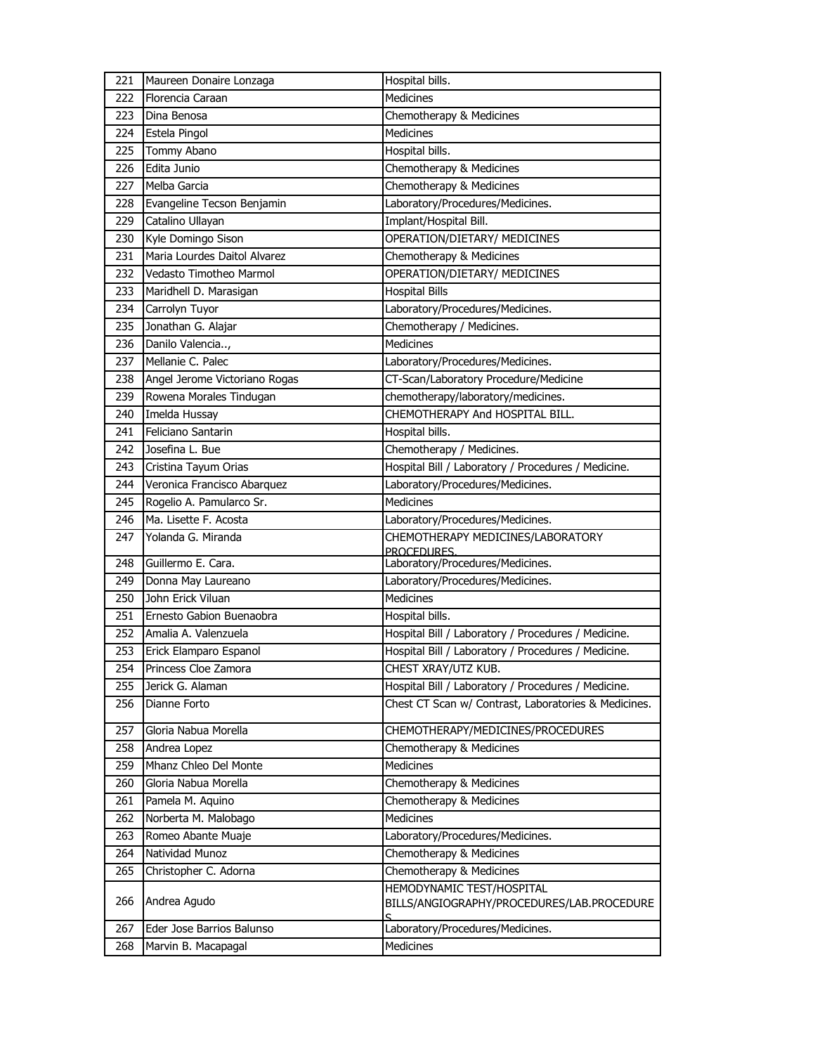| 221 | Maureen Donaire Lonzaga       | Hospital bills.                                                                      |
|-----|-------------------------------|--------------------------------------------------------------------------------------|
| 222 | Florencia Caraan              | Medicines                                                                            |
| 223 | Dina Benosa                   | Chemotherapy & Medicines                                                             |
| 224 | Estela Pingol                 | <b>Medicines</b>                                                                     |
| 225 | Tommy Abano                   | Hospital bills.                                                                      |
| 226 | Edita Junio                   | Chemotherapy & Medicines                                                             |
| 227 | Melba Garcia                  | Chemotherapy & Medicines                                                             |
| 228 | Evangeline Tecson Benjamin    | Laboratory/Procedures/Medicines.                                                     |
| 229 | Catalino Ullayan              | Implant/Hospital Bill.                                                               |
| 230 | Kyle Domingo Sison            | OPERATION/DIETARY/ MEDICINES                                                         |
| 231 | Maria Lourdes Daitol Alvarez  | Chemotherapy & Medicines                                                             |
| 232 | Vedasto Timotheo Marmol       | OPERATION/DIETARY/ MEDICINES                                                         |
| 233 | Maridhell D. Marasigan        | <b>Hospital Bills</b>                                                                |
| 234 | Carrolyn Tuyor                | Laboratory/Procedures/Medicines.                                                     |
| 235 | Jonathan G. Alajar            | Chemotherapy / Medicines.                                                            |
| 236 | Danilo Valencia,              | <b>Medicines</b>                                                                     |
| 237 | Mellanie C. Palec             | Laboratory/Procedures/Medicines.                                                     |
| 238 | Angel Jerome Victoriano Rogas | CT-Scan/Laboratory Procedure/Medicine                                                |
| 239 | Rowena Morales Tindugan       | chemotherapy/laboratory/medicines.                                                   |
| 240 | Imelda Hussay                 | CHEMOTHERAPY And HOSPITAL BILL.                                                      |
| 241 | Feliciano Santarin            | Hospital bills.                                                                      |
| 242 | Josefina L. Bue               | Chemotherapy / Medicines.                                                            |
| 243 | Cristina Tayum Orias          | Hospital Bill / Laboratory / Procedures / Medicine.                                  |
| 244 | Veronica Francisco Abarquez   | Laboratory/Procedures/Medicines.                                                     |
| 245 | Rogelio A. Pamularco Sr.      | <b>Medicines</b>                                                                     |
| 246 | Ma. Lisette F. Acosta         | Laboratory/Procedures/Medicines.                                                     |
| 247 | Yolanda G. Miranda            | CHEMOTHERAPY MEDICINES/LABORATORY<br><b>PROCEDURES</b>                               |
| 248 | Guillermo E. Cara.            | Laboratory/Procedures/Medicines.                                                     |
| 249 | Donna May Laureano            | Laboratory/Procedures/Medicines.                                                     |
| 250 | John Erick Viluan             | <b>Medicines</b>                                                                     |
| 251 | Ernesto Gabion Buenaobra      | Hospital bills.                                                                      |
| 252 | Amalia A. Valenzuela          | Hospital Bill / Laboratory / Procedures / Medicine.                                  |
| 253 | Erick Elamparo Espanol        | Hospital Bill / Laboratory / Procedures / Medicine.                                  |
| 254 | Princess Cloe Zamora          | CHEST XRAY/UTZ KUB.                                                                  |
| 255 | Jerick G. Alaman              | Hospital Bill / Laboratory / Procedures / Medicine.                                  |
| 256 | Dianne Forto                  | Chest CT Scan w/ Contrast, Laboratories & Medicines.                                 |
| 257 | Gloria Nabua Morella          | CHEMOTHERAPY/MEDICINES/PROCEDURES                                                    |
| 258 | Andrea Lopez                  | Chemotherapy & Medicines                                                             |
| 259 | Mhanz Chleo Del Monte         | Medicines                                                                            |
| 260 | Gloria Nabua Morella          | Chemotherapy & Medicines                                                             |
| 261 | Pamela M. Aquino              | Chemotherapy & Medicines                                                             |
| 262 | Norberta M. Malobago          | <b>Medicines</b>                                                                     |
| 263 | Romeo Abante Muaje            | Laboratory/Procedures/Medicines.                                                     |
| 264 | Natividad Munoz               | Chemotherapy & Medicines                                                             |
| 265 | Christopher C. Adorna         | Chemotherapy & Medicines                                                             |
| 266 | Andrea Agudo                  | <b>HEMODYNAMIC TEST/HOSPITAL</b><br>BILLS/ANGIOGRAPHY/PROCEDURES/LAB.PROCEDURE<br>C. |
| 267 | Eder Jose Barrios Balunso     | Laboratory/Procedures/Medicines.                                                     |
| 268 | Marvin B. Macapagal           | Medicines                                                                            |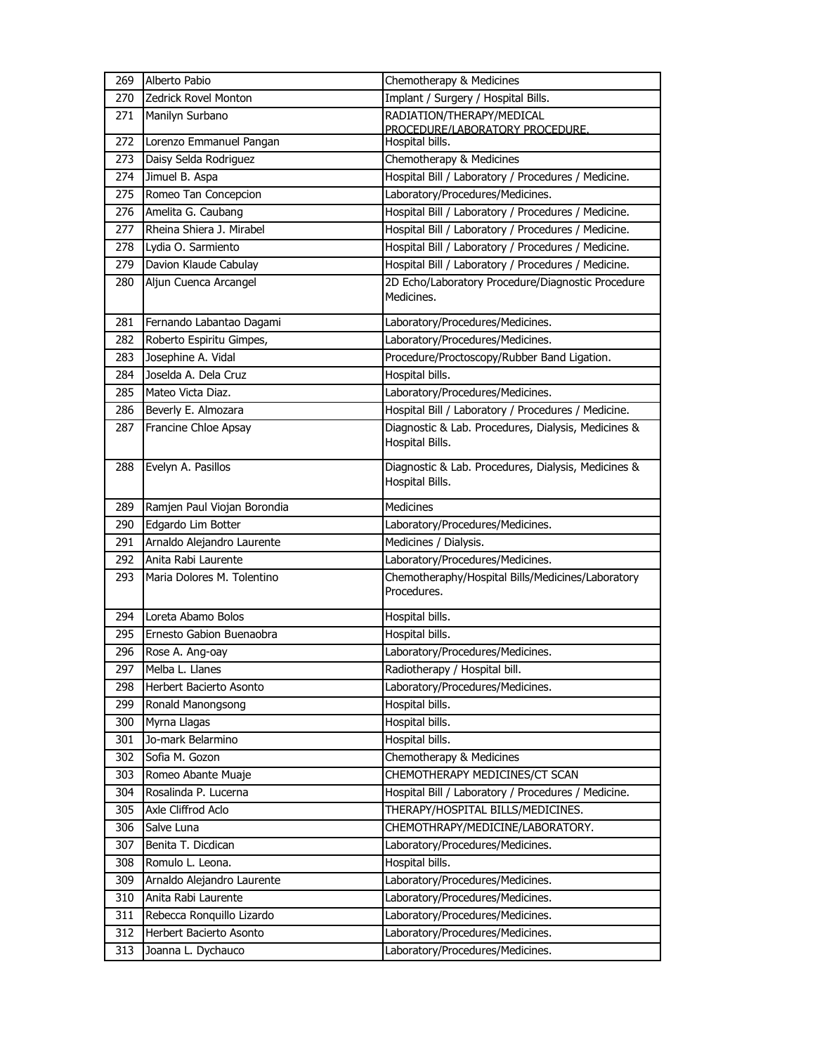| 269 | Alberto Pabio               | Chemotherapy & Medicines                                               |
|-----|-----------------------------|------------------------------------------------------------------------|
| 270 | <b>Zedrick Rovel Monton</b> | Implant / Surgery / Hospital Bills.                                    |
| 271 | Manilyn Surbano             | RADIATION/THERAPY/MEDICAL                                              |
|     |                             | PROCEDURE/LABORATORY PROCEDURE.                                        |
| 272 | Lorenzo Emmanuel Pangan     | Hospital bills.                                                        |
| 273 | Daisy Selda Rodriguez       | Chemotherapy & Medicines                                               |
| 274 | Jimuel B. Aspa              | Hospital Bill / Laboratory / Procedures / Medicine.                    |
| 275 | Romeo Tan Concepcion        | Laboratory/Procedures/Medicines.                                       |
| 276 | Amelita G. Caubang          | Hospital Bill / Laboratory / Procedures / Medicine.                    |
| 277 | Rheina Shiera J. Mirabel    | Hospital Bill / Laboratory / Procedures / Medicine.                    |
| 278 | Lydia O. Sarmiento          | Hospital Bill / Laboratory / Procedures / Medicine.                    |
| 279 | Davion Klaude Cabulay       | Hospital Bill / Laboratory / Procedures / Medicine.                    |
| 280 | Aljun Cuenca Arcangel       | 2D Echo/Laboratory Procedure/Diagnostic Procedure<br>Medicines.        |
| 281 | Fernando Labantao Dagami    | Laboratory/Procedures/Medicines.                                       |
| 282 | Roberto Espiritu Gimpes,    | Laboratory/Procedures/Medicines.                                       |
| 283 | Josephine A. Vidal          | Procedure/Proctoscopy/Rubber Band Ligation.                            |
| 284 | Joselda A. Dela Cruz        | Hospital bills.                                                        |
| 285 | Mateo Victa Diaz.           | Laboratory/Procedures/Medicines.                                       |
| 286 | Beverly E. Almozara         | Hospital Bill / Laboratory / Procedures / Medicine.                    |
| 287 | Francine Chloe Apsay        | Diagnostic & Lab. Procedures, Dialysis, Medicines &<br>Hospital Bills. |
| 288 | Evelyn A. Pasillos          | Diagnostic & Lab. Procedures, Dialysis, Medicines &<br>Hospital Bills. |
| 289 | Ramjen Paul Viojan Borondia | <b>Medicines</b>                                                       |
| 290 | Edgardo Lim Botter          | Laboratory/Procedures/Medicines.                                       |
| 291 | Arnaldo Alejandro Laurente  | Medicines / Dialysis.                                                  |
| 292 | Anita Rabi Laurente         | Laboratory/Procedures/Medicines.                                       |
| 293 | Maria Dolores M. Tolentino  | Chemotheraphy/Hospital Bills/Medicines/Laboratory<br>Procedures.       |
| 294 | Loreta Abamo Bolos          | Hospital bills.                                                        |
| 295 | Ernesto Gabion Buenaobra    | Hospital bills.                                                        |
| 296 | Rose A. Ang-oay             | Laboratory/Procedures/Medicines.                                       |
| 297 | Melba L. Llanes             | Radiotherapy / Hospital bill.                                          |
| 298 | Herbert Bacierto Asonto     | Laboratory/Procedures/Medicines.                                       |
| 299 | Ronald Manongsong           | Hospital bills.                                                        |
| 300 | Myrna Llagas                | Hospital bills.                                                        |
| 301 | Jo-mark Belarmino           | Hospital bills.                                                        |
| 302 | Sofia M. Gozon              | Chemotherapy & Medicines                                               |
| 303 | Romeo Abante Muaje          | CHEMOTHERAPY MEDICINES/CT SCAN                                         |
| 304 | Rosalinda P. Lucerna        | Hospital Bill / Laboratory / Procedures / Medicine.                    |
| 305 | Axle Cliffrod Aclo          | THERAPY/HOSPITAL BILLS/MEDICINES.                                      |
| 306 | Salve Luna                  | CHEMOTHRAPY/MEDICINE/LABORATORY.                                       |
| 307 | Benita T. Dicdican          | Laboratory/Procedures/Medicines.                                       |
| 308 | Romulo L. Leona.            | Hospital bills.                                                        |
| 309 | Arnaldo Alejandro Laurente  | Laboratory/Procedures/Medicines.                                       |
| 310 | Anita Rabi Laurente         | Laboratory/Procedures/Medicines.                                       |
| 311 | Rebecca Ronquillo Lizardo   | Laboratory/Procedures/Medicines.                                       |
| 312 | Herbert Bacierto Asonto     | Laboratory/Procedures/Medicines.                                       |
| 313 | Joanna L. Dychauco          | Laboratory/Procedures/Medicines.                                       |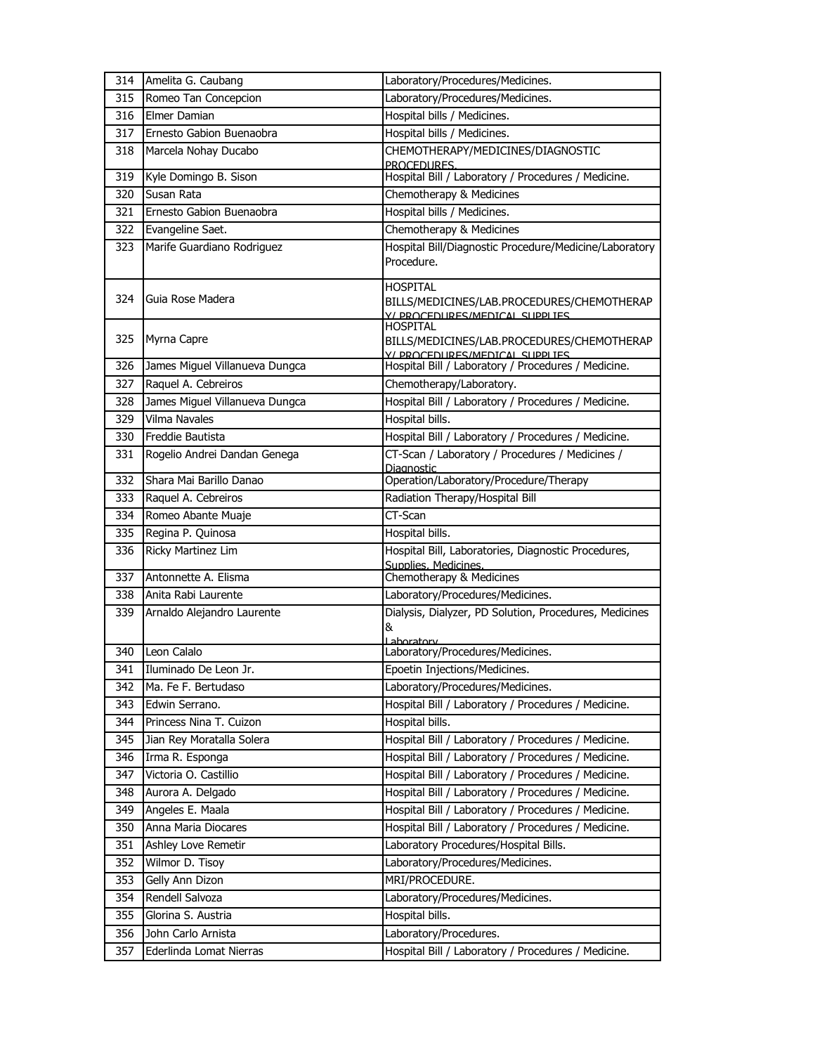| 314   | Amelita G. Caubang             | Laboratory/Procedures/Medicines.                                                                |
|-------|--------------------------------|-------------------------------------------------------------------------------------------------|
| 315   | Romeo Tan Concepcion           | Laboratory/Procedures/Medicines.                                                                |
| 316   | Elmer Damian                   | Hospital bills / Medicines.                                                                     |
| 317   | Ernesto Gabion Buenaobra       | Hospital bills / Medicines.                                                                     |
| 318   | Marcela Nohay Ducabo           | CHEMOTHERAPY/MEDICINES/DIAGNOSTIC<br>PROCEDURES.                                                |
| 319   | Kyle Domingo B. Sison          | Hospital Bill / Laboratory / Procedures / Medicine.                                             |
| 320   | Susan Rata                     | Chemotherapy & Medicines                                                                        |
| 321   | Ernesto Gabion Buenaobra       | Hospital bills / Medicines.                                                                     |
| 322   | Evangeline Saet.               | Chemotherapy & Medicines                                                                        |
| 323.  | Marife Guardiano Rodriguez     | Hospital Bill/Diagnostic Procedure/Medicine/Laboratory<br>Procedure.                            |
| 324   | Guia Rose Madera               | HOSPITAL<br>BILLS/MEDICINES/LAB.PROCEDURES/CHEMOTHERAP<br>V/ PROCEDURES/MEDICAL SUPPLIES        |
| 325   | Myrna Capre                    | <b>HOSPITAL</b><br>BILLS/MEDICINES/LAB.PROCEDURES/CHEMOTHERAP<br>Y/ PROCEDURES/MEDICAL SUPPLIES |
| 326   | James Miguel Villanueva Dungca | Hospital Bill / Laboratory / Procedures / Medicine.                                             |
| 327   | Raquel A. Cebreiros            | Chemotherapy/Laboratory.                                                                        |
| 328   | James Miguel Villanueva Dungca | Hospital Bill / Laboratory / Procedures / Medicine.                                             |
| 329   | Vilma Navales                  | Hospital bills.                                                                                 |
| 330   | Freddie Bautista               | Hospital Bill / Laboratory / Procedures / Medicine.                                             |
| 331   | Rogelio Andrei Dandan Genega   | CT-Scan / Laboratory / Procedures / Medicines /<br>Diagnostic                                   |
| 332   | Shara Mai Barillo Danao        | Operation/Laboratory/Procedure/Therapy                                                          |
| 333   | Raquel A. Cebreiros            | Radiation Therapy/Hospital Bill                                                                 |
| 334   | Romeo Abante Muaje             | CT-Scan                                                                                         |
| 335   | Regina P. Quinosa              | Hospital bills.                                                                                 |
| 336   | Ricky Martinez Lim             | Hospital Bill, Laboratories, Diagnostic Procedures,<br>Supplies. Medicines.                     |
| 337   | Antonnette A. Elisma           | Chemotherapy & Medicines                                                                        |
| 338   | Anita Rabi Laurente            | Laboratory/Procedures/Medicines.                                                                |
| 339   | Arnaldo Alejandro Laurente     | Dialysis, Dialyzer, PD Solution, Procedures, Medicines<br>&<br>Lahoratory                       |
| 340 . | Leon Calalo                    | Laboratory/Procedures/Medicines.                                                                |
|       | 341 Iluminado De Leon Jr.      | Epoetin Injections/Medicines.                                                                   |
| 342   | Ma. Fe F. Bertudaso            | Laboratory/Procedures/Medicines.                                                                |
| 343   | Edwin Serrano.                 | Hospital Bill / Laboratory / Procedures / Medicine.                                             |
| 344   | Princess Nina T. Cuizon        | Hospital bills.                                                                                 |
| 345   | Jian Rey Moratalla Solera      | Hospital Bill / Laboratory / Procedures / Medicine.                                             |
| 346   | Irma R. Esponga                | Hospital Bill / Laboratory / Procedures / Medicine.                                             |
| 347   | Victoria O. Castillio          | Hospital Bill / Laboratory / Procedures / Medicine.                                             |
| 348   | Aurora A. Delgado              | Hospital Bill / Laboratory / Procedures / Medicine.                                             |
| 349   | Angeles E. Maala               | Hospital Bill / Laboratory / Procedures / Medicine.                                             |
| 350   | Anna Maria Diocares            | Hospital Bill / Laboratory / Procedures / Medicine.                                             |
| 351   | Ashley Love Remetir            | Laboratory Procedures/Hospital Bills.                                                           |
| 352   | Wilmor D. Tisoy                | Laboratory/Procedures/Medicines.                                                                |
| 353   | Gelly Ann Dizon                | MRI/PROCEDURE.                                                                                  |
| 354   | Rendell Salvoza                | Laboratory/Procedures/Medicines.                                                                |
| 355   | Glorina S. Austria             | Hospital bills.                                                                                 |
| 356   | John Carlo Arnista             | Laboratory/Procedures.                                                                          |
| 357   | Ederlinda Lomat Nierras        | Hospital Bill / Laboratory / Procedures / Medicine.                                             |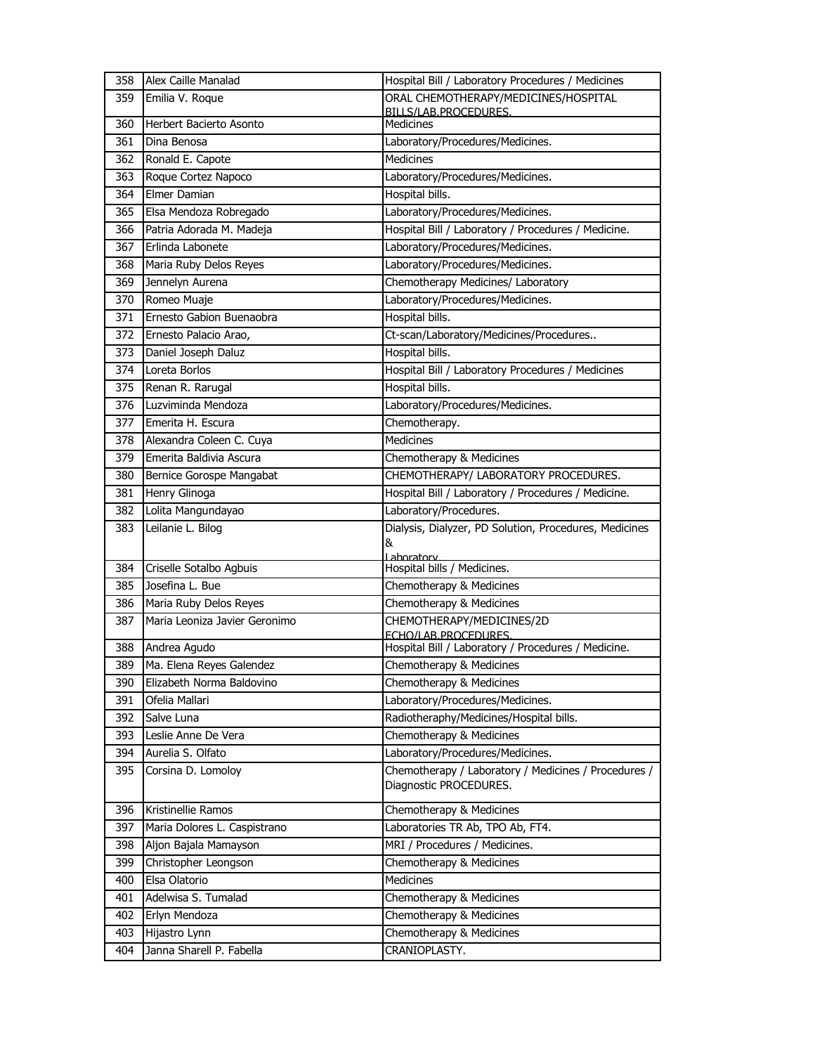| 358 | Alex Caille Manalad                 | Hospital Bill / Laboratory Procedures / Medicines                              |
|-----|-------------------------------------|--------------------------------------------------------------------------------|
| 359 | Emilia V. Roque                     | ORAL CHEMOTHERAPY/MEDICINES/HOSPITAL                                           |
| 360 | Herbert Bacierto Asonto             | BILLS/LAB.PROCEDURES.<br><b>Medicines</b>                                      |
|     |                                     |                                                                                |
| 361 | Dina Benosa                         | Laboratory/Procedures/Medicines.                                               |
| 362 | Ronald E. Capote                    | Medicines                                                                      |
| 363 | Roque Cortez Napoco<br>Elmer Damian | Laboratory/Procedures/Medicines.                                               |
| 364 |                                     | Hospital bills.                                                                |
| 365 | Elsa Mendoza Robregado              | Laboratory/Procedures/Medicines.                                               |
| 366 | Patria Adorada M. Madeja            | Hospital Bill / Laboratory / Procedures / Medicine.                            |
| 367 | Erlinda Labonete                    | Laboratory/Procedures/Medicines.                                               |
| 368 | Maria Ruby Delos Reyes              | Laboratory/Procedures/Medicines.                                               |
| 369 | Jennelyn Aurena                     | Chemotherapy Medicines/ Laboratory                                             |
| 370 | Romeo Muaje                         | Laboratory/Procedures/Medicines.                                               |
| 371 | Ernesto Gabion Buenaobra            | Hospital bills.                                                                |
| 372 | Ernesto Palacio Arao,               | Ct-scan/Laboratory/Medicines/Procedures                                        |
| 373 | Daniel Joseph Daluz                 | Hospital bills.                                                                |
| 374 | Loreta Borlos                       | Hospital Bill / Laboratory Procedures / Medicines                              |
| 375 | Renan R. Rarugal                    | Hospital bills.                                                                |
| 376 | Luzviminda Mendoza                  | Laboratory/Procedures/Medicines.                                               |
| 377 | Emerita H. Escura                   | Chemotherapy.                                                                  |
| 378 | Alexandra Coleen C. Cuya            | <b>Medicines</b>                                                               |
| 379 | Emerita Baldivia Ascura             | Chemotherapy & Medicines                                                       |
| 380 | Bernice Gorospe Mangabat            | CHEMOTHERAPY/ LABORATORY PROCEDURES.                                           |
| 381 | Henry Glinoga                       | Hospital Bill / Laboratory / Procedures / Medicine.                            |
| 382 | Lolita Mangundayao                  | Laboratory/Procedures.                                                         |
|     |                                     |                                                                                |
| 383 | Leilanie L. Bilog                   | Dialysis, Dialyzer, PD Solution, Procedures, Medicines<br>&                    |
| 384 | Criselle Sotalbo Agbuis             | Lahoratory<br>Hospital bills / Medicines.                                      |
| 385 | Josefina L. Bue                     | Chemotherapy & Medicines                                                       |
| 386 | Maria Ruby Delos Reyes              | Chemotherapy & Medicines                                                       |
| 387 | Maria Leoniza Javier Geronimo       | CHEMOTHERAPY/MEDICINES/2D                                                      |
|     |                                     | <b>FCHO/LAB.PROCEDURES.</b>                                                    |
| 388 | Andrea Agudo                        | Hospital Bill / Laboratory / Procedures / Medicine.                            |
| 389 | Ma. Elena Reyes Galendez            | Chemotherapy & Medicines                                                       |
| 390 | Elizabeth Norma Baldovino           | Chemotherapy & Medicines                                                       |
| 391 | Ofelia Mallari                      | Laboratory/Procedures/Medicines.                                               |
| 392 | Salve Luna                          | Radiotheraphy/Medicines/Hospital bills.                                        |
| 393 | Leslie Anne De Vera                 | Chemotherapy & Medicines                                                       |
| 394 | Aurelia S. Olfato                   | Laboratory/Procedures/Medicines.                                               |
| 395 | Corsina D. Lomoloy                  | Chemotherapy / Laboratory / Medicines / Procedures /<br>Diagnostic PROCEDURES. |
| 396 | Kristinellie Ramos                  | Chemotherapy & Medicines                                                       |
| 397 | Maria Dolores L. Caspistrano        | Laboratories TR Ab, TPO Ab, FT4.                                               |
| 398 | Aljon Bajala Mamayson               | MRI / Procedures / Medicines.                                                  |
| 399 | Christopher Leongson                | Chemotherapy & Medicines                                                       |
| 400 | Elsa Olatorio                       | Medicines                                                                      |
| 401 | Adelwisa S. Tumalad                 | Chemotherapy & Medicines                                                       |
| 402 | Erlyn Mendoza                       | Chemotherapy & Medicines                                                       |
| 403 | Hijastro Lynn                       | Chemotherapy & Medicines                                                       |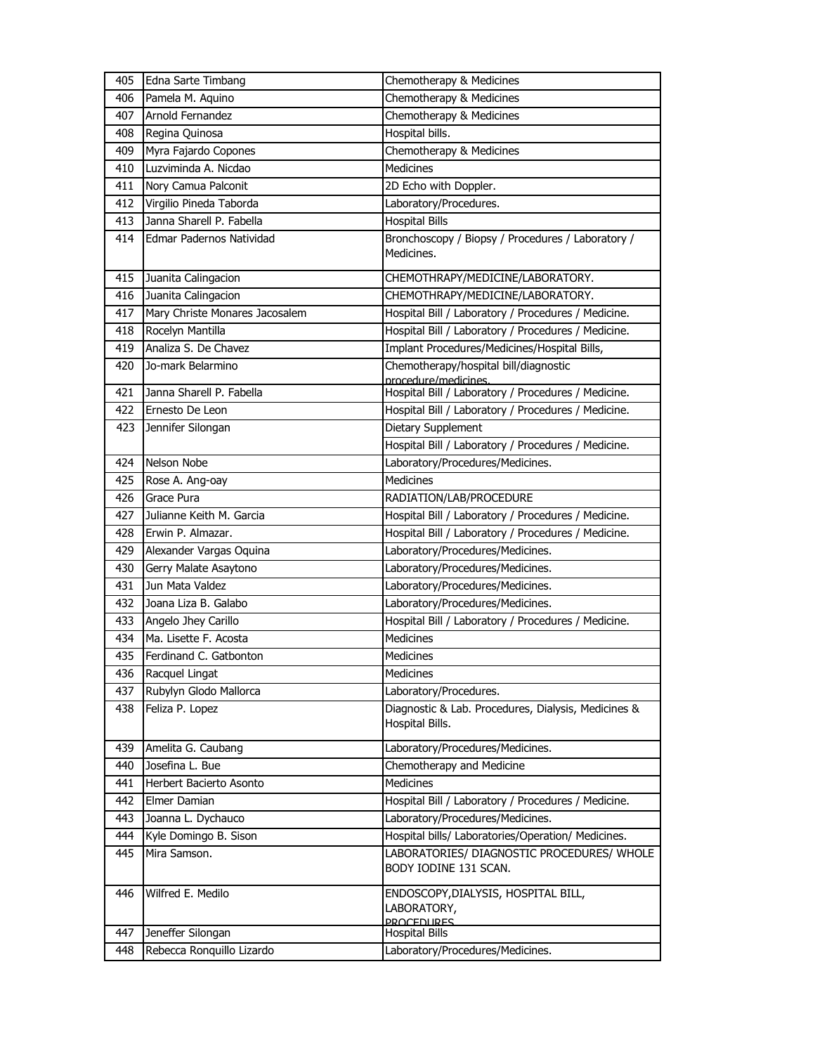| 405 | Edna Sarte Timbang             | Chemotherapy & Medicines                                                |
|-----|--------------------------------|-------------------------------------------------------------------------|
| 406 | Pamela M. Aquino               | Chemotherapy & Medicines                                                |
| 407 | Arnold Fernandez               | Chemotherapy & Medicines                                                |
| 408 | Regina Quinosa                 | Hospital bills.                                                         |
| 409 | Myra Fajardo Copones           | Chemotherapy & Medicines                                                |
| 410 | Luzviminda A. Nicdao           | <b>Medicines</b>                                                        |
| 411 | Nory Camua Palconit            | 2D Echo with Doppler.                                                   |
| 412 | Virgilio Pineda Taborda        | Laboratory/Procedures.                                                  |
| 413 | Janna Sharell P. Fabella       | <b>Hospital Bills</b>                                                   |
| 414 | Edmar Padernos Natividad       | Bronchoscopy / Biopsy / Procedures / Laboratory /<br>Medicines.         |
| 415 | Juanita Calingacion            | CHEMOTHRAPY/MEDICINE/LABORATORY.                                        |
| 416 | Juanita Calingacion            | CHEMOTHRAPY/MEDICINE/LABORATORY.                                        |
| 417 | Mary Christe Monares Jacosalem | Hospital Bill / Laboratory / Procedures / Medicine.                     |
| 418 | Rocelyn Mantilla               | Hospital Bill / Laboratory / Procedures / Medicine.                     |
| 419 | Analiza S. De Chavez           | Implant Procedures/Medicines/Hospital Bills,                            |
| 420 | Jo-mark Belarmino              | Chemotherapy/hospital bill/diagnostic<br>procedure/medicines.           |
| 421 | Janna Sharell P. Fabella       | Hospital Bill / Laboratory / Procedures / Medicine.                     |
| 422 | Ernesto De Leon                | Hospital Bill / Laboratory / Procedures / Medicine.                     |
| 423 | Jennifer Silongan              | Dietary Supplement                                                      |
|     |                                | Hospital Bill / Laboratory / Procedures / Medicine.                     |
| 424 | Nelson Nobe                    | Laboratory/Procedures/Medicines.                                        |
| 425 | Rose A. Ang-oay                | <b>Medicines</b>                                                        |
| 426 | Grace Pura                     | RADIATION/LAB/PROCEDURE                                                 |
| 427 | Julianne Keith M. Garcia       | Hospital Bill / Laboratory / Procedures / Medicine.                     |
| 428 | Erwin P. Almazar.              | Hospital Bill / Laboratory / Procedures / Medicine.                     |
| 429 | Alexander Vargas Oquina        | Laboratory/Procedures/Medicines.                                        |
| 430 | Gerry Malate Asaytono          | Laboratory/Procedures/Medicines.                                        |
| 431 | Jun Mata Valdez                | Laboratory/Procedures/Medicines.                                        |
| 432 | Joana Liza B. Galabo           | Laboratory/Procedures/Medicines.                                        |
| 433 | Angelo Jhey Carillo            | Hospital Bill / Laboratory / Procedures / Medicine.                     |
| 434 | Ma. Lisette F. Acosta          | Medicines                                                               |
| 435 | Ferdinand C. Gatbonton         | <b>Medicines</b>                                                        |
| 436 | Racquel Lingat                 | Medicines                                                               |
| 437 | Rubylyn Glodo Mallorca         | Laboratory/Procedures.                                                  |
| 438 | Feliza P. Lopez                | Diagnostic & Lab. Procedures, Dialysis, Medicines &<br>Hospital Bills.  |
| 439 | Amelita G. Caubang             | Laboratory/Procedures/Medicines.                                        |
| 440 | Josefina L. Bue                | Chemotherapy and Medicine                                               |
| 441 | Herbert Bacierto Asonto        | Medicines                                                               |
| 442 | Elmer Damian                   | Hospital Bill / Laboratory / Procedures / Medicine.                     |
| 443 | Joanna L. Dychauco             | Laboratory/Procedures/Medicines.                                        |
| 444 | Kyle Domingo B. Sison          | Hospital bills/ Laboratories/Operation/ Medicines.                      |
| 445 | Mira Samson.                   | LABORATORIES/ DIAGNOSTIC PROCEDURES/ WHOLE<br>BODY IODINE 131 SCAN.     |
| 446 | Wilfred E. Medilo              | ENDOSCOPY, DIALYSIS, HOSPITAL BILL,<br>LABORATORY,<br><b>PROCEDURES</b> |
| 447 | Jeneffer Silongan              | <b>Hospital Bills</b>                                                   |
| 448 | Rebecca Ronquillo Lizardo      | Laboratory/Procedures/Medicines.                                        |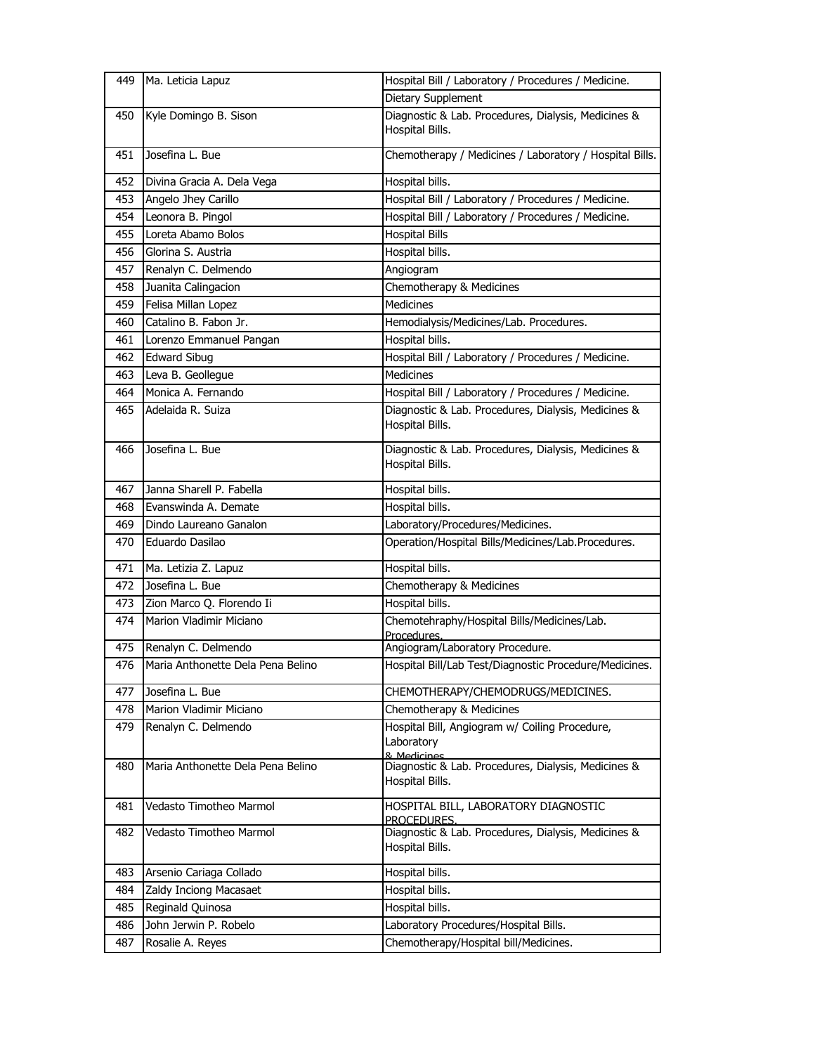| 449 | Ma. Leticia Lapuz                 | Hospital Bill / Laboratory / Procedures / Medicine.                         |
|-----|-----------------------------------|-----------------------------------------------------------------------------|
|     |                                   | Dietary Supplement                                                          |
| 450 | Kyle Domingo B. Sison             | Diagnostic & Lab. Procedures, Dialysis, Medicines &<br>Hospital Bills.      |
| 451 | Josefina L. Bue                   | Chemotherapy / Medicines / Laboratory / Hospital Bills.                     |
| 452 | Divina Gracia A. Dela Vega        | Hospital bills.                                                             |
| 453 | Angelo Jhey Carillo               | Hospital Bill / Laboratory / Procedures / Medicine.                         |
| 454 | Leonora B. Pingol                 | Hospital Bill / Laboratory / Procedures / Medicine.                         |
| 455 | Loreta Abamo Bolos                | <b>Hospital Bills</b>                                                       |
| 456 | Glorina S. Austria                | Hospital bills.                                                             |
| 457 | Renalyn C. Delmendo               | Angiogram                                                                   |
| 458 | Juanita Calingacion               | Chemotherapy & Medicines                                                    |
| 459 | Felisa Millan Lopez               | <b>Medicines</b>                                                            |
| 460 | Catalino B. Fabon Jr.             | Hemodialysis/Medicines/Lab. Procedures.                                     |
| 461 | Lorenzo Emmanuel Pangan           | Hospital bills.                                                             |
| 462 | <b>Edward Sibug</b>               | Hospital Bill / Laboratory / Procedures / Medicine.                         |
| 463 | Leva B. Geollegue                 | <b>Medicines</b>                                                            |
| 464 | Monica A. Fernando                | Hospital Bill / Laboratory / Procedures / Medicine.                         |
| 465 | Adelaida R. Suiza                 | Diagnostic & Lab. Procedures, Dialysis, Medicines &                         |
|     |                                   | Hospital Bills.                                                             |
| 466 | Josefina L. Bue                   | Diagnostic & Lab. Procedures, Dialysis, Medicines &<br>Hospital Bills.      |
| 467 | Janna Sharell P. Fabella          | Hospital bills.                                                             |
| 468 | Evanswinda A. Demate              | Hospital bills.                                                             |
| 469 | Dindo Laureano Ganalon            | Laboratory/Procedures/Medicines.                                            |
| 470 | Eduardo Dasilao                   | Operation/Hospital Bills/Medicines/Lab.Procedures.                          |
| 471 | Ma. Letizia Z. Lapuz              | Hospital bills.                                                             |
| 472 | Josefina L. Bue                   | Chemotherapy & Medicines                                                    |
| 473 | Zion Marco Q. Florendo Ii         | Hospital bills.                                                             |
| 474 | Marion Vladimir Miciano           | Chemotehraphy/Hospital Bills/Medicines/Lab.<br>Procedures.                  |
| 475 | Renalyn C. Delmendo               | Angiogram/Laboratory Procedure.                                             |
| 476 | Maria Anthonette Dela Pena Belino | Hospital Bill/Lab Test/Diagnostic Procedure/Medicines.                      |
| 477 | Josefina L. Bue                   | CHEMOTHERAPY/CHEMODRUGS/MEDICINES.                                          |
| 478 | Marion Vladimir Miciano           | Chemotherapy & Medicines                                                    |
| 479 | Renalyn C. Delmendo               | Hospital Bill, Angiogram w/ Coiling Procedure,<br>Laboratory<br>& Medicines |
| 480 | Maria Anthonette Dela Pena Belino | Diagnostic & Lab. Procedures, Dialysis, Medicines &<br>Hospital Bills.      |
| 481 | Vedasto Timotheo Marmol           | HOSPITAL BILL, LABORATORY DIAGNOSTIC<br>PROCEDURES.                         |
| 482 | Vedasto Timotheo Marmol           | Diagnostic & Lab. Procedures, Dialysis, Medicines &<br>Hospital Bills.      |
| 483 | Arsenio Cariaga Collado           | Hospital bills.                                                             |
| 484 | Zaldy Inciong Macasaet            | Hospital bills.                                                             |
| 485 | Reginald Quinosa                  | Hospital bills.                                                             |
| 486 | John Jerwin P. Robelo             | Laboratory Procedures/Hospital Bills.                                       |
| 487 | Rosalie A. Reyes                  | Chemotherapy/Hospital bill/Medicines.                                       |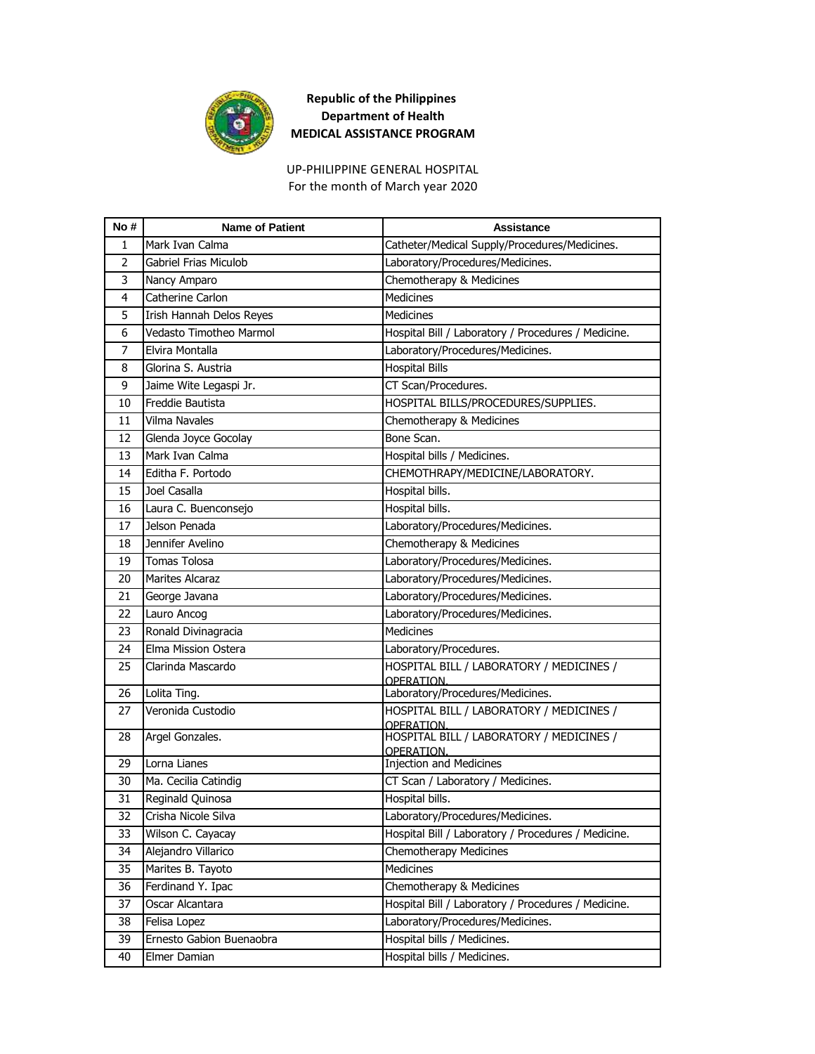

For the month of March year 2020 UP-PHILIPPINE GENERAL HOSPITAL

| No#            | <b>Name of Patient</b>   | <b>Assistance</b>                                      |
|----------------|--------------------------|--------------------------------------------------------|
| 1              | Mark Ivan Calma          | Catheter/Medical Supply/Procedures/Medicines.          |
| $\overline{2}$ | Gabriel Frias Miculob    | Laboratory/Procedures/Medicines.                       |
| 3              | Nancy Amparo             | Chemotherapy & Medicines                               |
| 4              | Catherine Carlon         | <b>Medicines</b>                                       |
| 5              | Irish Hannah Delos Reyes | <b>Medicines</b>                                       |
| 6              | Vedasto Timotheo Marmol  | Hospital Bill / Laboratory / Procedures / Medicine.    |
| 7              | Elvira Montalla          | Laboratory/Procedures/Medicines.                       |
| 8              | Glorina S. Austria       | <b>Hospital Bills</b>                                  |
| 9              | Jaime Wite Legaspi Jr.   | CT Scan/Procedures.                                    |
| 10             | Freddie Bautista         | HOSPITAL BILLS/PROCEDURES/SUPPLIES.                    |
| 11             | <b>Vilma Navales</b>     | Chemotherapy & Medicines                               |
| 12             | Glenda Joyce Gocolay     | Bone Scan.                                             |
| 13             | Mark Ivan Calma          | Hospital bills / Medicines.                            |
| 14             | Editha F. Portodo        | CHEMOTHRAPY/MEDICINE/LABORATORY.                       |
| 15             | Joel Casalla             | Hospital bills.                                        |
| 16             | Laura C. Buenconsejo     | Hospital bills.                                        |
| 17             | Jelson Penada            | Laboratory/Procedures/Medicines.                       |
| 18             | Jennifer Avelino         | Chemotherapy & Medicines                               |
| 19             | <b>Tomas Tolosa</b>      | Laboratory/Procedures/Medicines.                       |
| 20             | <b>Marites Alcaraz</b>   | Laboratory/Procedures/Medicines.                       |
| 21             | George Javana            | Laboratory/Procedures/Medicines.                       |
| 22             | Lauro Ancog              | Laboratory/Procedures/Medicines.                       |
| 23             | Ronald Divinagracia      | <b>Medicines</b>                                       |
| 24             | Elma Mission Ostera      | Laboratory/Procedures.                                 |
| 25             | Clarinda Mascardo        | HOSPITAL BILL / LABORATORY / MEDICINES /<br>OPERATION. |
| 26             | Lolita Ting.             | Laboratory/Procedures/Medicines.                       |
| 27             | Veronida Custodio        | HOSPITAL BILL / LABORATORY / MEDICINES /<br>OPFRATION. |
| 28             | Argel Gonzales.          | HOSPITAL BILL / LABORATORY / MEDICINES /<br>OPFRATION. |
| 29             | Lorna Lianes             | <b>Injection and Medicines</b>                         |
| 30             | Ma. Cecilia Catindig     | CT Scan / Laboratory / Medicines.                      |
| 31             | Reginald Quinosa         | Hospital bills.                                        |
| 32             | Crisha Nicole Silva      | Laboratory/Procedures/Medicines.                       |
| 33             | Wilson C. Cayacay        | Hospital Bill / Laboratory / Procedures / Medicine.    |
| 34             | Alejandro Villarico      | <b>Chemotherapy Medicines</b>                          |
| 35             | Marites B. Tayoto        | Medicines                                              |
| 36             | Ferdinand Y. Ipac        | Chemotherapy & Medicines                               |
| 37             | Oscar Alcantara          | Hospital Bill / Laboratory / Procedures / Medicine.    |
| 38             | Felisa Lopez             | Laboratory/Procedures/Medicines.                       |
| 39             | Ernesto Gabion Buenaobra | Hospital bills / Medicines.                            |
| 40             | Elmer Damian             | Hospital bills / Medicines.                            |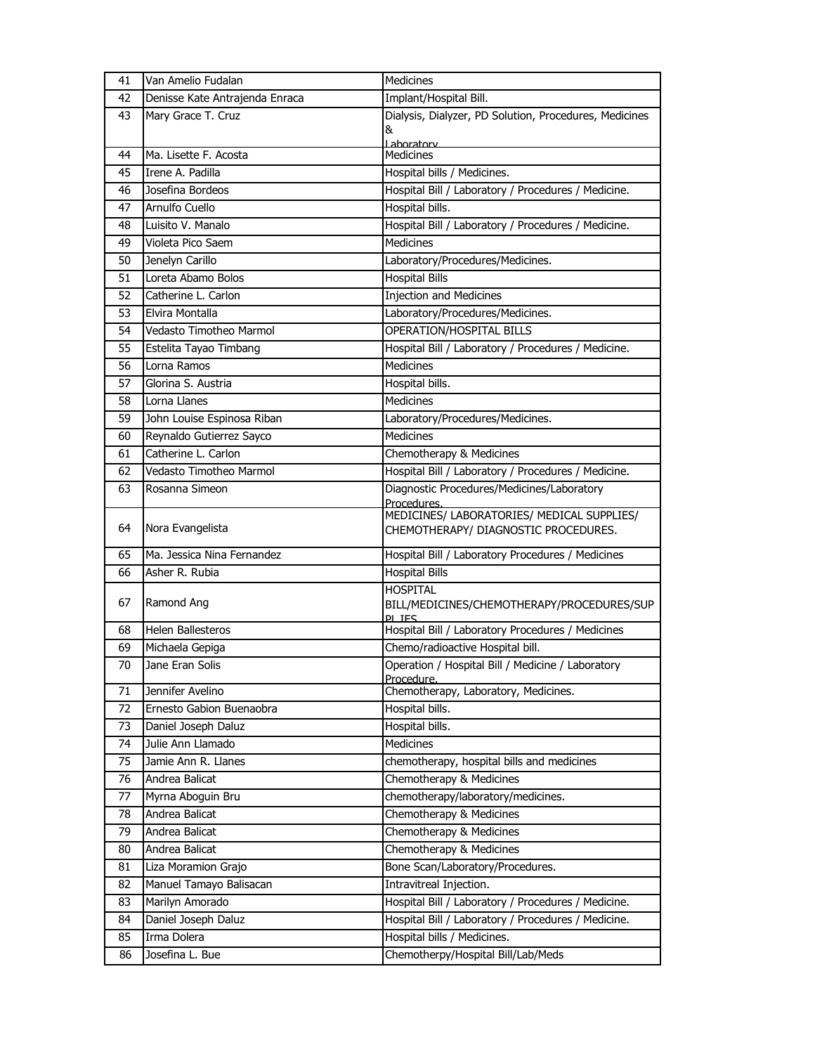| 41 | Van Amelio Fudalan             | Medicines                                                          |
|----|--------------------------------|--------------------------------------------------------------------|
| 42 | Denisse Kate Antrajenda Enraca | Implant/Hospital Bill.                                             |
| 43 | Mary Grace T. Cruz             | Dialysis, Dialyzer, PD Solution, Procedures, Medicines             |
|    |                                | &                                                                  |
| 44 | Ma. Lisette F. Acosta          | Laboratory<br><b>Medicines</b>                                     |
| 45 | Irene A. Padilla               | Hospital bills / Medicines.                                        |
| 46 | Josefina Bordeos               | Hospital Bill / Laboratory / Procedures / Medicine.                |
| 47 | Arnulfo Cuello                 | Hospital bills.                                                    |
| 48 | Luisito V. Manalo              | Hospital Bill / Laboratory / Procedures / Medicine.                |
| 49 | Violeta Pico Saem              | <b>Medicines</b>                                                   |
| 50 | Jenelyn Carillo                | Laboratory/Procedures/Medicines.                                   |
| 51 | Loreta Abamo Bolos             | Hospital Bills                                                     |
| 52 | Catherine L. Carlon            | <b>Injection and Medicines</b>                                     |
| 53 | Elvira Montalla                | Laboratory/Procedures/Medicines.                                   |
| 54 | Vedasto Timotheo Marmol        | <b>OPERATION/HOSPITAL BILLS</b>                                    |
| 55 | Estelita Tayao Timbang         | Hospital Bill / Laboratory / Procedures / Medicine.                |
| 56 | Lorna Ramos                    | <b>Medicines</b>                                                   |
| 57 | Glorina S. Austria             | Hospital bills.                                                    |
| 58 | Lorna Llanes                   | Medicines                                                          |
| 59 | John Louise Espinosa Riban     | Laboratory/Procedures/Medicines.                                   |
| 60 | Reynaldo Gutierrez Sayco       | <b>Medicines</b>                                                   |
| 61 | Catherine L. Carlon            | Chemotherapy & Medicines                                           |
| 62 | Vedasto Timotheo Marmol        | Hospital Bill / Laboratory / Procedures / Medicine.                |
| 63 | Rosanna Simeon                 | Diagnostic Procedures/Medicines/Laboratory                         |
|    |                                | Procedures.                                                        |
|    |                                | MEDICINES/ LABORATORIES/ MEDICAL SUPPLIES/                         |
| 64 | Nora Evangelista               | CHEMOTHERAPY/ DIAGNOSTIC PROCEDURES.                               |
| 65 | Ma. Jessica Nina Fernandez     | Hospital Bill / Laboratory Procedures / Medicines                  |
| 66 | Asher R. Rubia                 | <b>Hospital Bills</b>                                              |
|    |                                | <b>HOSPITAL</b>                                                    |
| 67 | Ramond Ang                     | BILL/MEDICINES/CHEMOTHERAPY/PROCEDURES/SUP                         |
| 68 | <b>Helen Ballesteros</b>       | <b>PI TES</b><br>Hospital Bill / Laboratory Procedures / Medicines |
| 69 | Michaela Gepiga                | Chemo/radioactive Hospital bill.                                   |
| 70 | Jane Eran Solis                | Operation / Hospital Bill / Medicine / Laboratory                  |
|    |                                | Procedure.                                                         |
| 71 | Jennifer Avelino               | Chemotherapy, Laboratory, Medicines.                               |
| 72 | Ernesto Gabion Buenaobra       | Hospital bills.                                                    |
| 73 | Daniel Joseph Daluz            | Hospital bills.                                                    |
| 74 | Julie Ann Llamado              | Medicines                                                          |
| 75 | Jamie Ann R. Llanes            | chemotherapy, hospital bills and medicines                         |
| 76 | Andrea Balicat                 | Chemotherapy & Medicines                                           |
| 77 | Myrna Aboguin Bru              | chemotherapy/laboratory/medicines.                                 |
| 78 | Andrea Balicat                 | Chemotherapy & Medicines                                           |
| 79 | Andrea Balicat                 | Chemotherapy & Medicines                                           |
| 80 | Andrea Balicat                 | Chemotherapy & Medicines                                           |
| 81 | Liza Moramion Grajo            | Bone Scan/Laboratory/Procedures.                                   |
| 82 | Manuel Tamayo Balisacan        | Intravitreal Injection.                                            |
| 83 | Marilyn Amorado                | Hospital Bill / Laboratory / Procedures / Medicine.                |
| 84 | Daniel Joseph Daluz            | Hospital Bill / Laboratory / Procedures / Medicine.                |
| 85 | Irma Dolera                    | Hospital bills / Medicines.                                        |
| 86 | Josefina L. Bue                | Chemotherpy/Hospital Bill/Lab/Meds                                 |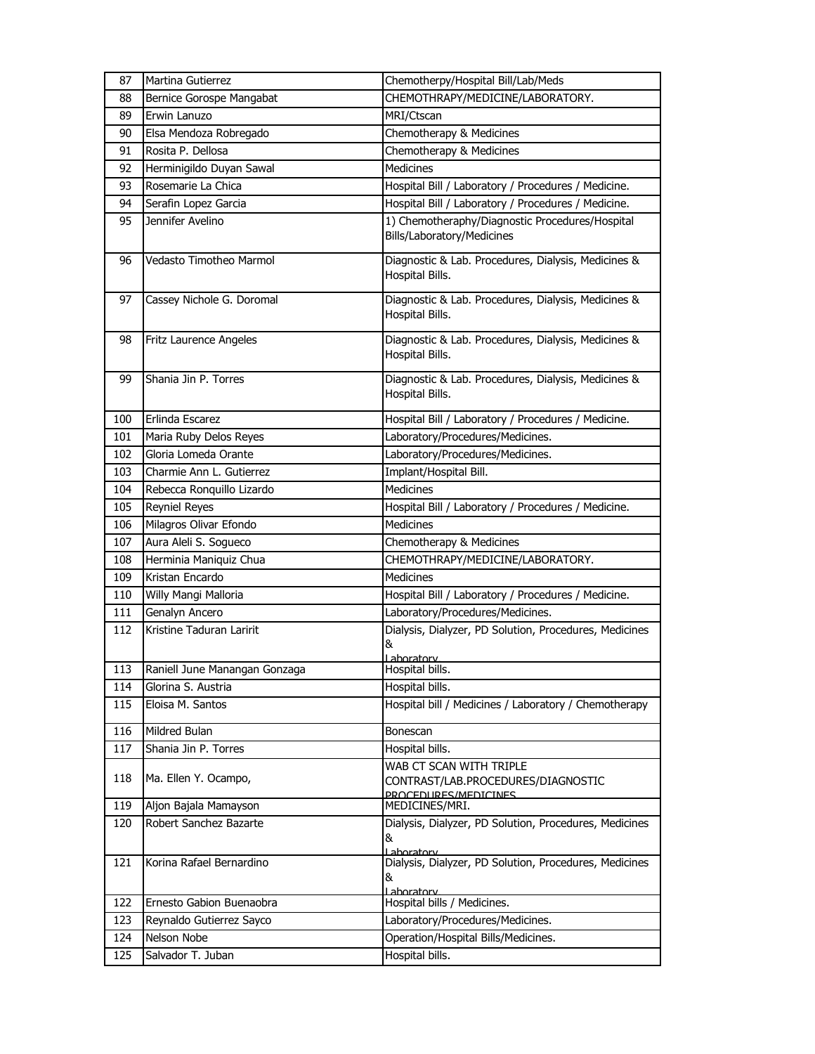| 87  | Martina Gutierrez             | Chemotherpy/Hospital Bill/Lab/Meds                                                    |
|-----|-------------------------------|---------------------------------------------------------------------------------------|
| 88  | Bernice Gorospe Mangabat      | CHEMOTHRAPY/MEDICINE/LABORATORY.                                                      |
| 89  | Erwin Lanuzo                  | MRI/Ctscan                                                                            |
| 90  | Elsa Mendoza Robregado        | Chemotherapy & Medicines                                                              |
| 91  | Rosita P. Dellosa             | Chemotherapy & Medicines                                                              |
| 92  | Herminigildo Duyan Sawal      | <b>Medicines</b>                                                                      |
| 93  | Rosemarie La Chica            | Hospital Bill / Laboratory / Procedures / Medicine.                                   |
| 94  | Serafin Lopez Garcia          | Hospital Bill / Laboratory / Procedures / Medicine.                                   |
| 95  | Jennifer Avelino              | 1) Chemotheraphy/Diagnostic Procedures/Hospital<br>Bills/Laboratory/Medicines         |
| 96  | Vedasto Timotheo Marmol       | Diagnostic & Lab. Procedures, Dialysis, Medicines &<br>Hospital Bills.                |
| 97  | Cassey Nichole G. Doromal     | Diagnostic & Lab. Procedures, Dialysis, Medicines &<br>Hospital Bills.                |
| 98  | Fritz Laurence Angeles        | Diagnostic & Lab. Procedures, Dialysis, Medicines &<br>Hospital Bills.                |
| 99  | Shania Jin P. Torres          | Diagnostic & Lab. Procedures, Dialysis, Medicines &<br>Hospital Bills.                |
| 100 | Erlinda Escarez               | Hospital Bill / Laboratory / Procedures / Medicine.                                   |
| 101 | Maria Ruby Delos Reyes        | Laboratory/Procedures/Medicines.                                                      |
| 102 | Gloria Lomeda Orante          | Laboratory/Procedures/Medicines.                                                      |
| 103 | Charmie Ann L. Gutierrez      | Implant/Hospital Bill.                                                                |
| 104 | Rebecca Ronquillo Lizardo     | <b>Medicines</b>                                                                      |
| 105 | <b>Reyniel Reyes</b>          | Hospital Bill / Laboratory / Procedures / Medicine.                                   |
| 106 | Milagros Olivar Efondo        | <b>Medicines</b>                                                                      |
| 107 | Aura Aleli S. Sogueco         | Chemotherapy & Medicines                                                              |
| 108 | Herminia Maniquiz Chua        | CHEMOTHRAPY/MEDICINE/LABORATORY.                                                      |
| 109 | Kristan Encardo               | <b>Medicines</b>                                                                      |
| 110 | Willy Mangi Malloria          | Hospital Bill / Laboratory / Procedures / Medicine.                                   |
| 111 | Genalyn Ancero                | Laboratory/Procedures/Medicines.                                                      |
| 112 | Kristine Taduran Laririt      | Dialysis, Dialyzer, PD Solution, Procedures, Medicines<br>&<br><u>  aboratory</u>     |
| 113 | Raniell June Manangan Gonzaga | Hospital bills.                                                                       |
| 114 | Glorina S. Austria            | Hospital bills.                                                                       |
| 115 | Eloisa M. Santos              | Hospital bill / Medicines / Laboratory / Chemotherapy                                 |
| 116 | Mildred Bulan                 | Bonescan                                                                              |
| 117 | Shania Jin P. Torres          | Hospital bills.                                                                       |
| 118 | Ma. Ellen Y. Ocampo,          | WAB CT SCAN WITH TRIPLE<br>CONTRAST/LAB.PROCEDURES/DIAGNOSTIC<br>PROCEDURES/MEDICINES |
| 119 | Aljon Bajala Mamayson         | MEDICINES/MRI.                                                                        |
| 120 | Robert Sanchez Bazarte        | Dialysis, Dialyzer, PD Solution, Procedures, Medicines<br>&<br>Laboratory             |
| 121 | Korina Rafael Bernardino      | Dialysis, Dialyzer, PD Solution, Procedures, Medicines<br>&<br>Laboratory             |
| 122 | Ernesto Gabion Buenaobra      | Hospital bills / Medicines.                                                           |
| 123 | Reynaldo Gutierrez Sayco      | Laboratory/Procedures/Medicines.                                                      |
| 124 | Nelson Nobe                   | Operation/Hospital Bills/Medicines.                                                   |
| 125 | Salvador T. Juban             | Hospital bills.                                                                       |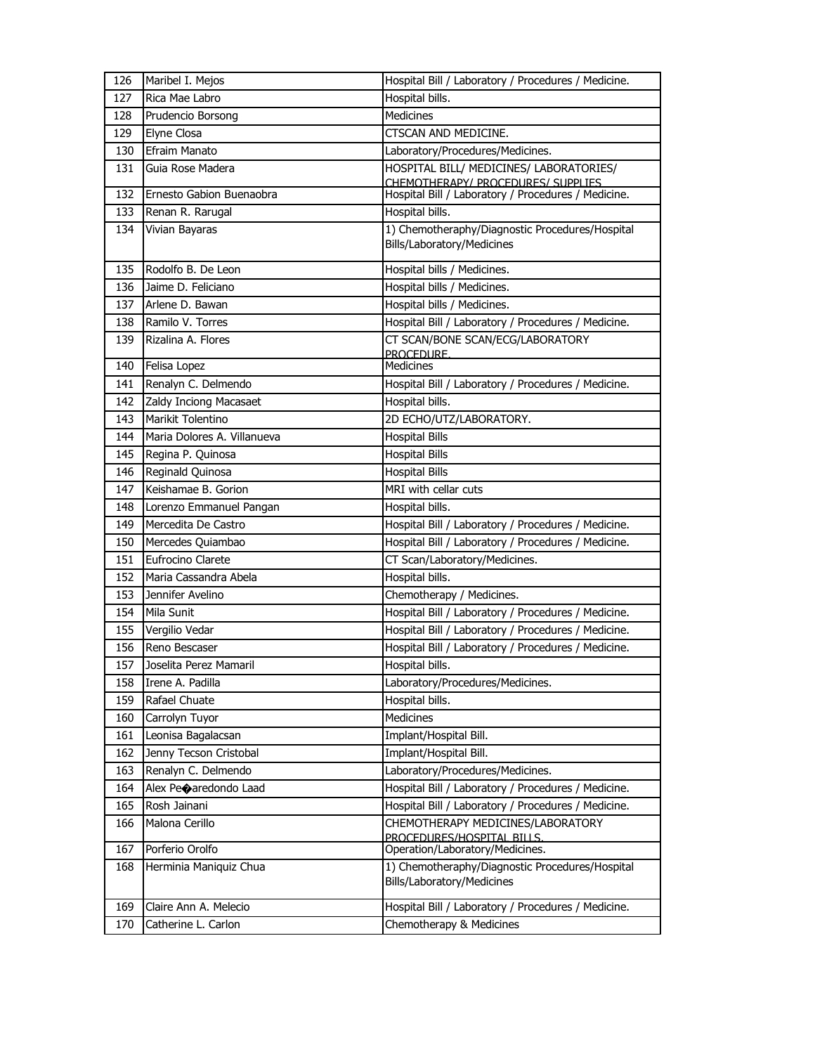| 126 | Maribel I. Mejos            | Hospital Bill / Laboratory / Procedures / Medicine.                           |
|-----|-----------------------------|-------------------------------------------------------------------------------|
| 127 | Rica Mae Labro              | Hospital bills.                                                               |
| 128 | Prudencio Borsong           | Medicines                                                                     |
| 129 | Elyne Closa                 | CTSCAN AND MEDICINE.                                                          |
| 130 | <b>Efraim Manato</b>        | Laboratory/Procedures/Medicines.                                              |
| 131 | Guia Rose Madera            | HOSPITAL BILL/ MEDICINES/ LABORATORIES/<br>CHEMOTHERAPY/ PROCEDURES/ SUPPLIES |
| 132 | Ernesto Gabion Buenaobra    | Hospital Bill / Laboratory / Procedures / Medicine.                           |
| 133 | Renan R. Rarugal            | Hospital bills.                                                               |
| 134 | Vivian Bayaras              | 1) Chemotheraphy/Diagnostic Procedures/Hospital<br>Bills/Laboratory/Medicines |
| 135 | Rodolfo B. De Leon          | Hospital bills / Medicines.                                                   |
| 136 | Jaime D. Feliciano          | Hospital bills / Medicines.                                                   |
| 137 | Arlene D. Bawan             | Hospital bills / Medicines.                                                   |
| 138 | Ramilo V. Torres            | Hospital Bill / Laboratory / Procedures / Medicine.                           |
| 139 | Rizalina A. Flores          | CT SCAN/BONE SCAN/ECG/LABORATORY<br>PROCEDURE.                                |
| 140 | Felisa Lopez                | Medicines                                                                     |
| 141 | Renalyn C. Delmendo         | Hospital Bill / Laboratory / Procedures / Medicine.                           |
| 142 | Zaldy Inciong Macasaet      | Hospital bills.                                                               |
| 143 | Marikit Tolentino           | 2D ECHO/UTZ/LABORATORY.                                                       |
| 144 | Maria Dolores A. Villanueva | <b>Hospital Bills</b>                                                         |
| 145 | Regina P. Quinosa           | <b>Hospital Bills</b>                                                         |
| 146 | Reginald Quinosa            | <b>Hospital Bills</b>                                                         |
| 147 | Keishamae B. Gorion         | MRI with cellar cuts                                                          |
| 148 | Lorenzo Emmanuel Pangan     | Hospital bills.                                                               |
| 149 | Mercedita De Castro         | Hospital Bill / Laboratory / Procedures / Medicine.                           |
| 150 | Mercedes Quiambao           | Hospital Bill / Laboratory / Procedures / Medicine.                           |
| 151 | Eufrocino Clarete           | CT Scan/Laboratory/Medicines.                                                 |
| 152 | Maria Cassandra Abela       | Hospital bills.                                                               |
| 153 | Jennifer Avelino            | Chemotherapy / Medicines.                                                     |
| 154 | Mila Sunit                  | Hospital Bill / Laboratory / Procedures / Medicine.                           |
| 155 | Vergilio Vedar              | Hospital Bill / Laboratory / Procedures / Medicine.                           |
| 156 | Reno Bescaser               | Hospital Bill / Laboratory / Procedures / Medicine.                           |
| 157 | Joselita Perez Mamaril      | Hospital bills.                                                               |
| 158 | Irene A. Padilla            | Laboratory/Procedures/Medicines.                                              |
| 159 | Rafael Chuate               | Hospital bills.                                                               |
| 160 | Carrolyn Tuyor              | <b>Medicines</b>                                                              |
| 161 | Leonisa Bagalacsan          | Implant/Hospital Bill.                                                        |
| 162 | Jenny Tecson Cristobal      | Implant/Hospital Bill.                                                        |
| 163 | Renalyn C. Delmendo         | Laboratory/Procedures/Medicines.                                              |
| 164 | Alex Peoaredondo Laad       | Hospital Bill / Laboratory / Procedures / Medicine.                           |
| 165 | Rosh Jainani                | Hospital Bill / Laboratory / Procedures / Medicine.                           |
| 166 | Malona Cerillo              | CHEMOTHERAPY MEDICINES/LABORATORY<br>PROCEDURES/HOSPITAL BILLS.               |
| 167 | Porferio Orolfo             | Operation/Laboratory/Medicines.                                               |
| 168 | Herminia Maniquiz Chua      | 1) Chemotheraphy/Diagnostic Procedures/Hospital                               |
|     |                             | Bills/Laboratory/Medicines                                                    |
| 169 | Claire Ann A. Melecio       | Hospital Bill / Laboratory / Procedures / Medicine.                           |
| 170 | Catherine L. Carlon         | Chemotherapy & Medicines                                                      |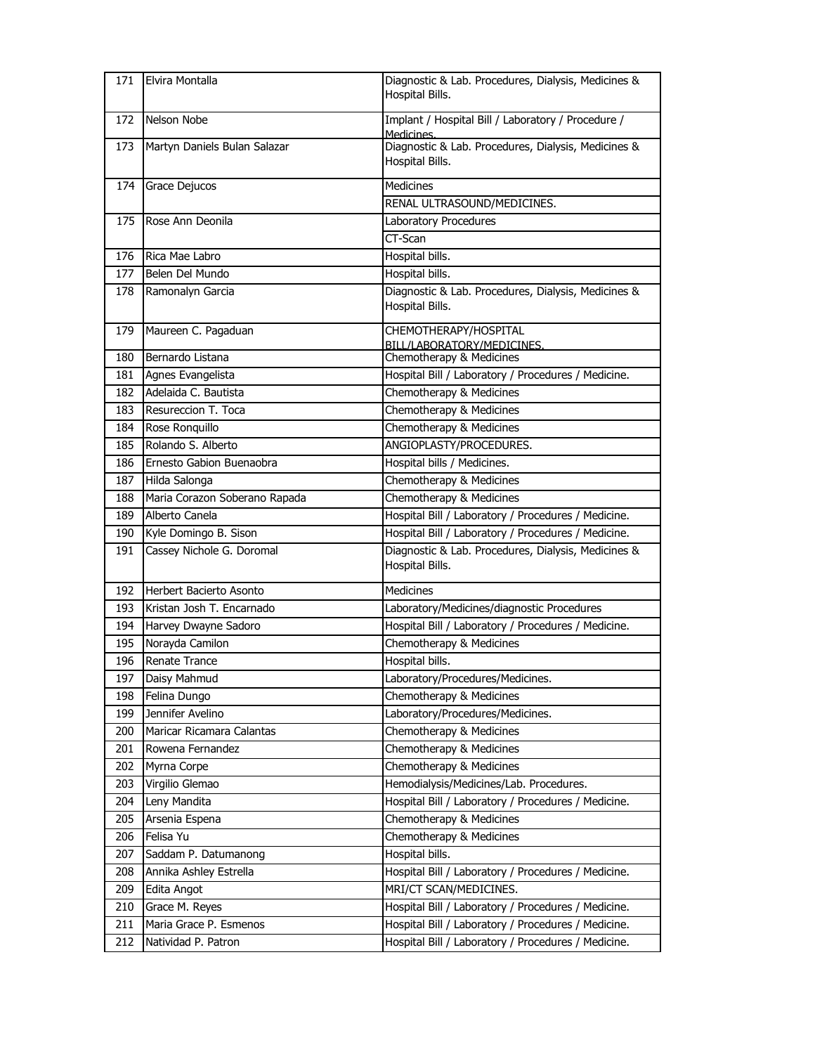| 171 | Elvira Montalla               | Diagnostic & Lab. Procedures, Dialysis, Medicines &<br>Hospital Bills. |
|-----|-------------------------------|------------------------------------------------------------------------|
| 172 | Nelson Nobe                   | Implant / Hospital Bill / Laboratory / Procedure /<br>Medicines.       |
| 173 | Martyn Daniels Bulan Salazar  | Diagnostic & Lab. Procedures, Dialysis, Medicines &<br>Hospital Bills. |
| 174 | Grace Dejucos                 | <b>Medicines</b>                                                       |
|     |                               | RENAL ULTRASOUND/MEDICINES.                                            |
| 175 | Rose Ann Deonila              | Laboratory Procedures<br>CT-Scan                                       |
| 176 | Rica Mae Labro                | Hospital bills.                                                        |
| 177 | Belen Del Mundo               | Hospital bills.                                                        |
| 178 | Ramonalyn Garcia              | Diagnostic & Lab. Procedures, Dialysis, Medicines &                    |
|     |                               | Hospital Bills.                                                        |
| 179 | Maureen C. Pagaduan           | CHEMOTHERAPY/HOSPITAL<br>BILL/LABORATORY/MEDICINES.                    |
| 180 | Bernardo Listana              | Chemotherapy & Medicines                                               |
| 181 | Agnes Evangelista             | Hospital Bill / Laboratory / Procedures / Medicine.                    |
| 182 | Adelaida C. Bautista          | Chemotherapy & Medicines                                               |
| 183 | Resureccion T. Toca           | Chemotherapy & Medicines                                               |
| 184 | Rose Ronquillo                | Chemotherapy & Medicines                                               |
| 185 | Rolando S. Alberto            | ANGIOPLASTY/PROCEDURES.                                                |
| 186 | Ernesto Gabion Buenaobra      | Hospital bills / Medicines.                                            |
| 187 | Hilda Salonga                 | Chemotherapy & Medicines                                               |
| 188 | Maria Corazon Soberano Rapada | Chemotherapy & Medicines                                               |
| 189 | Alberto Canela                | Hospital Bill / Laboratory / Procedures / Medicine.                    |
| 190 | Kyle Domingo B. Sison         | Hospital Bill / Laboratory / Procedures / Medicine.                    |
| 191 | Cassey Nichole G. Doromal     | Diagnostic & Lab. Procedures, Dialysis, Medicines &<br>Hospital Bills. |
| 192 | Herbert Bacierto Asonto       | Medicines                                                              |
| 193 | Kristan Josh T. Encarnado     | Laboratory/Medicines/diagnostic Procedures                             |
| 194 | Harvey Dwayne Sadoro          | Hospital Bill / Laboratory / Procedures / Medicine.                    |
| 195 | Norayda Camilon               | Chemotherapy & Medicines                                               |
| 196 | <b>Renate Trance</b>          | Hospital bills.                                                        |
| 197 | Daisy Mahmud                  | Laboratory/Procedures/Medicines.                                       |
| 198 | Felina Dungo                  | Chemotherapy & Medicines                                               |
| 199 | Jennifer Avelino              | Laboratory/Procedures/Medicines.                                       |
| 200 | Maricar Ricamara Calantas     | Chemotherapy & Medicines                                               |
| 201 | Rowena Fernandez              | Chemotherapy & Medicines                                               |
| 202 | Myrna Corpe                   | Chemotherapy & Medicines                                               |
| 203 | Virgilio Glemao               | Hemodialysis/Medicines/Lab. Procedures.                                |
| 204 | Leny Mandita                  | Hospital Bill / Laboratory / Procedures / Medicine.                    |
| 205 | Arsenia Espena                | Chemotherapy & Medicines                                               |
| 206 | Felisa Yu                     | Chemotherapy & Medicines                                               |
| 207 | Saddam P. Datumanong          | Hospital bills.                                                        |
| 208 | Annika Ashley Estrella        | Hospital Bill / Laboratory / Procedures / Medicine.                    |
| 209 | Edita Angot                   | MRI/CT SCAN/MEDICINES.                                                 |
| 210 | Grace M. Reyes                | Hospital Bill / Laboratory / Procedures / Medicine.                    |
| 211 | Maria Grace P. Esmenos        | Hospital Bill / Laboratory / Procedures / Medicine.                    |
| 212 | Natividad P. Patron           | Hospital Bill / Laboratory / Procedures / Medicine.                    |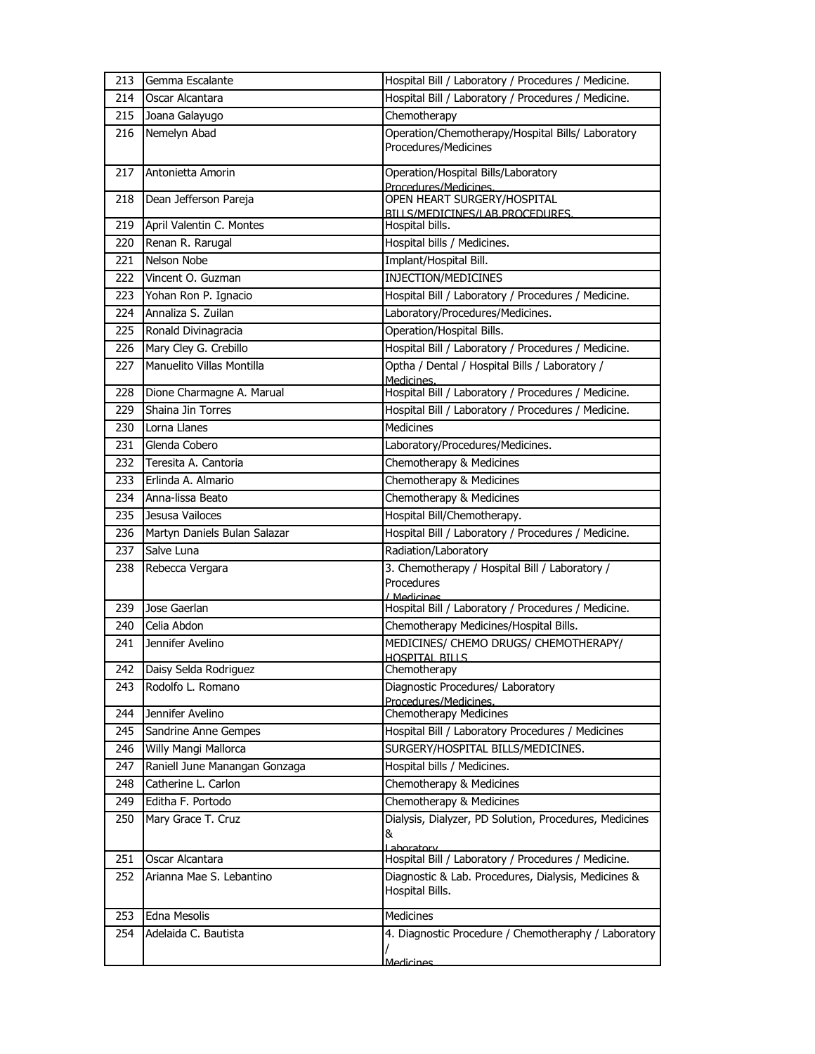| 213  | Gemma Escalante               | Hospital Bill / Laboratory / Procedures / Medicine.                         |
|------|-------------------------------|-----------------------------------------------------------------------------|
| 214  | Oscar Alcantara               | Hospital Bill / Laboratory / Procedures / Medicine.                         |
| 215  | Joana Galayugo                | Chemotherapy                                                                |
| 216  | Nemelyn Abad                  | Operation/Chemotherapy/Hospital Bills/ Laboratory<br>Procedures/Medicines   |
| 217  | Antonietta Amorin             | Operation/Hospital Bills/Laboratory<br>Procedures/Medicines.                |
| 218  | Dean Jefferson Pareja         | OPEN HEART SURGERY/HOSPITAL<br>BILLS/MEDICINES/LAB.PROCEDURES.              |
| 219  | April Valentin C. Montes      | Hospital bills.                                                             |
| 220  | Renan R. Rarugal              | Hospital bills / Medicines.                                                 |
| 221  | Nelson Nobe                   | Implant/Hospital Bill.                                                      |
| 222  | Vincent O. Guzman             | INJECTION/MEDICINES                                                         |
| 223  | Yohan Ron P. Ignacio          | Hospital Bill / Laboratory / Procedures / Medicine.                         |
| 224  | Annaliza S. Zuilan            | Laboratory/Procedures/Medicines.                                            |
| 225  | Ronald Divinagracia           | Operation/Hospital Bills.                                                   |
| 226  | Mary Cley G. Crebillo         | Hospital Bill / Laboratory / Procedures / Medicine.                         |
| 227  | Manuelito Villas Montilla     | Optha / Dental / Hospital Bills / Laboratory /<br>Medicines.                |
| 228  | Dione Charmagne A. Marual     | Hospital Bill / Laboratory / Procedures / Medicine.                         |
| 229  | Shaina Jin Torres             | Hospital Bill / Laboratory / Procedures / Medicine.                         |
| 230  | Lorna Llanes                  | <b>Medicines</b>                                                            |
| 231  | Glenda Cobero                 | Laboratory/Procedures/Medicines.                                            |
| 232  | Teresita A. Cantoria          | Chemotherapy & Medicines                                                    |
| 233  | Erlinda A. Almario            | Chemotherapy & Medicines                                                    |
| 234  | Anna-lissa Beato              | Chemotherapy & Medicines                                                    |
| 235  | Jesusa Vailoces               | Hospital Bill/Chemotherapy.                                                 |
| 236  | Martyn Daniels Bulan Salazar  | Hospital Bill / Laboratory / Procedures / Medicine.                         |
| 237  | Salve Luna                    | Radiation/Laboratory                                                        |
| 238  | Rebecca Vergara               | 3. Chemotherapy / Hospital Bill / Laboratory /<br>Procedures<br>/ Medicines |
| 239  | Jose Gaerlan                  | Hospital Bill / Laboratory / Procedures / Medicine.                         |
| 240  | Celia Abdon                   | Chemotherapy Medicines/Hospital Bills.                                      |
| 241  | Jennifer Avelino              | MEDICINES/ CHEMO DRUGS/ CHEMOTHERAPY/<br><b>HOSPITAL BILLS</b>              |
|      | 242 Daisy Selda Rodriguez     | Chemotherapy                                                                |
| 243. | Rodolfo L. Romano             | Diagnostic Procedures/ Laboratory<br>Procedures/Medicines.                  |
| 244  | Jennifer Avelino              | <b>Chemotherapy Medicines</b>                                               |
| 245  | Sandrine Anne Gempes          | Hospital Bill / Laboratory Procedures / Medicines                           |
| 246  | Willy Mangi Mallorca          | SURGERY/HOSPITAL BILLS/MEDICINES.                                           |
| 247  | Raniell June Manangan Gonzaga | Hospital bills / Medicines.                                                 |
| 248  | Catherine L. Carlon           | Chemotherapy & Medicines                                                    |
| 249  | Editha F. Portodo             | Chemotherapy & Medicines                                                    |
| 250  | Mary Grace T. Cruz            | Dialysis, Dialyzer, PD Solution, Procedures, Medicines<br>&                 |
| 251  | Oscar Alcantara               | Laboratory<br>Hospital Bill / Laboratory / Procedures / Medicine.           |
| 252  | Arianna Mae S. Lebantino      | Diagnostic & Lab. Procedures, Dialysis, Medicines &<br>Hospital Bills.      |
| 253  | Edna Mesolis                  | Medicines                                                                   |
| 254  | Adelaida C. Bautista          | 4. Diagnostic Procedure / Chemotheraphy / Laboratory                        |
|      |                               | Medicines                                                                   |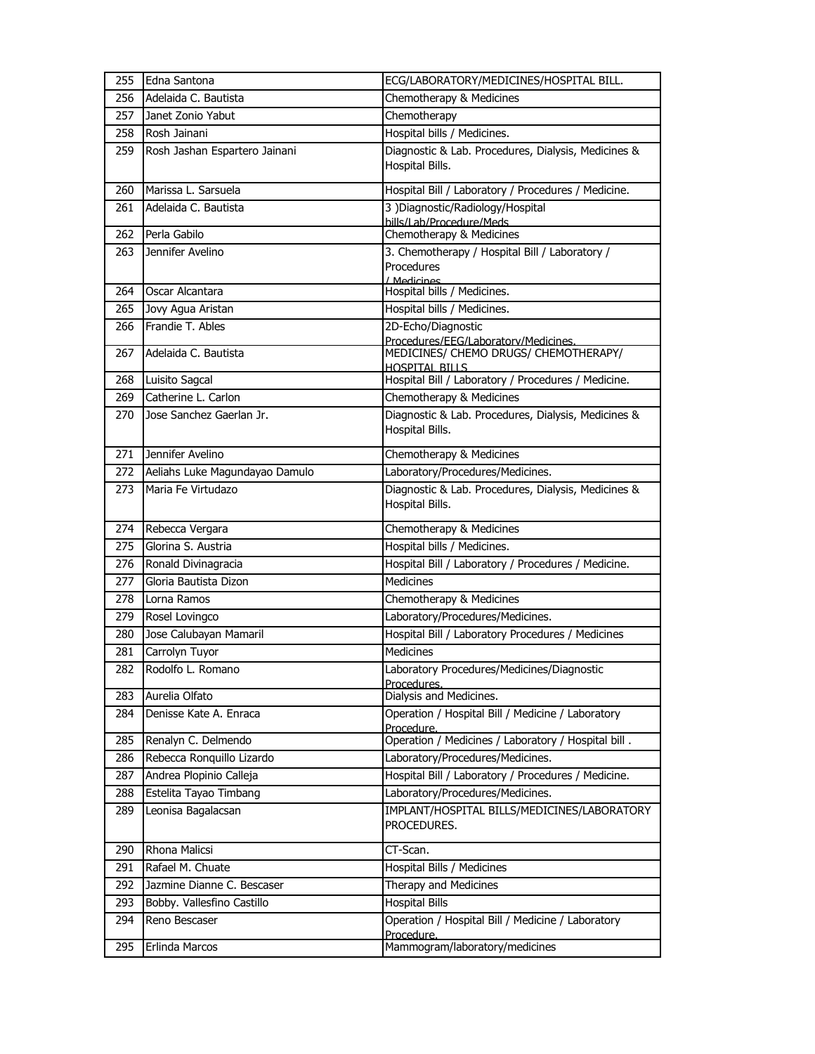| 255        | Edna Santona                   | ECG/LABORATORY/MEDICINES/HOSPITAL BILL.                                |
|------------|--------------------------------|------------------------------------------------------------------------|
| 256        | Adelaida C. Bautista           | Chemotherapy & Medicines                                               |
| 257        | Janet Zonio Yabut              | Chemotherapy                                                           |
| 258        | Rosh Jainani                   | Hospital bills / Medicines.                                            |
| 259        | Rosh Jashan Espartero Jainani  | Diagnostic & Lab. Procedures, Dialysis, Medicines &<br>Hospital Bills. |
| 260        | Marissa L. Sarsuela            | Hospital Bill / Laboratory / Procedures / Medicine.                    |
| 261        | Adelaida C. Bautista           | 3) Diagnostic/Radiology/Hospital                                       |
|            | Perla Gabilo                   | bills/Lab/Procedure/Meds<br>Chemotherapy & Medicines                   |
| 262<br>263 | Jennifer Avelino               | 3. Chemotherapy / Hospital Bill / Laboratory /                         |
|            |                                | Procedures                                                             |
|            |                                | / Medicines                                                            |
| 264        | Oscar Alcantara                | Hospital bills / Medicines.                                            |
| 265        | Jovy Agua Aristan              | Hospital bills / Medicines.                                            |
| 266        | Frandie T. Ables               | 2D-Echo/Diagnostic<br>Procedures/EEG/Laboratory/Medicines.             |
| 267        | Adelaida C. Bautista           | MEDICINES/ CHEMO DRUGS/ CHEMOTHERAPY/                                  |
|            |                                | <b>HOSPITAL BILLS</b>                                                  |
| 268        | Luisito Sagcal                 | Hospital Bill / Laboratory / Procedures / Medicine.                    |
| 269        | Catherine L. Carlon            | Chemotherapy & Medicines                                               |
| 270        | Jose Sanchez Gaerlan Jr.       | Diagnostic & Lab. Procedures, Dialysis, Medicines &<br>Hospital Bills. |
| 271        | Jennifer Avelino               | Chemotherapy & Medicines                                               |
| 272        | Aeliahs Luke Magundayao Damulo | Laboratory/Procedures/Medicines.                                       |
| 273        | Maria Fe Virtudazo             | Diagnostic & Lab. Procedures, Dialysis, Medicines &<br>Hospital Bills. |
| 274        | Rebecca Vergara                | Chemotherapy & Medicines                                               |
| 275        | Glorina S. Austria             | Hospital bills / Medicines.                                            |
| 276        | Ronald Divinagracia            | Hospital Bill / Laboratory / Procedures / Medicine.                    |
| 277        | Gloria Bautista Dizon          | <b>Medicines</b>                                                       |
| 278        | Lorna Ramos                    | Chemotherapy & Medicines                                               |
| 279        | Rosel Lovingco                 | Laboratory/Procedures/Medicines.                                       |
| 280        | Jose Calubayan Mamaril         | Hospital Bill / Laboratory Procedures / Medicines                      |
| 281        | Carrolyn Tuyor                 | <b>Medicines</b>                                                       |
| 282        | Rodolfo L. Romano              | Laboratory Procedures/Medicines/Diagnostic                             |
| 283        | Aurelia Olfato                 | Procedures.<br>Dialysis and Medicines.                                 |
| 284        | Denisse Kate A. Enraca         | Operation / Hospital Bill / Medicine / Laboratory                      |
|            |                                | Procedure.                                                             |
| 285        | Renalyn C. Delmendo            | Operation / Medicines / Laboratory / Hospital bill.                    |
| 286        | Rebecca Ronquillo Lizardo      | Laboratory/Procedures/Medicines.                                       |
| 287        | Andrea Plopinio Calleja        | Hospital Bill / Laboratory / Procedures / Medicine.                    |
| 288        | Estelita Tayao Timbang         | Laboratory/Procedures/Medicines.                                       |
| 289        | Leonisa Bagalacsan             | IMPLANT/HOSPITAL BILLS/MEDICINES/LABORATORY<br>PROCEDURES.             |
| 290        | Rhona Malicsi                  | CT-Scan.                                                               |
| 291        | Rafael M. Chuate               | Hospital Bills / Medicines                                             |
| 292        | Jazmine Dianne C. Bescaser     | Therapy and Medicines                                                  |
| 293        | Bobby. Vallesfino Castillo     | <b>Hospital Bills</b>                                                  |
| 294        | Reno Bescaser                  | Operation / Hospital Bill / Medicine / Laboratory<br>Procedure.        |
| 295        | Erlinda Marcos                 | Mammogram/laboratory/medicines                                         |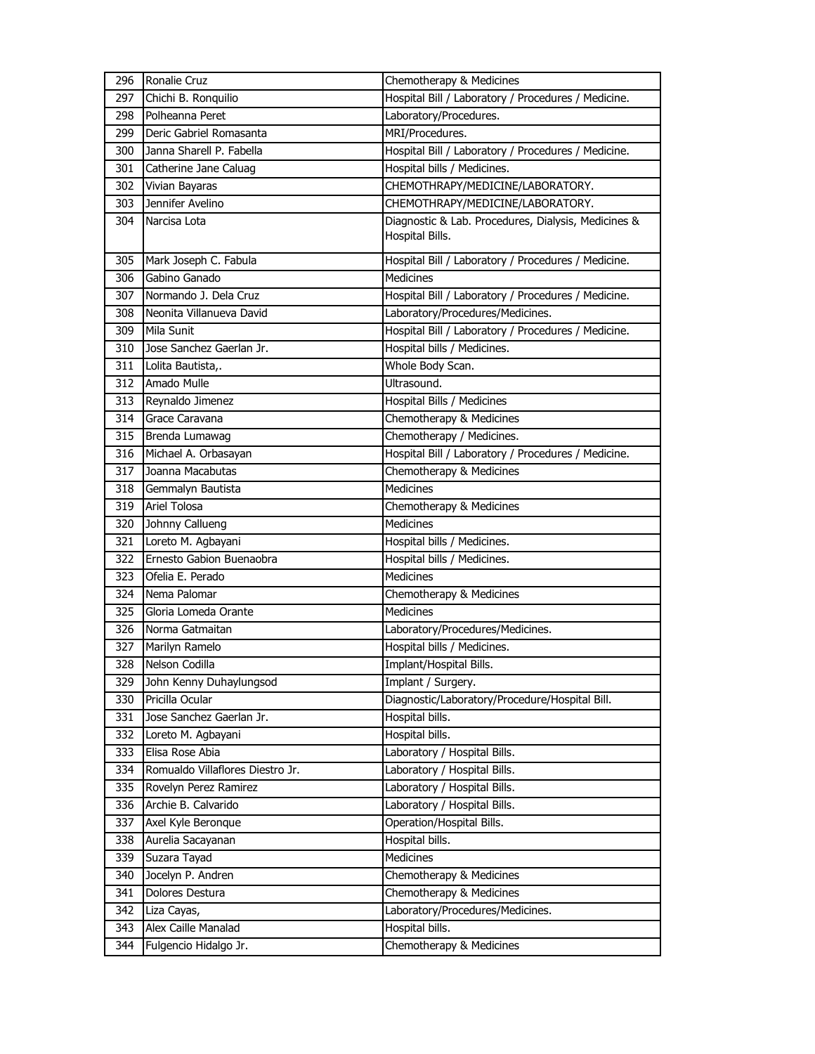| 296 | Ronalie Cruz                     | Chemotherapy & Medicines                                               |
|-----|----------------------------------|------------------------------------------------------------------------|
| 297 | Chichi B. Ronquilio              | Hospital Bill / Laboratory / Procedures / Medicine.                    |
| 298 | Polheanna Peret                  | Laboratory/Procedures.                                                 |
| 299 | Deric Gabriel Romasanta          | MRI/Procedures.                                                        |
| 300 | Janna Sharell P. Fabella         | Hospital Bill / Laboratory / Procedures / Medicine.                    |
| 301 | Catherine Jane Caluag            | Hospital bills / Medicines.                                            |
| 302 | Vivian Bayaras                   | CHEMOTHRAPY/MEDICINE/LABORATORY.                                       |
| 303 | Jennifer Avelino                 | CHEMOTHRAPY/MEDICINE/LABORATORY.                                       |
| 304 | Narcisa Lota                     | Diagnostic & Lab. Procedures, Dialysis, Medicines &<br>Hospital Bills. |
| 305 | Mark Joseph C. Fabula            | Hospital Bill / Laboratory / Procedures / Medicine.                    |
| 306 | Gabino Ganado                    | <b>Medicines</b>                                                       |
| 307 | Normando J. Dela Cruz            | Hospital Bill / Laboratory / Procedures / Medicine.                    |
| 308 | Neonita Villanueva David         | Laboratory/Procedures/Medicines.                                       |
| 309 | <b>Mila Sunit</b>                | Hospital Bill / Laboratory / Procedures / Medicine.                    |
| 310 | Jose Sanchez Gaerlan Jr.         | Hospital bills / Medicines.                                            |
| 311 | Lolita Bautista,.                | Whole Body Scan.                                                       |
| 312 | Amado Mulle                      | Ultrasound.                                                            |
| 313 | Reynaldo Jimenez                 | Hospital Bills / Medicines                                             |
| 314 | Grace Caravana                   | Chemotherapy & Medicines                                               |
| 315 | Brenda Lumawag                   | Chemotherapy / Medicines.                                              |
| 316 | Michael A. Orbasayan             | Hospital Bill / Laboratory / Procedures / Medicine.                    |
| 317 | Joanna Macabutas                 | Chemotherapy & Medicines                                               |
| 318 | Gemmalyn Bautista                | <b>Medicines</b>                                                       |
| 319 | <b>Ariel Tolosa</b>              | Chemotherapy & Medicines                                               |
| 320 | Johnny Callueng                  | Medicines                                                              |
| 321 | Loreto M. Agbayani               | Hospital bills / Medicines.                                            |
| 322 | Ernesto Gabion Buenaobra         | Hospital bills / Medicines.                                            |
| 323 | Ofelia E. Perado                 | <b>Medicines</b>                                                       |
| 324 | Nema Palomar                     | Chemotherapy & Medicines                                               |
| 325 | Gloria Lomeda Orante             | Medicines                                                              |
| 326 | Norma Gatmaitan                  | Laboratory/Procedures/Medicines.                                       |
| 327 | Marilyn Ramelo                   | Hospital bills / Medicines.                                            |
| 328 | Nelson Codilla                   | Implant/Hospital Bills.                                                |
| 329 | John Kenny Duhaylungsod          | Implant / Surgery.                                                     |
| 330 | Pricilla Ocular                  | Diagnostic/Laboratory/Procedure/Hospital Bill.                         |
| 331 | Jose Sanchez Gaerlan Jr.         | Hospital bills.                                                        |
| 332 | Loreto M. Agbayani               | Hospital bills.                                                        |
| 333 | Elisa Rose Abia                  | Laboratory / Hospital Bills.                                           |
| 334 | Romualdo Villaflores Diestro Jr. | Laboratory / Hospital Bills.                                           |
| 335 | Rovelyn Perez Ramirez            | Laboratory / Hospital Bills.                                           |
| 336 | Archie B. Calvarido              | Laboratory / Hospital Bills.                                           |
| 337 | Axel Kyle Beronque               | Operation/Hospital Bills.                                              |
| 338 | Aurelia Sacayanan                | Hospital bills.                                                        |
| 339 | Suzara Tayad                     | Medicines                                                              |
| 340 | Jocelyn P. Andren                | Chemotherapy & Medicines                                               |
| 341 | Dolores Destura                  | Chemotherapy & Medicines                                               |
| 342 | Liza Cayas,                      | Laboratory/Procedures/Medicines.                                       |
| 343 | Alex Caille Manalad              | Hospital bills.                                                        |
| 344 | Fulgencio Hidalgo Jr.            | Chemotherapy & Medicines                                               |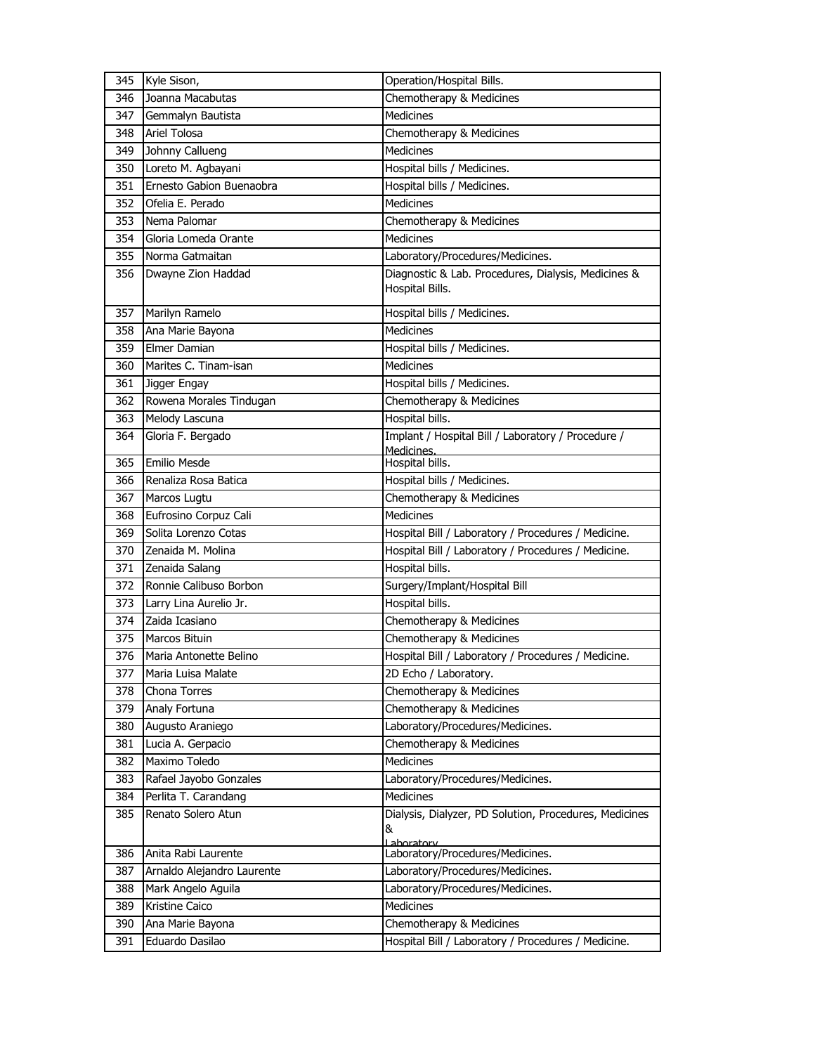| 345 | Kyle Sison,                | Operation/Hospital Bills.                                                 |
|-----|----------------------------|---------------------------------------------------------------------------|
| 346 | Joanna Macabutas           | Chemotherapy & Medicines                                                  |
| 347 | Gemmalyn Bautista          | <b>Medicines</b>                                                          |
| 348 | <b>Ariel Tolosa</b>        | Chemotherapy & Medicines                                                  |
| 349 | Johnny Callueng            | <b>Medicines</b>                                                          |
| 350 | Loreto M. Agbayani         | Hospital bills / Medicines.                                               |
| 351 | Ernesto Gabion Buenaobra   | Hospital bills / Medicines.                                               |
| 352 | Ofelia E. Perado           | Medicines                                                                 |
| 353 | Nema Palomar               | Chemotherapy & Medicines                                                  |
| 354 | Gloria Lomeda Orante       | Medicines                                                                 |
| 355 | Norma Gatmaitan            | Laboratory/Procedures/Medicines.                                          |
| 356 | Dwayne Zion Haddad         | Diagnostic & Lab. Procedures, Dialysis, Medicines &<br>Hospital Bills.    |
| 357 | Marilyn Ramelo             | Hospital bills / Medicines.                                               |
| 358 | Ana Marie Bayona           | Medicines                                                                 |
| 359 | Elmer Damian               | Hospital bills / Medicines.                                               |
| 360 | Marites C. Tinam-isan      | Medicines                                                                 |
| 361 | Jigger Engay               | Hospital bills / Medicines.                                               |
| 362 | Rowena Morales Tindugan    | Chemotherapy & Medicines                                                  |
| 363 | Melody Lascuna             | Hospital bills.                                                           |
| 364 | Gloria F. Bergado          | Implant / Hospital Bill / Laboratory / Procedure /                        |
| 365 | <b>Emilio Mesde</b>        | Medicines.<br>Hospital bills.                                             |
| 366 | Renaliza Rosa Batica       | Hospital bills / Medicines.                                               |
| 367 | Marcos Lugtu               | Chemotherapy & Medicines                                                  |
| 368 | Eufrosino Corpuz Cali      | Medicines                                                                 |
| 369 | Solita Lorenzo Cotas       | Hospital Bill / Laboratory / Procedures / Medicine.                       |
| 370 | Zenaida M. Molina          | Hospital Bill / Laboratory / Procedures / Medicine.                       |
| 371 | Zenaida Salang             | Hospital bills.                                                           |
| 372 | Ronnie Calibuso Borbon     | Surgery/Implant/Hospital Bill                                             |
| 373 | Larry Lina Aurelio Jr.     | Hospital bills.                                                           |
| 374 | Zaida Icasiano             | Chemotherapy & Medicines                                                  |
| 375 | Marcos Bituin              | Chemotherapy & Medicines                                                  |
| 376 | Maria Antonette Belino     | Hospital Bill / Laboratory / Procedures / Medicine.                       |
| 377 | Maria Luisa Malate         | 2D Echo / Laboratory.                                                     |
| 378 | Chona Torres               | Chemotherapy & Medicines                                                  |
| 379 | Analy Fortuna              | Chemotherapy & Medicines                                                  |
| 380 | Augusto Araniego           | Laboratory/Procedures/Medicines.                                          |
| 381 | Lucia A. Gerpacio          | Chemotherapy & Medicines                                                  |
| 382 | Maximo Toledo              | Medicines                                                                 |
| 383 | Rafael Jayobo Gonzales     | Laboratory/Procedures/Medicines.                                          |
| 384 | Perlita T. Carandang       | <b>Medicines</b>                                                          |
| 385 | Renato Solero Atun         | Dialysis, Dialyzer, PD Solution, Procedures, Medicines<br>&<br>Laboratory |
| 386 | Anita Rabi Laurente        | Laboratory/Procedures/Medicines.                                          |
| 387 | Arnaldo Alejandro Laurente | Laboratory/Procedures/Medicines.                                          |
| 388 | Mark Angelo Aguila         | Laboratory/Procedures/Medicines.                                          |
| 389 | Kristine Caico             | Medicines                                                                 |
| 390 | Ana Marie Bayona           | Chemotherapy & Medicines                                                  |
| 391 | Eduardo Dasilao            | Hospital Bill / Laboratory / Procedures / Medicine.                       |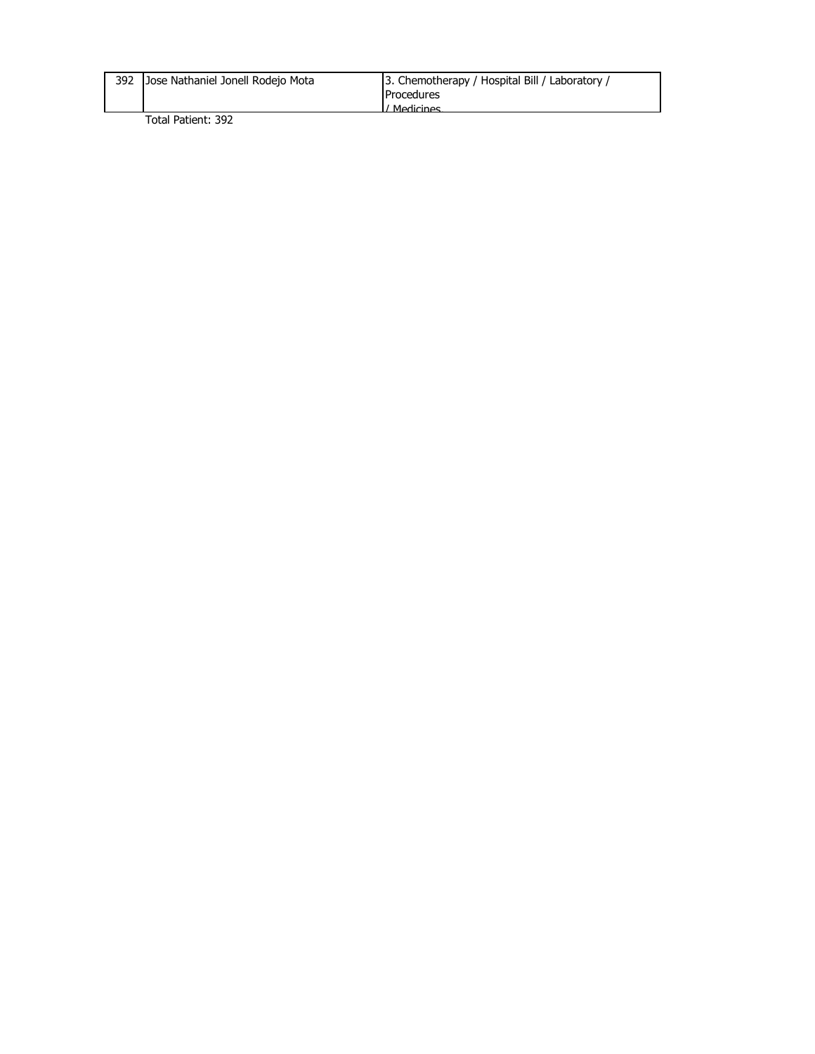| 392 Jose Nathaniel Jonell Rodejo Mota | 3. Chemotherapy / Hospital Bill / Laboratory / |
|---------------------------------------|------------------------------------------------|
|                                       | <b>Procedures</b>                              |
|                                       | ' Madicinae                                    |
| _                                     |                                                |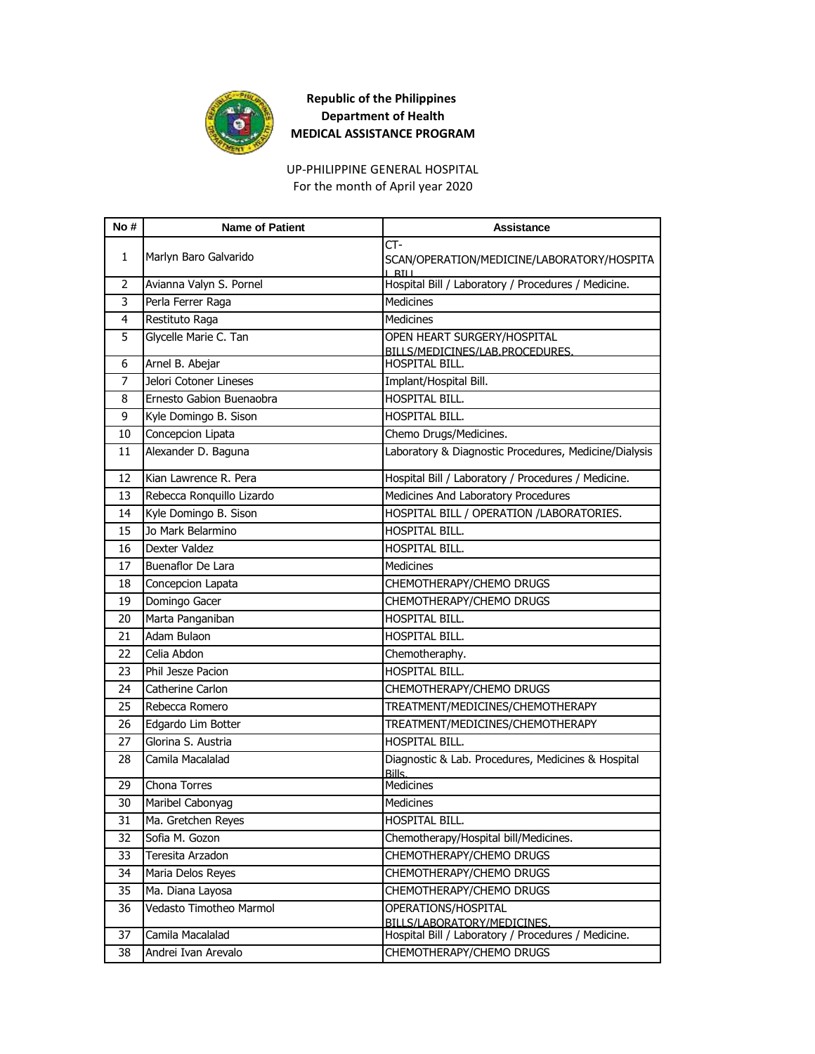

For the month of April year 2020 UP-PHILIPPINE GENERAL HOSPITAL

| No# | <b>Name of Patient</b>    | <b>Assistance</b>                                               |
|-----|---------------------------|-----------------------------------------------------------------|
| 1   | Marlyn Baro Galvarido     | CT-<br>SCAN/OPERATION/MEDICINE/LABORATORY/HOSPITA<br>$L$ RI $L$ |
| 2   | Avianna Valyn S. Pornel   | Hospital Bill / Laboratory / Procedures / Medicine.             |
| 3   | Perla Ferrer Raga         | <b>Medicines</b>                                                |
| 4   | Restituto Raga            | Medicines                                                       |
| 5   | Glycelle Marie C. Tan     | OPEN HEART SURGERY/HOSPITAL                                     |
| 6   | Arnel B. Abejar           | BILLS/MEDICINES/LAB.PROCEDURES.<br>HOSPITAL BILL.               |
| 7   | Jelori Cotoner Lineses    | Implant/Hospital Bill.                                          |
| 8   | Ernesto Gabion Buenaobra  | HOSPITAL BILL.                                                  |
| 9   | Kyle Domingo B. Sison     | HOSPITAL BILL.                                                  |
| 10  | Concepcion Lipata         | Chemo Drugs/Medicines.                                          |
| 11  | Alexander D. Baguna       | Laboratory & Diagnostic Procedures, Medicine/Dialysis           |
|     |                           |                                                                 |
| 12  | Kian Lawrence R. Pera     | Hospital Bill / Laboratory / Procedures / Medicine.             |
| 13  | Rebecca Ronquillo Lizardo | Medicines And Laboratory Procedures                             |
| 14  | Kyle Domingo B. Sison     | HOSPITAL BILL / OPERATION /LABORATORIES.                        |
| 15  | Jo Mark Belarmino         | HOSPITAL BILL.                                                  |
| 16  | Dexter Valdez             | HOSPITAL BILL.                                                  |
| 17  | <b>Buenaflor De Lara</b>  | <b>Medicines</b>                                                |
| 18  | Concepcion Lapata         | CHEMOTHERAPY/CHEMO DRUGS                                        |
| 19  | Domingo Gacer             | CHEMOTHERAPY/CHEMO DRUGS                                        |
| 20  | Marta Panganiban          | HOSPITAL BILL.                                                  |
| 21  | Adam Bulaon               | HOSPITAL BILL.                                                  |
| 22  | Celia Abdon               | Chemotheraphy.                                                  |
| 23  | Phil Jesze Pacion         | HOSPITAL BILL.                                                  |
| 24  | Catherine Carlon          | CHEMOTHERAPY/CHEMO DRUGS                                        |
| 25  | Rebecca Romero            | TREATMENT/MEDICINES/CHEMOTHERAPY                                |
| 26  | Edgardo Lim Botter        | TREATMENT/MEDICINES/CHEMOTHERAPY                                |
| 27  | Glorina S. Austria        | HOSPITAL BILL.                                                  |
| 28  | Camila Macalalad          | Diagnostic & Lab. Procedures, Medicines & Hospital<br>Bills.    |
| 29  | Chona Torres              | Medicines                                                       |
| 30  | Maribel Cabonyag          | <b>Medicines</b>                                                |
| 31  | Ma. Gretchen Reyes        | HOSPITAL BILL.                                                  |
| 32  | Sofia M. Gozon            | Chemotherapy/Hospital bill/Medicines.                           |
| 33  | Teresita Arzadon          | CHEMOTHERAPY/CHEMO DRUGS                                        |
| 34  | Maria Delos Reyes         | CHEMOTHERAPY/CHEMO DRUGS                                        |
| 35  | Ma. Diana Layosa          | CHEMOTHERAPY/CHEMO DRUGS                                        |
| 36  | Vedasto Timotheo Marmol   | OPERATIONS/HOSPITAL<br>BILLS/LABORATORY/MEDICINES.              |
| 37  | Camila Macalalad          | Hospital Bill / Laboratory / Procedures / Medicine.             |
| 38  | Andrei Ivan Arevalo       | CHEMOTHERAPY/CHEMO DRUGS                                        |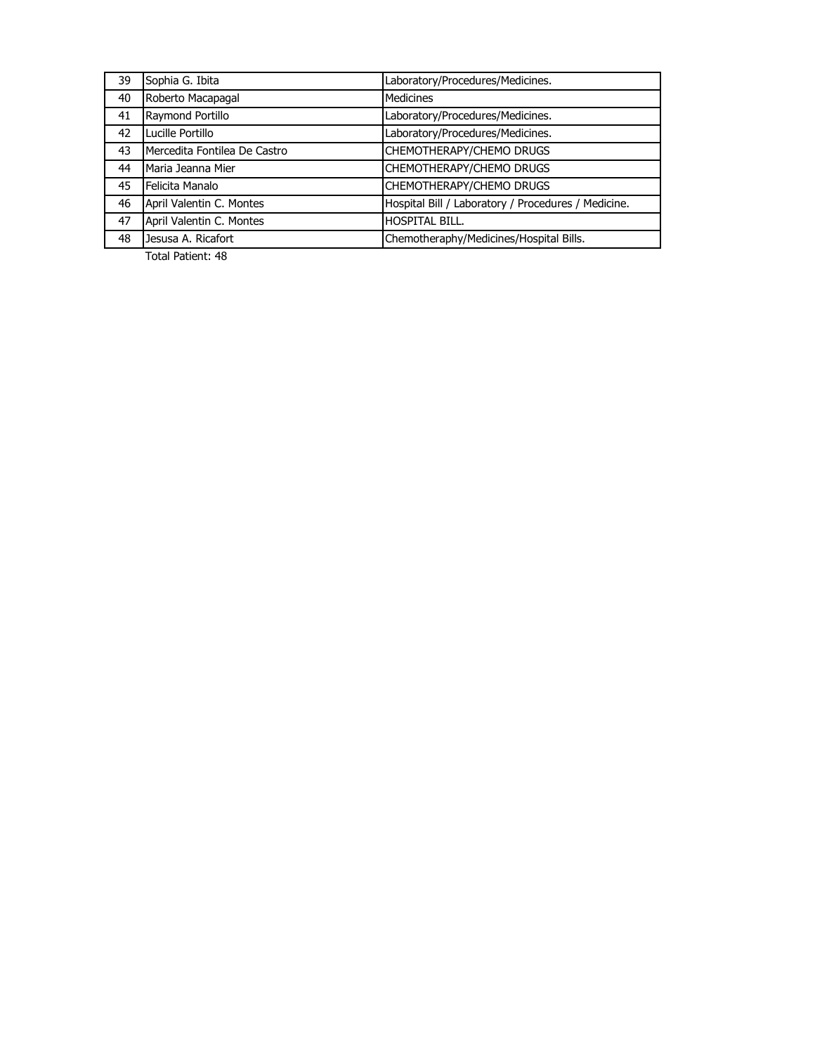| 39 | Sophia G. Ibita              | Laboratory/Procedures/Medicines.                    |
|----|------------------------------|-----------------------------------------------------|
| 40 | Roberto Macapagal            | <b>Medicines</b>                                    |
| 41 | Raymond Portillo             | Laboratory/Procedures/Medicines.                    |
| 42 | Lucille Portillo             | Laboratory/Procedures/Medicines.                    |
| 43 | Mercedita Fontilea De Castro | <b>CHEMOTHERAPY/CHEMO DRUGS</b>                     |
| 44 | Maria Jeanna Mier            | CHEMOTHERAPY/CHEMO DRUGS                            |
| 45 | Felicita Manalo              | <b>CHEMOTHERAPY/CHEMO DRUGS</b>                     |
| 46 | April Valentin C. Montes     | Hospital Bill / Laboratory / Procedures / Medicine. |
| 47 | April Valentin C. Montes     | <b>HOSPITAL BILL.</b>                               |
| 48 | Jesusa A. Ricafort           | Chemotheraphy/Medicines/Hospital Bills.             |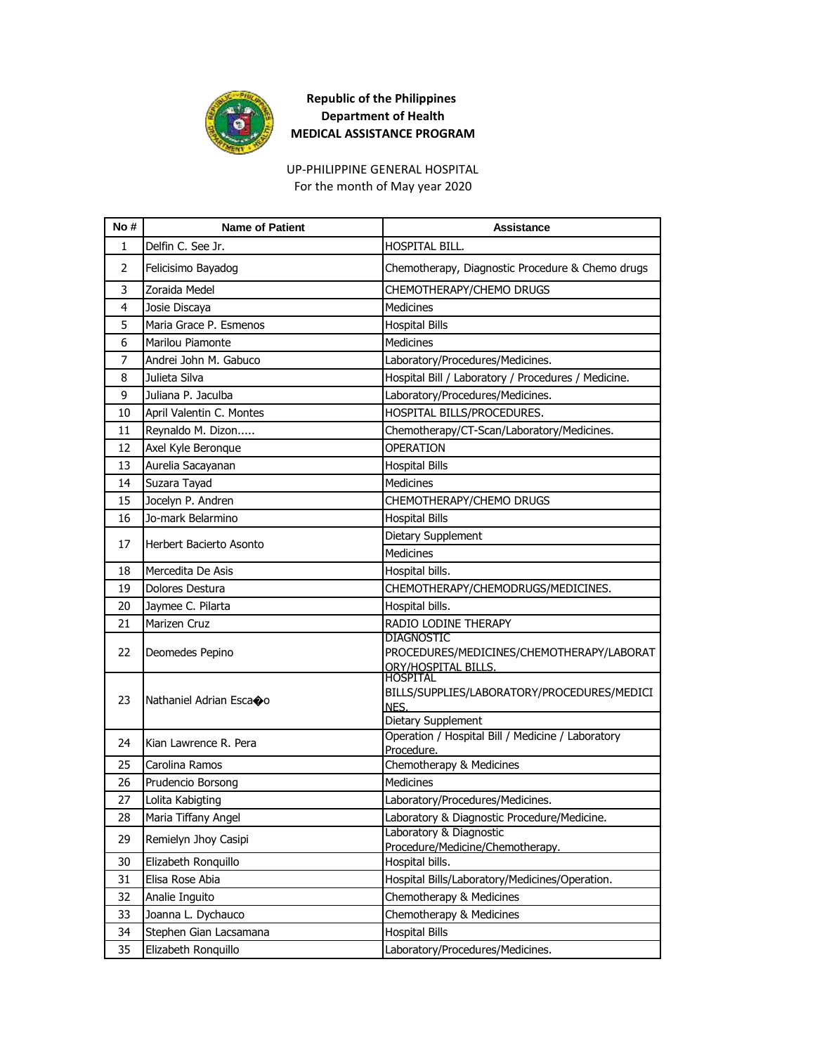

For the month of May year 2020 UP-PHILIPPINE GENERAL HOSPITAL

| No#            | <b>Name of Patient</b>                  | <b>Assistance</b>                                                      |
|----------------|-----------------------------------------|------------------------------------------------------------------------|
| 1              | Delfin C. See Jr.                       | HOSPITAL BILL.                                                         |
| 2              | Felicisimo Bayadog                      | Chemotherapy, Diagnostic Procedure & Chemo drugs                       |
| 3              | Zoraida Medel                           | CHEMOTHERAPY/CHEMO DRUGS                                               |
| 4              | Josie Discaya                           | Medicines                                                              |
| 5              | Maria Grace P. Esmenos                  | <b>Hospital Bills</b>                                                  |
| 6              | <b>Marilou Piamonte</b>                 | <b>Medicines</b>                                                       |
| $\overline{7}$ | Andrei John M. Gabuco                   | Laboratory/Procedures/Medicines.                                       |
| 8              | Julieta Silva                           | Hospital Bill / Laboratory / Procedures / Medicine.                    |
| 9              | Juliana P. Jaculba                      | Laboratory/Procedures/Medicines.                                       |
| 10             | April Valentin C. Montes                | HOSPITAL BILLS/PROCEDURES.                                             |
| 11             | Reynaldo M. Dizon                       | Chemotherapy/CT-Scan/Laboratory/Medicines.                             |
| 12             | Axel Kyle Beronque                      | <b>OPERATION</b>                                                       |
| 13             | Aurelia Sacayanan                       | <b>Hospital Bills</b>                                                  |
| 14             | Suzara Tayad                            | Medicines                                                              |
| 15             | Jocelyn P. Andren                       | CHEMOTHERAPY/CHEMO DRUGS                                               |
| 16             | Jo-mark Belarmino                       | <b>Hospital Bills</b>                                                  |
| 17             | Herbert Bacierto Asonto                 | Dietary Supplement                                                     |
|                |                                         | Medicines                                                              |
| 18             | Mercedita De Asis                       | Hospital bills.                                                        |
| 19             | Dolores Destura                         | CHEMOTHERAPY/CHEMODRUGS/MEDICINES.                                     |
| 20             | Jaymee C. Pilarta                       | Hospital bills.                                                        |
| 21             | Marizen Cruz                            | RADIO LODINE THERAPY                                                   |
| 22             | Deomedes Pepino                         | <b>DIAGNOSTIC</b><br>PROCEDURES/MEDICINES/CHEMOTHERAPY/LABORAT         |
|                |                                         | ORY/HOSPITAL BILLS.                                                    |
|                |                                         | <b>HOSPITAL</b><br>BILLS/SUPPLIES/LABORATORY/PROCEDURES/MEDICI         |
| 23             | Nathaniel Adrian Escaoo                 | NES.                                                                   |
|                |                                         | Dietary Supplement                                                     |
| 24             | Kian Lawrence R. Pera                   | Operation / Hospital Bill / Medicine / Laboratory                      |
|                |                                         | Procedure.                                                             |
| 25             | Carolina Ramos                          | Chemotherapy & Medicines<br>Medicines                                  |
| 26<br>27       | Prudencio Borsong                       |                                                                        |
|                | Lolita Kabigting<br>Maria Tiffany Angel | Laboratory/Procedures/Medicines.                                       |
| 28             |                                         | Laboratory & Diagnostic Procedure/Medicine.<br>Laboratory & Diagnostic |
| 29             | Remielyn Jhoy Casipi                    | Procedure/Medicine/Chemotherapy.                                       |
| 30             | Elizabeth Ronquillo                     | Hospital bills.                                                        |
| 31             | Elisa Rose Abia                         | Hospital Bills/Laboratory/Medicines/Operation.                         |
| 32             | Analie Inguito                          | Chemotherapy & Medicines                                               |
| 33             | Joanna L. Dychauco                      | Chemotherapy & Medicines                                               |
| 34             | Stephen Gian Lacsamana                  | <b>Hospital Bills</b>                                                  |
| 35             | Elizabeth Ronquillo                     | Laboratory/Procedures/Medicines.                                       |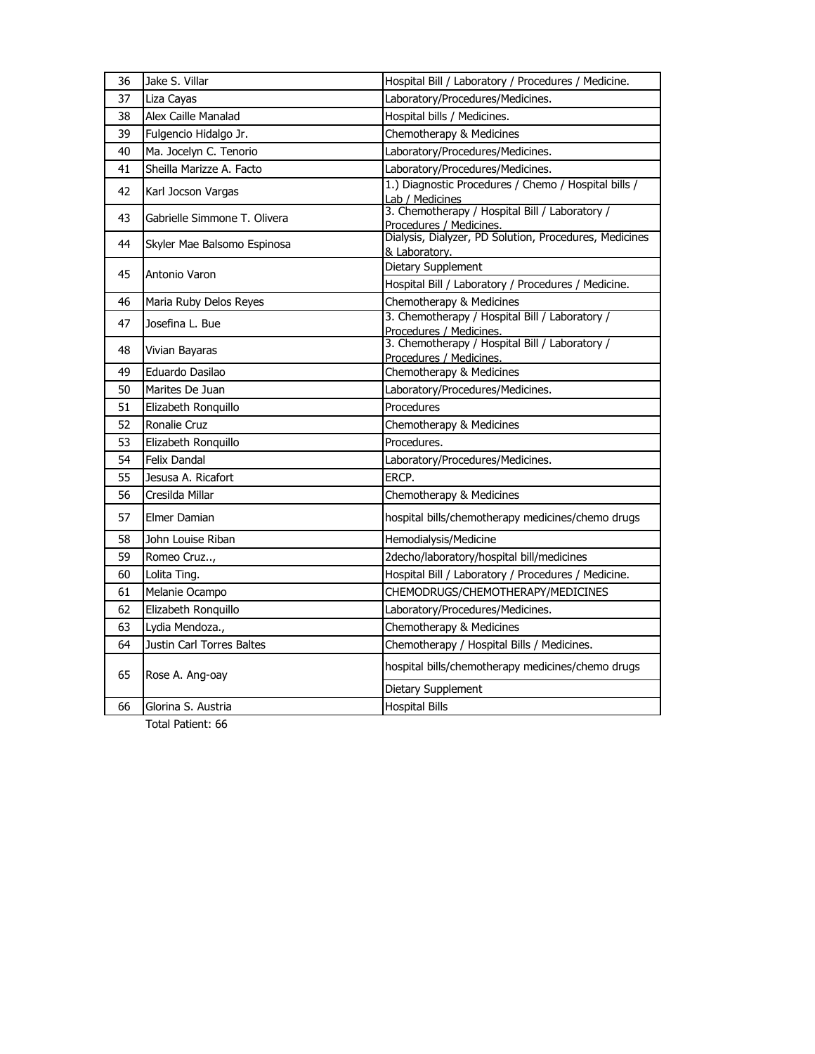| 36 | Jake S. Villar               | Hospital Bill / Laboratory / Procedures / Medicine.                       |
|----|------------------------------|---------------------------------------------------------------------------|
| 37 | Liza Cayas                   | Laboratory/Procedures/Medicines.                                          |
| 38 | Alex Caille Manalad          | Hospital bills / Medicines.                                               |
| 39 | Fulgencio Hidalgo Jr.        | Chemotherapy & Medicines                                                  |
| 40 | Ma. Jocelyn C. Tenorio       | Laboratory/Procedures/Medicines.                                          |
| 41 | Sheilla Marizze A. Facto     | Laboratory/Procedures/Medicines.                                          |
| 42 | Karl Jocson Vargas           | 1.) Diagnostic Procedures / Chemo / Hospital bills /<br>Lab / Medicines   |
| 43 | Gabrielle Simmone T. Olivera | 3. Chemotherapy / Hospital Bill / Laboratory /<br>Procedures / Medicines. |
| 44 | Skyler Mae Balsomo Espinosa  | Dialysis, Dialyzer, PD Solution, Procedures, Medicines<br>& Laboratory.   |
| 45 | Antonio Varon                | Dietary Supplement                                                        |
|    |                              | Hospital Bill / Laboratory / Procedures / Medicine.                       |
| 46 | Maria Ruby Delos Reyes       | Chemotherapy & Medicines                                                  |
| 47 | Josefina L. Bue              | 3. Chemotherapy / Hospital Bill / Laboratory /<br>Procedures / Medicines. |
| 48 | Vivian Bayaras               | 3. Chemotherapy / Hospital Bill / Laboratory /<br>Procedures / Medicines. |
| 49 | Eduardo Dasilao              | Chemotherapy & Medicines                                                  |
| 50 | Marites De Juan              | Laboratory/Procedures/Medicines.                                          |
| 51 | Elizabeth Ronquillo          | Procedures                                                                |
| 52 | Ronalie Cruz                 | Chemotherapy & Medicines                                                  |
| 53 | Elizabeth Ronquillo          | Procedures.                                                               |
| 54 | Felix Dandal                 | Laboratory/Procedures/Medicines.                                          |
| 55 | Jesusa A. Ricafort           | ERCP.                                                                     |
| 56 | Cresilda Millar              | Chemotherapy & Medicines                                                  |
| 57 | Elmer Damian                 | hospital bills/chemotherapy medicines/chemo drugs                         |
| 58 | John Louise Riban            | Hemodialysis/Medicine                                                     |
| 59 | Romeo Cruz,                  | 2decho/laboratory/hospital bill/medicines                                 |
| 60 | Lolita Ting.                 | Hospital Bill / Laboratory / Procedures / Medicine.                       |
| 61 | Melanie Ocampo               | CHEMODRUGS/CHEMOTHERAPY/MEDICINES                                         |
| 62 | Elizabeth Ronquillo          | Laboratory/Procedures/Medicines.                                          |
| 63 | Lydia Mendoza.,              | Chemotherapy & Medicines                                                  |
| 64 | Justin Carl Torres Baltes    | Chemotherapy / Hospital Bills / Medicines.                                |
| 65 | Rose A. Ang-oay              | hospital bills/chemotherapy medicines/chemo drugs                         |
|    |                              | Dietary Supplement                                                        |
| 66 | Glorina S. Austria           | <b>Hospital Bills</b>                                                     |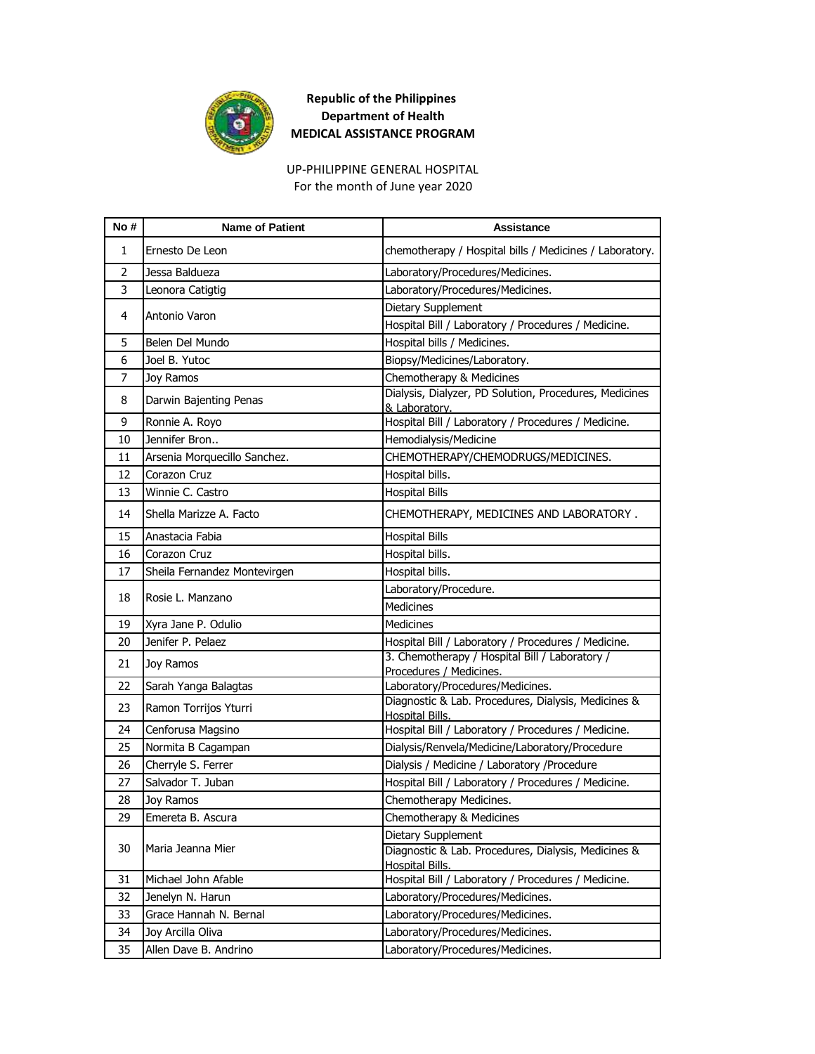

UP-PHILIPPINE GENERAL HOSPITAL For the month of June year 2020

| No# | <b>Name of Patient</b>       | Assistance                                                                    |
|-----|------------------------------|-------------------------------------------------------------------------------|
| 1   | Ernesto De Leon              | chemotherapy / Hospital bills / Medicines / Laboratory.                       |
| 2   | Jessa Baldueza               | Laboratory/Procedures/Medicines.                                              |
| 3   | Leonora Catigtig             | Laboratory/Procedures/Medicines.                                              |
|     | Antonio Varon                | Dietary Supplement                                                            |
| 4   |                              | Hospital Bill / Laboratory / Procedures / Medicine.                           |
| 5   | Belen Del Mundo              | Hospital bills / Medicines.                                                   |
| 6   | Joel B. Yutoc                | Biopsy/Medicines/Laboratory.                                                  |
| 7   | Joy Ramos                    | Chemotherapy & Medicines                                                      |
| 8   | Darwin Bajenting Penas       | Dialysis, Dialyzer, PD Solution, Procedures, Medicines<br>& Laboratory.       |
| 9   | Ronnie A. Royo               | Hospital Bill / Laboratory / Procedures / Medicine.                           |
| 10  | Jennifer Bron                | Hemodialysis/Medicine                                                         |
| 11  | Arsenia Morquecillo Sanchez. | CHEMOTHERAPY/CHEMODRUGS/MEDICINES.                                            |
| 12  | Corazon Cruz                 | Hospital bills.                                                               |
| 13  | Winnie C. Castro             | <b>Hospital Bills</b>                                                         |
| 14  | Shella Marizze A. Facto      | CHEMOTHERAPY, MEDICINES AND LABORATORY.                                       |
| 15  | Anastacia Fabia              | <b>Hospital Bills</b>                                                         |
| 16  | Corazon Cruz                 | Hospital bills.                                                               |
| 17  | Sheila Fernandez Montevirgen | Hospital bills.                                                               |
| 18  | Rosie L. Manzano             | Laboratory/Procedure.                                                         |
|     |                              | <b>Medicines</b>                                                              |
| 19  | Xyra Jane P. Odulio          | Medicines                                                                     |
| 20  | Jenifer P. Pelaez            | Hospital Bill / Laboratory / Procedures / Medicine.                           |
| 21  | Joy Ramos                    | 3. Chemotherapy / Hospital Bill / Laboratory /<br>Procedures / Medicines.     |
| 22  | Sarah Yanga Balagtas         | Laboratory/Procedures/Medicines.                                              |
| 23  | Ramon Torrijos Yturri        | Diagnostic & Lab. Procedures, Dialysis, Medicines &<br><b>Hospital Bills.</b> |
| 24  | Cenforusa Magsino            | Hospital Bill / Laboratory / Procedures / Medicine.                           |
| 25  | Normita B Cagampan           | Dialysis/Renvela/Medicine/Laboratory/Procedure                                |
| 26  | Cherryle S. Ferrer           | Dialysis / Medicine / Laboratory /Procedure                                   |
| 27  | Salvador T. Juban            | Hospital Bill / Laboratory / Procedures / Medicine.                           |
| 28  | Joy Ramos                    | Chemotherapy Medicines.                                                       |
| 29  | Emereta B. Ascura            | Chemotherapy & Medicines                                                      |
|     |                              | Dietary Supplement                                                            |
| 30  | Maria Jeanna Mier            | Diagnostic & Lab. Procedures, Dialysis, Medicines &<br>Hospital Bills.        |
| 31  | Michael John Afable          | Hospital Bill / Laboratory / Procedures / Medicine.                           |
| 32  | Jenelyn N. Harun             | Laboratory/Procedures/Medicines.                                              |
| 33  | Grace Hannah N. Bernal       | Laboratory/Procedures/Medicines.                                              |
| 34  | Joy Arcilla Oliva            | Laboratory/Procedures/Medicines.                                              |
| 35  | Allen Dave B. Andrino        | Laboratory/Procedures/Medicines.                                              |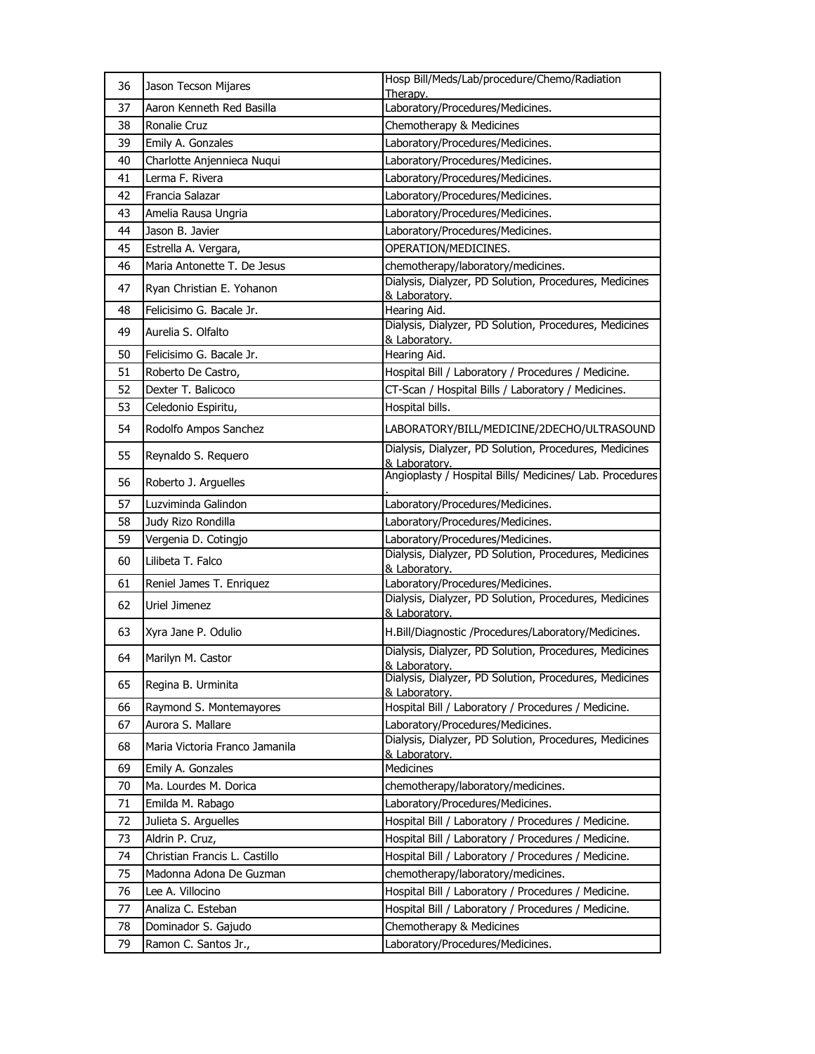| 36 | Jason Tecson Mijares           | Hosp Bill/Meds/Lab/procedure/Chemo/Radiation<br>Therapv.                |
|----|--------------------------------|-------------------------------------------------------------------------|
| 37 | Aaron Kenneth Red Basilla      | Laboratory/Procedures/Medicines.                                        |
| 38 | Ronalie Cruz                   | Chemotherapy & Medicines                                                |
| 39 | Emily A. Gonzales              | Laboratory/Procedures/Medicines.                                        |
| 40 | Charlotte Anjennieca Nuqui     | Laboratory/Procedures/Medicines.                                        |
| 41 | Lerma F. Rivera                | Laboratory/Procedures/Medicines.                                        |
| 42 | Francia Salazar                | Laboratory/Procedures/Medicines.                                        |
| 43 | Amelia Rausa Ungria            | Laboratory/Procedures/Medicines.                                        |
| 44 | Jason B. Javier                | Laboratory/Procedures/Medicines.                                        |
| 45 | Estrella A. Vergara,           | OPERATION/MEDICINES.                                                    |
| 46 | Maria Antonette T. De Jesus    | chemotherapy/laboratory/medicines.                                      |
| 47 | Ryan Christian E. Yohanon      | Dialysis, Dialyzer, PD Solution, Procedures, Medicines<br>& Laboratory. |
| 48 | Felicisimo G. Bacale Jr.       | Hearing Aid.                                                            |
| 49 | Aurelia S. Olfalto             | Dialysis, Dialyzer, PD Solution, Procedures, Medicines<br>& Laboratory. |
| 50 | Felicisimo G. Bacale Jr.       | Hearing Aid.                                                            |
| 51 | Roberto De Castro,             | Hospital Bill / Laboratory / Procedures / Medicine.                     |
| 52 | Dexter T. Balicoco             | CT-Scan / Hospital Bills / Laboratory / Medicines.                      |
| 53 | Celedonio Espiritu,            | Hospital bills.                                                         |
| 54 | Rodolfo Ampos Sanchez          | LABORATORY/BILL/MEDICINE/2DECHO/ULTRASOUND                              |
| 55 | Reynaldo S. Requero            | Dialysis, Dialyzer, PD Solution, Procedures, Medicines<br>& Laboratory. |
| 56 | Roberto J. Arguelles           | Angioplasty / Hospital Bills/ Medicines/ Lab. Procedures                |
| 57 | Luzviminda Galindon            | Laboratory/Procedures/Medicines.                                        |
|    |                                |                                                                         |
| 58 | Judy Rizo Rondilla             | Laboratory/Procedures/Medicines.                                        |
| 59 | Vergenia D. Cotingjo           | Laboratory/Procedures/Medicines.                                        |
| 60 | Lilibeta T. Falco              | Dialysis, Dialyzer, PD Solution, Procedures, Medicines<br>& Laboratory. |
| 61 | Reniel James T. Enriquez       | Laboratory/Procedures/Medicines.                                        |
| 62 | Uriel Jimenez                  | Dialysis, Dialyzer, PD Solution, Procedures, Medicines<br>& Laboratory. |
| 63 | Xyra Jane P. Odulio            | H.Bill/Diagnostic /Procedures/Laboratory/Medicines.                     |
| 64 | Marilyn M. Castor              | Dialysis, Dialyzer, PD Solution, Procedures, Medicines<br>& Laboratory. |
| 65 | Regina B. Urminita             | Dialysis, Dialyzer, PD Solution, Procedures, Medicines<br>& Laboratory. |
| 66 | Raymond S. Montemayores        | Hospital Bill / Laboratory / Procedures / Medicine.                     |
| 67 | Aurora S. Mallare              | Laboratory/Procedures/Medicines.                                        |
| 68 | Maria Victoria Franco Jamanila | Dialysis, Dialyzer, PD Solution, Procedures, Medicines<br>& Laboratory. |
| 69 | Emily A. Gonzales              | Medicines                                                               |
| 70 | Ma. Lourdes M. Dorica          | chemotherapy/laboratory/medicines.                                      |
| 71 | Emilda M. Rabago               | Laboratory/Procedures/Medicines.                                        |
| 72 | Julieta S. Arguelles           | Hospital Bill / Laboratory / Procedures / Medicine.                     |
| 73 | Aldrin P. Cruz,                | Hospital Bill / Laboratory / Procedures / Medicine.                     |
| 74 | Christian Francis L. Castillo  | Hospital Bill / Laboratory / Procedures / Medicine.                     |
| 75 | Madonna Adona De Guzman        | chemotherapy/laboratory/medicines.                                      |
| 76 | Lee A. Villocino               | Hospital Bill / Laboratory / Procedures / Medicine.                     |
| 77 | Analiza C. Esteban             | Hospital Bill / Laboratory / Procedures / Medicine.                     |
| 78 | Dominador S. Gajudo            | Chemotherapy & Medicines                                                |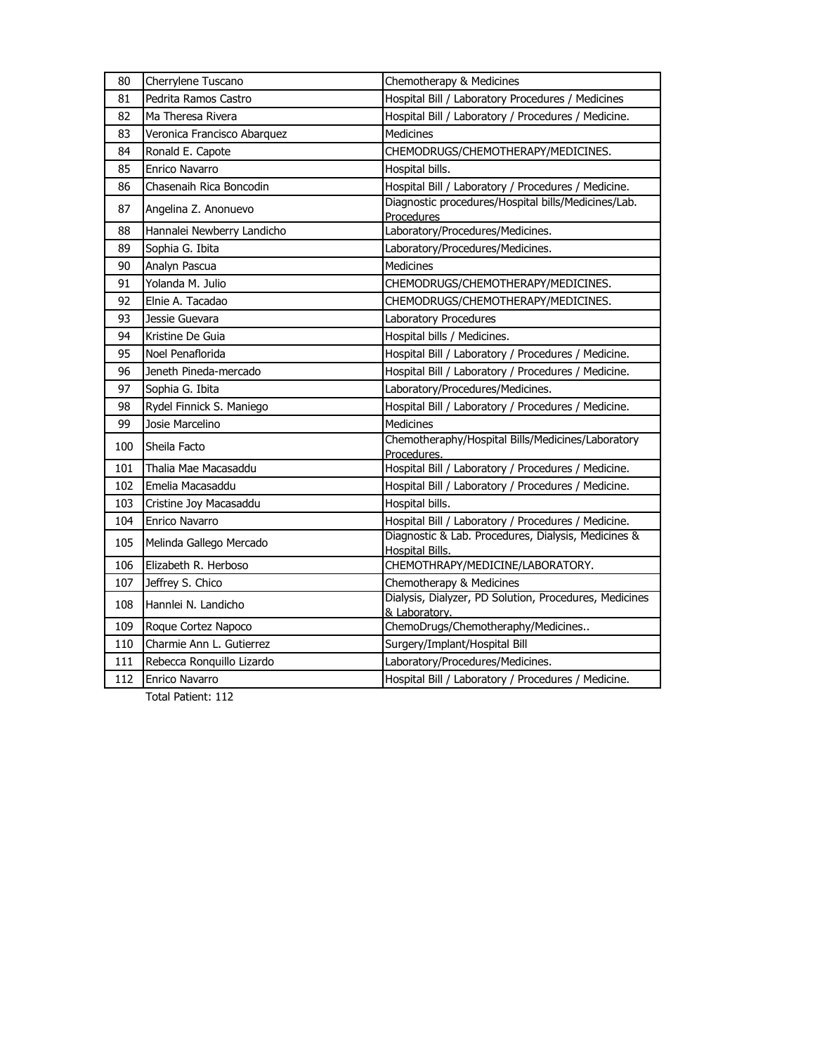| 80  | Cherrylene Tuscano          | Chemotherapy & Medicines                                                      |
|-----|-----------------------------|-------------------------------------------------------------------------------|
| 81  | Pedrita Ramos Castro        | Hospital Bill / Laboratory Procedures / Medicines                             |
| 82  | Ma Theresa Rivera           | Hospital Bill / Laboratory / Procedures / Medicine.                           |
| 83  | Veronica Francisco Abarquez | <b>Medicines</b>                                                              |
| 84  | Ronald E. Capote            | CHEMODRUGS/CHEMOTHERAPY/MEDICINES.                                            |
| 85  | Enrico Navarro              | Hospital bills.                                                               |
| 86  | Chasenaih Rica Boncodin     | Hospital Bill / Laboratory / Procedures / Medicine.                           |
| 87  | Angelina Z. Anonuevo        | Diagnostic procedures/Hospital bills/Medicines/Lab.<br>Procedures             |
| 88  | Hannalei Newberry Landicho  | Laboratory/Procedures/Medicines.                                              |
| 89  | Sophia G. Ibita             | Laboratory/Procedures/Medicines.                                              |
| 90  | Analyn Pascua               | <b>Medicines</b>                                                              |
| 91  | Yolanda M. Julio            | CHEMODRUGS/CHEMOTHERAPY/MEDICINES.                                            |
| 92  | Elnie A. Tacadao            | CHEMODRUGS/CHEMOTHERAPY/MEDICINES.                                            |
| 93  | Jessie Guevara              | Laboratory Procedures                                                         |
| 94  | Kristine De Guia            | Hospital bills / Medicines.                                                   |
| 95  | Noel Penaflorida            | Hospital Bill / Laboratory / Procedures / Medicine.                           |
| 96  | Jeneth Pineda-mercado       | Hospital Bill / Laboratory / Procedures / Medicine.                           |
| 97  | Sophia G. Ibita             | Laboratory/Procedures/Medicines.                                              |
| 98  | Rydel Finnick S. Maniego    | Hospital Bill / Laboratory / Procedures / Medicine.                           |
| 99  | Josie Marcelino             | <b>Medicines</b>                                                              |
| 100 | Sheila Facto                | Chemotheraphy/Hospital Bills/Medicines/Laboratory<br>Procedures.              |
| 101 | Thalia Mae Macasaddu        | Hospital Bill / Laboratory / Procedures / Medicine.                           |
| 102 | Emelia Macasaddu            | Hospital Bill / Laboratory / Procedures / Medicine.                           |
| 103 | Cristine Joy Macasaddu      | Hospital bills.                                                               |
| 104 | Enrico Navarro              | Hospital Bill / Laboratory / Procedures / Medicine.                           |
| 105 | Melinda Gallego Mercado     | Diagnostic & Lab. Procedures, Dialysis, Medicines &<br><b>Hospital Bills.</b> |
| 106 | Elizabeth R. Herboso        | CHEMOTHRAPY/MEDICINE/LABORATORY.                                              |
| 107 | Jeffrey S. Chico            | Chemotherapy & Medicines                                                      |
| 108 | Hannlei N. Landicho         | Dialysis, Dialyzer, PD Solution, Procedures, Medicines<br>& Laboratory.       |
| 109 | Roque Cortez Napoco         | ChemoDrugs/Chemotheraphy/Medicines                                            |
| 110 | Charmie Ann L. Gutierrez    | Surgery/Implant/Hospital Bill                                                 |
| 111 | Rebecca Ronquillo Lizardo   | Laboratory/Procedures/Medicines.                                              |
| 112 | Enrico Navarro              | Hospital Bill / Laboratory / Procedures / Medicine.                           |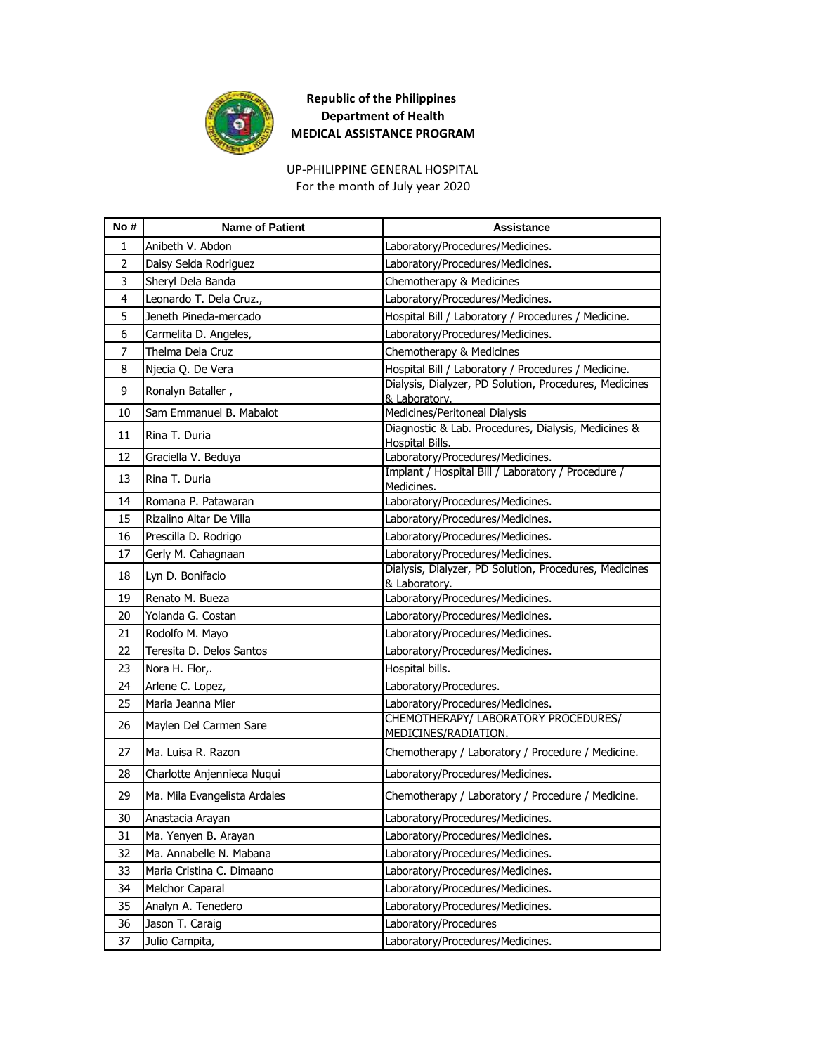

UP-PHILIPPINE GENERAL HOSPITAL For the month of July year 2020

| No#            | <b>Name of Patient</b>       | Assistance                                                              |
|----------------|------------------------------|-------------------------------------------------------------------------|
| 1              | Anibeth V. Abdon             | Laboratory/Procedures/Medicines.                                        |
| $\overline{2}$ | Daisy Selda Rodriguez        | Laboratory/Procedures/Medicines.                                        |
| 3              | Sheryl Dela Banda            | Chemotherapy & Medicines                                                |
| 4              | Leonardo T. Dela Cruz.,      | Laboratory/Procedures/Medicines.                                        |
| 5              | Jeneth Pineda-mercado        | Hospital Bill / Laboratory / Procedures / Medicine.                     |
| 6              | Carmelita D. Angeles,        | Laboratory/Procedures/Medicines.                                        |
| 7              | Thelma Dela Cruz             | Chemotherapy & Medicines                                                |
| 8              | Njecia Q. De Vera            | Hospital Bill / Laboratory / Procedures / Medicine.                     |
| 9              | Ronalyn Bataller,            | Dialysis, Dialyzer, PD Solution, Procedures, Medicines<br>& Laboratory. |
| 10             | Sam Emmanuel B. Mabalot      | Medicines/Peritoneal Dialysis                                           |
| 11             | Rina T. Duria                | Diagnostic & Lab. Procedures, Dialysis, Medicines &<br>Hospital Bills.  |
| 12             | Graciella V. Beduya          | Laboratory/Procedures/Medicines.                                        |
| 13             | Rina T. Duria                | Implant / Hospital Bill / Laboratory / Procedure /<br>Medicines.        |
| 14             | Romana P. Patawaran          | Laboratory/Procedures/Medicines.                                        |
| 15             | Rizalino Altar De Villa      | Laboratory/Procedures/Medicines.                                        |
| 16             | Prescilla D. Rodrigo         | Laboratory/Procedures/Medicines.                                        |
| 17             | Gerly M. Cahagnaan           | Laboratory/Procedures/Medicines.                                        |
| 18             | Lyn D. Bonifacio             | Dialysis, Dialyzer, PD Solution, Procedures, Medicines<br>& Laboratory. |
| 19             | Renato M. Bueza              | Laboratory/Procedures/Medicines.                                        |
| 20             | Yolanda G. Costan            | Laboratory/Procedures/Medicines.                                        |
| 21             | Rodolfo M. Mayo              | Laboratory/Procedures/Medicines.                                        |
| 22             | Teresita D. Delos Santos     | Laboratory/Procedures/Medicines.                                        |
| 23             | Nora H. Flor,.               | Hospital bills.                                                         |
| 24             | Arlene C. Lopez,             | Laboratory/Procedures.                                                  |
| 25             | Maria Jeanna Mier            | Laboratory/Procedures/Medicines.                                        |
| 26             | Maylen Del Carmen Sare       | CHEMOTHERAPY/ LABORATORY PROCEDURES/<br>MEDICINES/RADIATION.            |
| 27             | Ma. Luisa R. Razon           | Chemotherapy / Laboratory / Procedure / Medicine.                       |
| 28             | Charlotte Anjennieca Nuqui   | Laboratory/Procedures/Medicines.                                        |
| 29             | Ma. Mila Evangelista Ardales | Chemotherapy / Laboratory / Procedure / Medicine.                       |
| 30             | Anastacia Arayan             | Laboratory/Procedures/Medicines.                                        |
| 31             | Ma. Yenyen B. Arayan         | Laboratory/Procedures/Medicines.                                        |
| 32             | Ma. Annabelle N. Mabana      | Laboratory/Procedures/Medicines.                                        |
| 33             | Maria Cristina C. Dimaano    | Laboratory/Procedures/Medicines.                                        |
| 34             | Melchor Caparal              | Laboratory/Procedures/Medicines.                                        |
| 35             | Analyn A. Tenedero           | Laboratory/Procedures/Medicines.                                        |
| 36             | Jason T. Caraig              | Laboratory/Procedures                                                   |
| 37             | Julio Campita,               | Laboratory/Procedures/Medicines.                                        |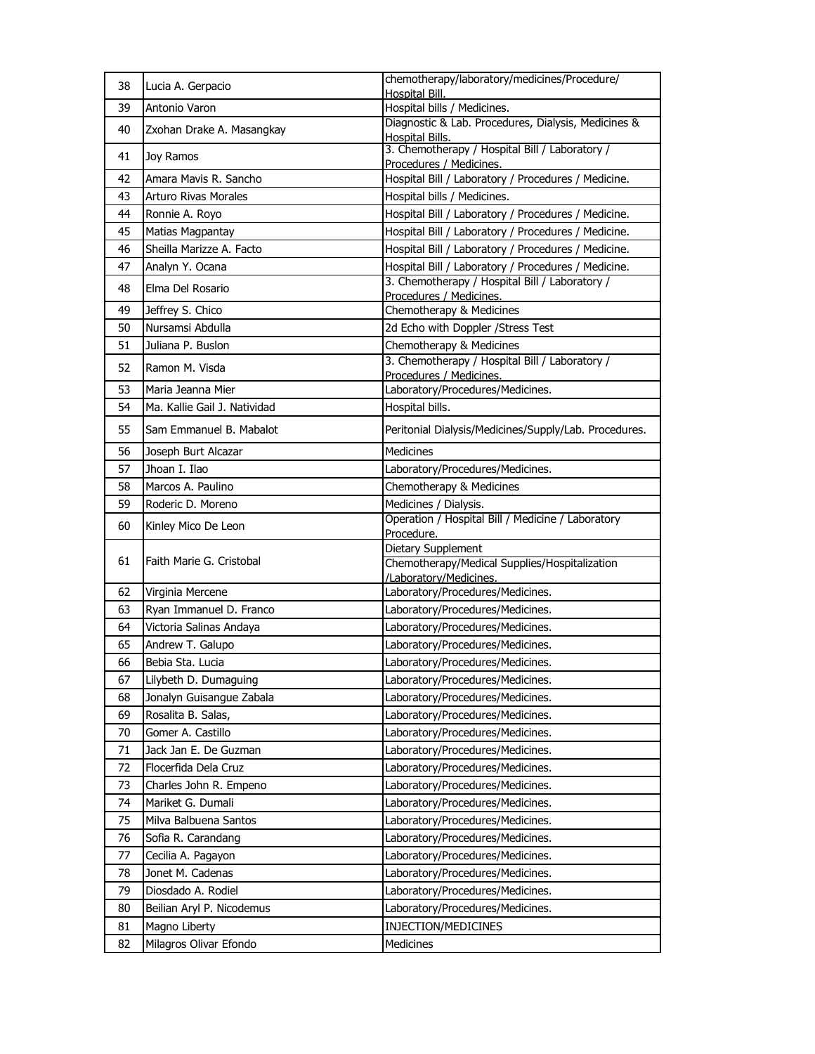| 38 | Lucia A. Gerpacio            | chemotherapy/laboratory/medicines/Procedure/                               |
|----|------------------------------|----------------------------------------------------------------------------|
| 39 | Antonio Varon                | Hospital Bill.<br>Hospital bills / Medicines.                              |
|    |                              | Diagnostic & Lab. Procedures, Dialysis, Medicines &                        |
| 40 | Zxohan Drake A. Masangkay    | Hospital Bills.                                                            |
| 41 | Joy Ramos                    | 3. Chemotherapy / Hospital Bill / Laboratory /<br>Procedures / Medicines.  |
| 42 | Amara Mavis R. Sancho        | Hospital Bill / Laboratory / Procedures / Medicine.                        |
| 43 | <b>Arturo Rivas Morales</b>  | Hospital bills / Medicines.                                                |
| 44 | Ronnie A. Royo               | Hospital Bill / Laboratory / Procedures / Medicine.                        |
| 45 | Matias Magpantay             | Hospital Bill / Laboratory / Procedures / Medicine.                        |
| 46 | Sheilla Marizze A. Facto     | Hospital Bill / Laboratory / Procedures / Medicine.                        |
| 47 | Analyn Y. Ocana              | Hospital Bill / Laboratory / Procedures / Medicine.                        |
| 48 | Elma Del Rosario             | 3. Chemotherapy / Hospital Bill / Laboratory /                             |
|    |                              | Procedures / Medicines.                                                    |
| 49 | Jeffrey S. Chico             | Chemotherapy & Medicines                                                   |
| 50 | Nursamsi Abdulla             | 2d Echo with Doppler / Stress Test                                         |
| 51 | Juliana P. Buslon            | Chemotherapy & Medicines<br>3. Chemotherapy / Hospital Bill / Laboratory / |
| 52 | Ramon M. Visda               | Procedures / Medicines.                                                    |
| 53 | Maria Jeanna Mier            | Laboratory/Procedures/Medicines.                                           |
| 54 | Ma. Kallie Gail J. Natividad | Hospital bills.                                                            |
| 55 | Sam Emmanuel B. Mabalot      | Peritonial Dialysis/Medicines/Supply/Lab. Procedures.                      |
| 56 | Joseph Burt Alcazar          | Medicines                                                                  |
| 57 | Jhoan I. Ilao                | Laboratory/Procedures/Medicines.                                           |
| 58 | Marcos A. Paulino            | Chemotherapy & Medicines                                                   |
| 59 | Roderic D. Moreno            | Medicines / Dialysis.                                                      |
|    |                              |                                                                            |
|    |                              | Operation / Hospital Bill / Medicine / Laboratory                          |
| 60 | Kinley Mico De Leon          | Procedure.                                                                 |
|    |                              | Dietary Supplement                                                         |
| 61 | Faith Marie G. Cristobal     | Chemotherapy/Medical Supplies/Hospitalization                              |
| 62 | Virginia Mercene             | /Laboratory/Medicines.<br>Laboratory/Procedures/Medicines.                 |
| 63 | Ryan Immanuel D. Franco      | Laboratory/Procedures/Medicines.                                           |
| 64 | Victoria Salinas Andaya      | Laboratory/Procedures/Medicines.                                           |
| 65 | Andrew T. Galupo             | Laboratory/Procedures/Medicines.                                           |
| 66 | Bebia Sta. Lucia             | Laboratory/Procedures/Medicines.                                           |
| 67 | Lilybeth D. Dumaguing        | Laboratory/Procedures/Medicines.                                           |
| 68 | Jonalyn Guisangue Zabala     | Laboratory/Procedures/Medicines.                                           |
| 69 | Rosalita B. Salas,           | Laboratory/Procedures/Medicines.                                           |
| 70 | Gomer A. Castillo            | Laboratory/Procedures/Medicines.                                           |
| 71 | Jack Jan E. De Guzman        | Laboratory/Procedures/Medicines.                                           |
| 72 | Flocerfida Dela Cruz         | Laboratory/Procedures/Medicines.                                           |
| 73 | Charles John R. Empeno       | Laboratory/Procedures/Medicines.                                           |
| 74 | Mariket G. Dumali            | Laboratory/Procedures/Medicines.                                           |
| 75 | Milva Balbuena Santos        | Laboratory/Procedures/Medicines.                                           |
| 76 | Sofia R. Carandang           | Laboratory/Procedures/Medicines.                                           |
| 77 | Cecilia A. Pagayon           | Laboratory/Procedures/Medicines.                                           |
| 78 | Jonet M. Cadenas             | Laboratory/Procedures/Medicines.                                           |
| 79 | Diosdado A. Rodiel           | Laboratory/Procedures/Medicines.                                           |
| 80 | Beilian Aryl P. Nicodemus    | Laboratory/Procedures/Medicines.                                           |
| 81 | Magno Liberty                | INJECTION/MEDICINES                                                        |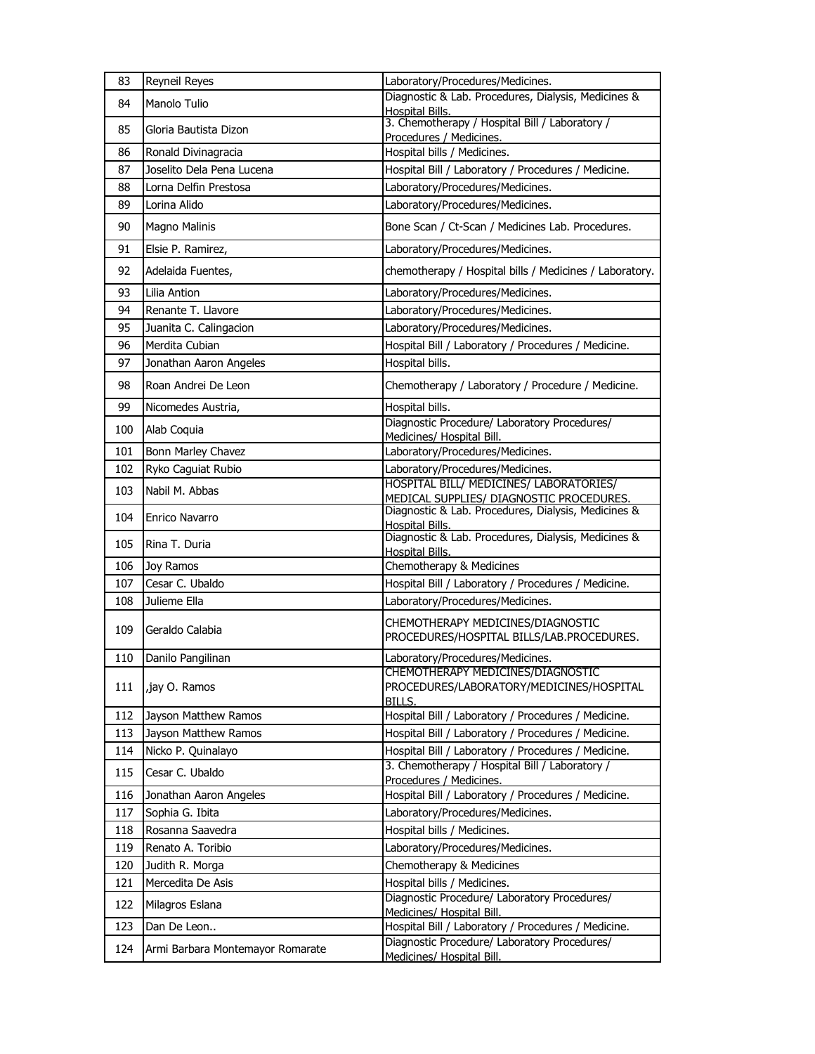| 83  | Reyneil Reyes                    | Laboratory/Procedures/Medicines.                                                        |
|-----|----------------------------------|-----------------------------------------------------------------------------------------|
| 84  | Manolo Tulio                     | Diagnostic & Lab. Procedures, Dialysis, Medicines &<br><b>Hospital Bills.</b>           |
| 85  | Gloria Bautista Dizon            | 3. Chemotherapy / Hospital Bill / Laboratory /<br>Procedures / Medicines.               |
| 86  | Ronald Divinagracia              | Hospital bills / Medicines.                                                             |
| 87  | Joselito Dela Pena Lucena        | Hospital Bill / Laboratory / Procedures / Medicine.                                     |
| 88  | Lorna Delfin Prestosa            | Laboratory/Procedures/Medicines.                                                        |
| 89  | Lorina Alido                     | Laboratory/Procedures/Medicines.                                                        |
| 90  | Magno Malinis                    | Bone Scan / Ct-Scan / Medicines Lab. Procedures.                                        |
| 91  | Elsie P. Ramirez,                | Laboratory/Procedures/Medicines.                                                        |
| 92  | Adelaida Fuentes,                | chemotherapy / Hospital bills / Medicines / Laboratory.                                 |
| 93  | Lilia Antion                     | Laboratory/Procedures/Medicines.                                                        |
| 94  | Renante T. Llavore               | Laboratory/Procedures/Medicines.                                                        |
| 95  | Juanita C. Calingacion           | Laboratory/Procedures/Medicines.                                                        |
| 96  | Merdita Cubian                   | Hospital Bill / Laboratory / Procedures / Medicine.                                     |
| 97  | Jonathan Aaron Angeles           | Hospital bills.                                                                         |
| 98  | Roan Andrei De Leon              | Chemotherapy / Laboratory / Procedure / Medicine.                                       |
| 99  | Nicomedes Austria,               | Hospital bills.                                                                         |
| 100 | Alab Coquia                      | Diagnostic Procedure/ Laboratory Procedures/                                            |
| 101 | Bonn Marley Chavez               | Medicines/ Hospital Bill.<br>Laboratory/Procedures/Medicines.                           |
| 102 | Ryko Caguiat Rubio               | Laboratory/Procedures/Medicines.                                                        |
|     |                                  | HOSPITAL BILL/ MEDICINES/ LABORATORIES/                                                 |
| 103 | Nabil M. Abbas                   | MEDICAL SUPPLIES/ DIAGNOSTIC PROCEDURES.                                                |
| 104 | Enrico Navarro                   | Diagnostic & Lab. Procedures, Dialysis, Medicines &<br>Hospital Bills.                  |
| 105 | Rina T. Duria                    | Diagnostic & Lab. Procedures, Dialysis, Medicines &<br><b>Hospital Bills.</b>           |
| 106 | Joy Ramos                        | Chemotherapy & Medicines                                                                |
| 107 | Cesar C. Ubaldo                  | Hospital Bill / Laboratory / Procedures / Medicine.                                     |
| 108 | Julieme Ella                     | Laboratory/Procedures/Medicines.                                                        |
| 109 | Geraldo Calabia                  | CHEMOTHERAPY MEDICINES/DIAGNOSTIC<br>PROCEDURES/HOSPITAL BILLS/LAB.PROCEDURES.          |
| 110 | Danilo Pangilinan                | Laboratory/Procedures/Medicines.                                                        |
| 111 | iay O. Ramos,                    | CHEMOTHERAPY MEDICINES/DIAGNOSTIC<br>PROCEDURES/LABORATORY/MEDICINES/HOSPITAL<br>BILLS. |
| 112 | Jayson Matthew Ramos             | Hospital Bill / Laboratory / Procedures / Medicine.                                     |
| 113 | Jayson Matthew Ramos             | Hospital Bill / Laboratory / Procedures / Medicine.                                     |
| 114 | Nicko P. Quinalayo               | Hospital Bill / Laboratory / Procedures / Medicine.                                     |
| 115 | Cesar C. Ubaldo                  | 3. Chemotherapy / Hospital Bill / Laboratory /<br>Procedures / Medicines.               |
| 116 | Jonathan Aaron Angeles           | Hospital Bill / Laboratory / Procedures / Medicine.                                     |
| 117 | Sophia G. Ibita                  | Laboratory/Procedures/Medicines.                                                        |
| 118 | Rosanna Saavedra                 | Hospital bills / Medicines.                                                             |
| 119 | Renato A. Toribio                | Laboratory/Procedures/Medicines.                                                        |
| 120 | Judith R. Morga                  | Chemotherapy & Medicines                                                                |
| 121 | Mercedita De Asis                | Hospital bills / Medicines.                                                             |
| 122 | Milagros Eslana                  | Diagnostic Procedure/ Laboratory Procedures/<br>Medicines/ Hospital Bill.               |
| 123 | Dan De Leon                      | Hospital Bill / Laboratory / Procedures / Medicine.                                     |
| 124 | Armi Barbara Montemayor Romarate | Diagnostic Procedure/ Laboratory Procedures/<br>Medicines/ Hospital Bill.               |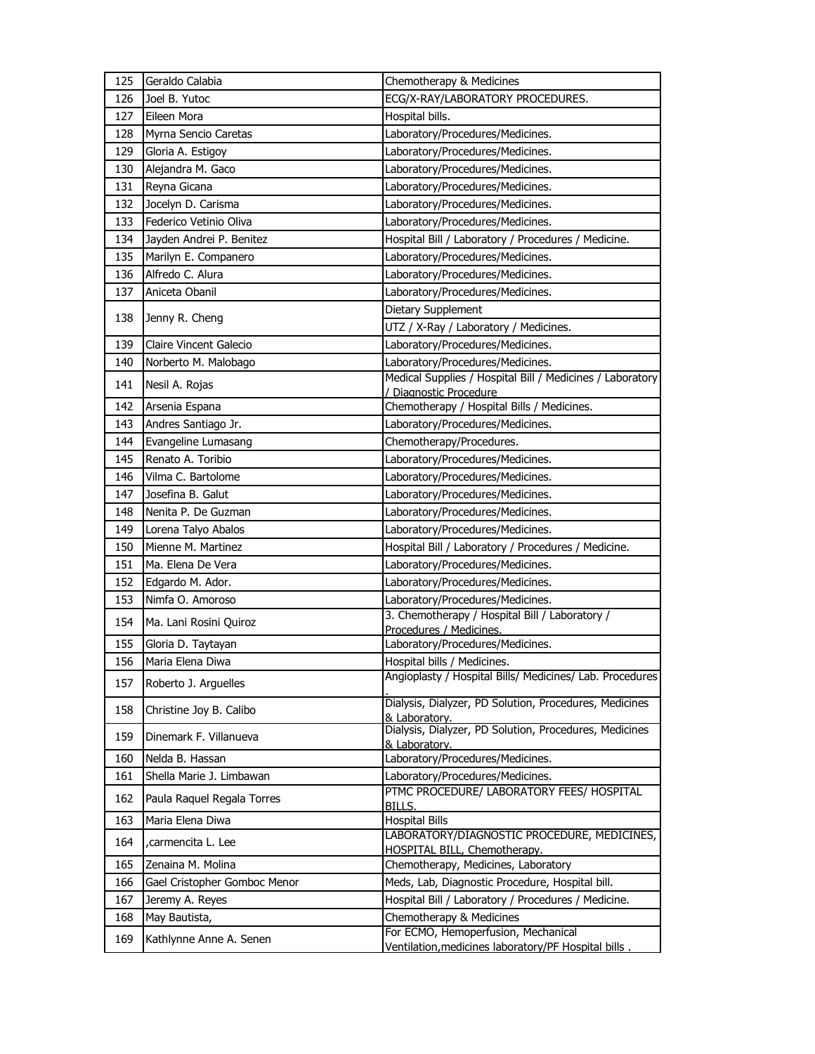| 125 | Geraldo Calabia                            | Chemotherapy & Medicines                                                           |
|-----|--------------------------------------------|------------------------------------------------------------------------------------|
| 126 | Joel B. Yutoc                              | ECG/X-RAY/LABORATORY PROCEDURES.                                                   |
| 127 | Eileen Mora                                | Hospital bills.                                                                    |
| 128 | Myrna Sencio Caretas                       | Laboratory/Procedures/Medicines.                                                   |
| 129 | Gloria A. Estigoy                          | Laboratory/Procedures/Medicines.                                                   |
| 130 | Alejandra M. Gaco                          | Laboratory/Procedures/Medicines.                                                   |
| 131 | Reyna Gicana                               | Laboratory/Procedures/Medicines.                                                   |
| 132 | Jocelyn D. Carisma                         | Laboratory/Procedures/Medicines.                                                   |
| 133 | Federico Vetinio Oliva                     | Laboratory/Procedures/Medicines.                                                   |
| 134 | Jayden Andrei P. Benitez                   | Hospital Bill / Laboratory / Procedures / Medicine.                                |
| 135 | Marilyn E. Companero                       | Laboratory/Procedures/Medicines.                                                   |
| 136 | Alfredo C. Alura                           | Laboratory/Procedures/Medicines.                                                   |
| 137 | Aniceta Obanil                             | Laboratory/Procedures/Medicines.                                                   |
| 138 |                                            | Dietary Supplement                                                                 |
|     | Jenny R. Cheng                             | UTZ / X-Ray / Laboratory / Medicines.                                              |
| 139 | Claire Vincent Galecio                     | Laboratory/Procedures/Medicines.                                                   |
| 140 | Norberto M. Malobago                       | Laboratory/Procedures/Medicines.                                                   |
| 141 | Nesil A. Rojas                             | Medical Supplies / Hospital Bill / Medicines / Laboratory                          |
| 142 | Arsenia Espana                             | Diagnostic Procedure<br>Chemotherapy / Hospital Bills / Medicines.                 |
| 143 |                                            |                                                                                    |
| 144 | Andres Santiago Jr.<br>Evangeline Lumasang | Laboratory/Procedures/Medicines.<br>Chemotherapy/Procedures.                       |
| 145 | Renato A. Toribio                          | Laboratory/Procedures/Medicines.                                                   |
| 146 | Vilma C. Bartolome                         | Laboratory/Procedures/Medicines.                                                   |
| 147 | Josefina B. Galut                          | Laboratory/Procedures/Medicines.                                                   |
| 148 | Nenita P. De Guzman                        | Laboratory/Procedures/Medicines.                                                   |
| 149 | Lorena Talyo Abalos                        | Laboratory/Procedures/Medicines.                                                   |
| 150 | Mienne M. Martinez                         | Hospital Bill / Laboratory / Procedures / Medicine.                                |
| 151 | Ma. Elena De Vera                          | Laboratory/Procedures/Medicines.                                                   |
| 152 | Edgardo M. Ador.                           | Laboratory/Procedures/Medicines.                                                   |
| 153 | Nimfa O. Amoroso                           | Laboratory/Procedures/Medicines.                                                   |
|     |                                            | 3. Chemotherapy / Hospital Bill / Laboratory /                                     |
| 154 | Ma. Lani Rosini Quiroz                     | Procedures / Medicines.                                                            |
| 155 | Gloria D. Taytayan                         | Laboratory/Procedures/Medicines.                                                   |
| 156 | Maria Elena Diwa                           | Hospital bills / Medicines.                                                        |
| 157 | Roberto J. Arguelles                       | Angioplasty / Hospital Bills/ Medicines/ Lab. Procedures                           |
| 158 | Christine Joy B. Calibo                    | Dialysis, Dialyzer, PD Solution, Procedures, Medicines<br>& Laboratory.            |
| 159 | Dinemark F. Villanueva                     | Dialysis, Dialyzer, PD Solution, Procedures, Medicines<br>& Laboratory.            |
| 160 | Nelda B. Hassan                            | Laboratory/Procedures/Medicines.                                                   |
| 161 | Shella Marie J. Limbawan                   | Laboratory/Procedures/Medicines.                                                   |
| 162 | Paula Raquel Regala Torres                 | PTMC PROCEDURE/ LABORATORY FEES/ HOSPITAL<br>BILLS.                                |
| 163 | Maria Elena Diwa                           | <b>Hospital Bills</b>                                                              |
| 164 | carmencita L. Lee                          | LABORATORY/DIAGNOSTIC PROCEDURE, MEDICINES,<br><b>HOSPITAL BILL, Chemotherapy.</b> |
| 165 | Zenaina M. Molina                          | Chemotherapy, Medicines, Laboratory                                                |
| 166 | Gael Cristopher Gomboc Menor               | Meds, Lab, Diagnostic Procedure, Hospital bill.                                    |
| 167 | Jeremy A. Reyes                            | Hospital Bill / Laboratory / Procedures / Medicine.                                |
| 168 | May Bautista,                              | Chemotherapy & Medicines                                                           |
| 169 | Kathlynne Anne A. Senen                    | For ECMO, Hemoperfusion, Mechanical                                                |
|     |                                            | Ventilation, medicines laboratory/PF Hospital bills.                               |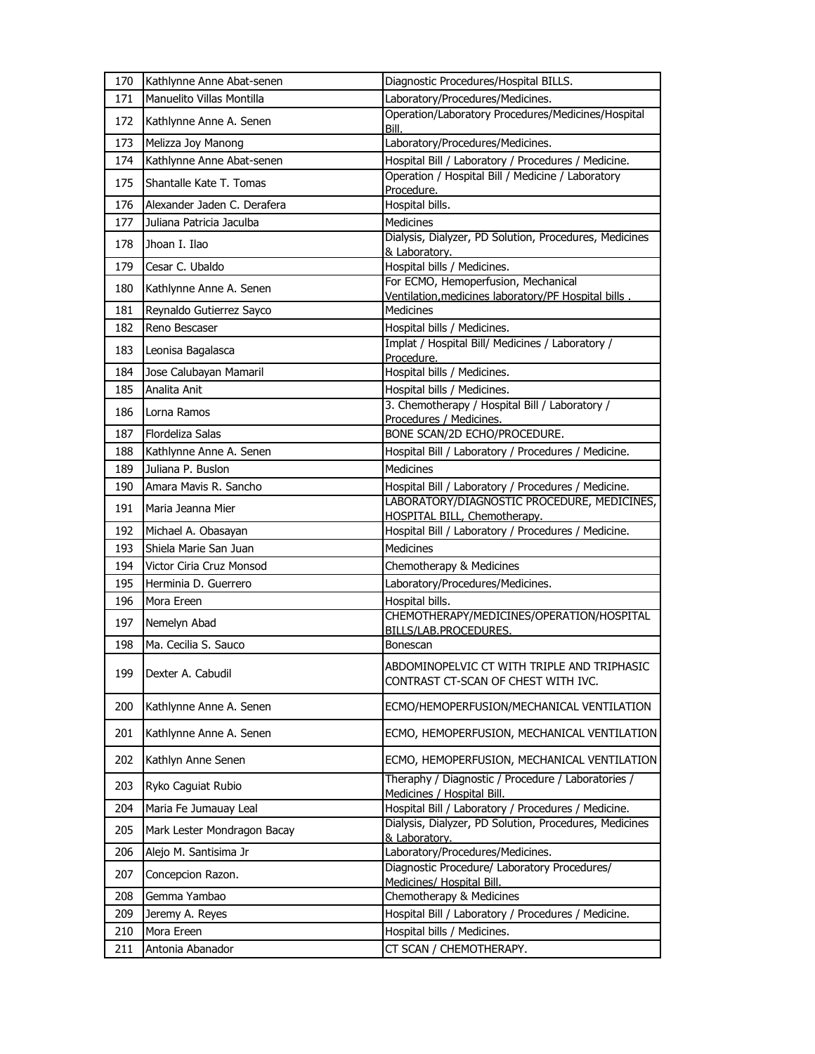| 170 | Kathlynne Anne Abat-senen   | Diagnostic Procedures/Hospital BILLS.                                                       |
|-----|-----------------------------|---------------------------------------------------------------------------------------------|
| 171 | Manuelito Villas Montilla   | Laboratory/Procedures/Medicines.                                                            |
| 172 | Kathlynne Anne A. Senen     | Operation/Laboratory Procedures/Medicines/Hospital<br>Bill.                                 |
| 173 | Melizza Joy Manong          | Laboratory/Procedures/Medicines.                                                            |
| 174 | Kathlynne Anne Abat-senen   | Hospital Bill / Laboratory / Procedures / Medicine.                                         |
| 175 | Shantalle Kate T. Tomas     | Operation / Hospital Bill / Medicine / Laboratory<br>Procedure.                             |
| 176 | Alexander Jaden C. Derafera | Hospital bills.                                                                             |
| 177 | Juliana Patricia Jaculba    | <b>Medicines</b>                                                                            |
| 178 | Jhoan I. Ilao               | Dialysis, Dialyzer, PD Solution, Procedures, Medicines<br>& Laboratory.                     |
| 179 | Cesar C. Ubaldo             | Hospital bills / Medicines.                                                                 |
| 180 | Kathlynne Anne A. Senen     | For ECMO, Hemoperfusion, Mechanical<br>Ventilation, medicines laboratory/PF Hospital bills. |
| 181 | Reynaldo Gutierrez Sayco    | <b>Medicines</b>                                                                            |
| 182 | Reno Bescaser               | Hospital bills / Medicines.                                                                 |
| 183 | Leonisa Bagalasca           | Implat / Hospital Bill/ Medicines / Laboratory /<br>Procedure.                              |
| 184 | Jose Calubayan Mamaril      | Hospital bills / Medicines.                                                                 |
| 185 | Analita Anit                | Hospital bills / Medicines.                                                                 |
| 186 | Lorna Ramos                 | 3. Chemotherapy / Hospital Bill / Laboratory /<br>Procedures / Medicines.                   |
| 187 | Flordeliza Salas            | BONE SCAN/2D ECHO/PROCEDURE.                                                                |
| 188 | Kathlynne Anne A. Senen     | Hospital Bill / Laboratory / Procedures / Medicine.                                         |
| 189 | Juliana P. Buslon           | <b>Medicines</b>                                                                            |
| 190 | Amara Mavis R. Sancho       | Hospital Bill / Laboratory / Procedures / Medicine.                                         |
| 191 | Maria Jeanna Mier           | LABORATORY/DIAGNOSTIC PROCEDURE, MEDICINES,<br><b>HOSPITAL BILL, Chemotherapy.</b>          |
| 192 | Michael A. Obasayan         | Hospital Bill / Laboratory / Procedures / Medicine.                                         |
| 193 | Shiela Marie San Juan       | <b>Medicines</b>                                                                            |
| 194 | Victor Ciria Cruz Monsod    | Chemotherapy & Medicines                                                                    |
| 195 | Herminia D. Guerrero        | Laboratory/Procedures/Medicines.                                                            |
| 196 | Mora Ereen                  | Hospital bills.                                                                             |
| 197 | Nemelyn Abad                | CHEMOTHERAPY/MEDICINES/OPERATION/HOSPITAL<br><b>BILLS/LAB.PROCEDURES.</b>                   |
| 198 | Ma. Cecilia S. Sauco        | Bonescan                                                                                    |
| 199 | Dexter A. Cabudil           | ABDOMINOPELVIC CT WITH TRIPLE AND TRIPHASIC<br>CONTRAST CT-SCAN OF CHEST WITH IVC.          |
| 200 | Kathlynne Anne A. Senen     | ECMO/HEMOPERFUSION/MECHANICAL VENTILATION                                                   |
| 201 | Kathlynne Anne A. Senen     | ECMO, HEMOPERFUSION, MECHANICAL VENTILATION                                                 |
| 202 | Kathlyn Anne Senen          | ECMO, HEMOPERFUSION, MECHANICAL VENTILATION                                                 |
| 203 | Ryko Caguiat Rubio          | Theraphy / Diagnostic / Procedure / Laboratories /<br>Medicines / Hospital Bill.            |
| 204 | Maria Fe Jumauay Leal       | Hospital Bill / Laboratory / Procedures / Medicine.                                         |
| 205 | Mark Lester Mondragon Bacay | Dialysis, Dialyzer, PD Solution, Procedures, Medicines<br>& Laboratory.                     |
| 206 | Alejo M. Santisima Jr       | Laboratory/Procedures/Medicines.                                                            |
| 207 | Concepcion Razon.           | Diagnostic Procedure/ Laboratory Procedures/<br>Medicines/ Hospital Bill.                   |
| 208 | Gemma Yambao                | Chemotherapy & Medicines                                                                    |
| 209 | Jeremy A. Reyes             | Hospital Bill / Laboratory / Procedures / Medicine.                                         |
| 210 | Mora Ereen                  | Hospital bills / Medicines.                                                                 |
| 211 | Antonia Abanador            | CT SCAN / CHEMOTHERAPY.                                                                     |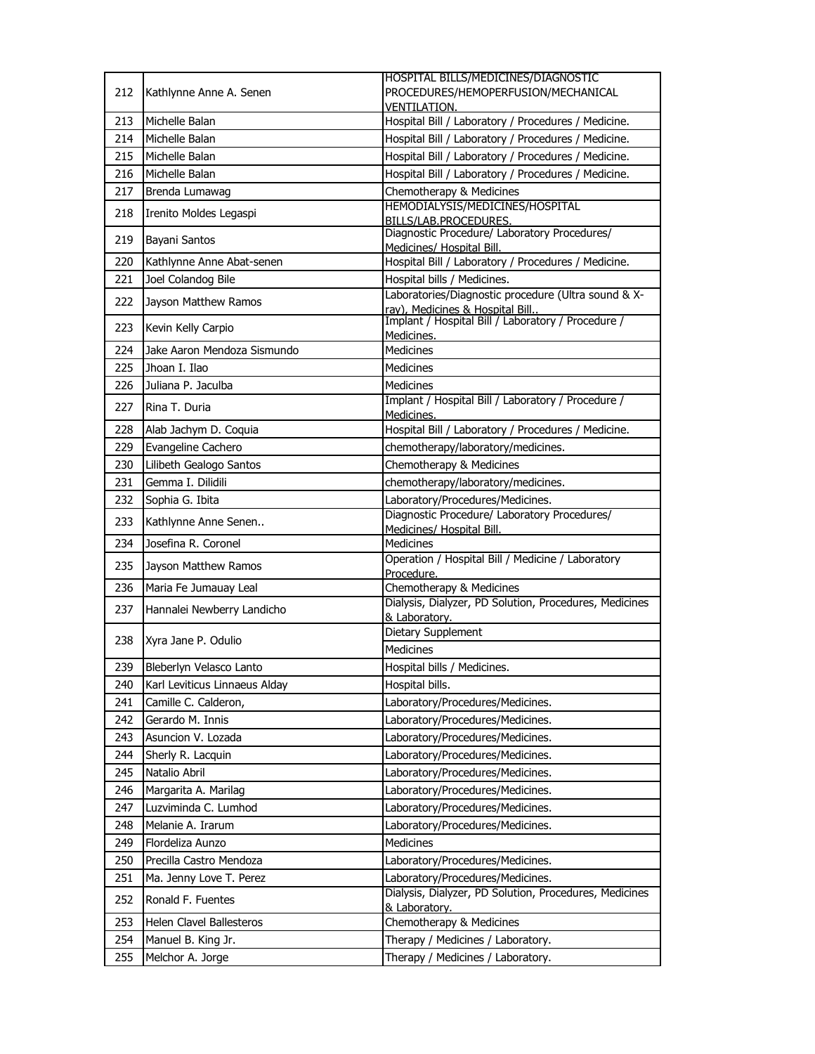|     | Kathlynne Anne A. Senen       | HOSPITAL BILLS/MEDICINES/DIAGNOSTIC                                       |
|-----|-------------------------------|---------------------------------------------------------------------------|
| 212 |                               | PROCEDURES/HEMOPERFUSION/MECHANICAL                                       |
|     |                               | <b>VENTILATION.</b>                                                       |
| 213 | Michelle Balan                | Hospital Bill / Laboratory / Procedures / Medicine.                       |
| 214 | Michelle Balan                | Hospital Bill / Laboratory / Procedures / Medicine.                       |
| 215 | Michelle Balan                | Hospital Bill / Laboratory / Procedures / Medicine.                       |
| 216 | Michelle Balan                | Hospital Bill / Laboratory / Procedures / Medicine.                       |
| 217 | Brenda Lumawag                | Chemotherapy & Medicines                                                  |
| 218 | Irenito Moldes Legaspi        | HEMODIALYSIS/MEDICINES/HOSPITAL<br>BILLS/LAB.PROCEDURES.                  |
| 219 | Bayani Santos                 | Diagnostic Procedure/ Laboratory Procedures/<br>Medicines/ Hospital Bill. |
| 220 | Kathlynne Anne Abat-senen     | Hospital Bill / Laboratory / Procedures / Medicine.                       |
| 221 | Joel Colandog Bile            | Hospital bills / Medicines.                                               |
| 222 | Jayson Matthew Ramos          | Laboratories/Diagnostic procedure (Ultra sound & X-                       |
|     |                               | ray), Medicines & Hospital Bill.                                          |
| 223 | Kevin Kelly Carpio            | Implant / Hospital Bill / Laboratory / Procedure /<br>Medicines.          |
| 224 | Jake Aaron Mendoza Sismundo   | <b>Medicines</b>                                                          |
| 225 | Jhoan I. Ilao                 | Medicines                                                                 |
| 226 | Juliana P. Jaculba            | Medicines                                                                 |
| 227 | Rina T. Duria                 | Implant / Hospital Bill / Laboratory / Procedure /<br>Medicines.          |
| 228 | Alab Jachym D. Coquia         | Hospital Bill / Laboratory / Procedures / Medicine.                       |
| 229 | Evangeline Cachero            | chemotherapy/laboratory/medicines.                                        |
| 230 | Lilibeth Gealogo Santos       | Chemotherapy & Medicines                                                  |
| 231 | Gemma I. Dilidili             | chemotherapy/laboratory/medicines.                                        |
| 232 | Sophia G. Ibita               | Laboratory/Procedures/Medicines.                                          |
|     |                               | Diagnostic Procedure/ Laboratory Procedures/                              |
| 233 | Kathlynne Anne Senen          | Medicines/ Hospital Bill.                                                 |
| 234 | Josefina R. Coronel           | <b>Medicines</b>                                                          |
| 235 | Jayson Matthew Ramos          | Operation / Hospital Bill / Medicine / Laboratory<br>Procedure.           |
| 236 | Maria Fe Jumauay Leal         | Chemotherapy & Medicines                                                  |
| 237 | Hannalei Newberry Landicho    | Dialysis, Dialyzer, PD Solution, Procedures, Medicines<br>& Laboratory.   |
|     |                               | Dietary Supplement                                                        |
| 238 | Xyra Jane P. Odulio           | Medicines                                                                 |
| 239 | Bleberlyn Velasco Lanto       | Hospital bills / Medicines.                                               |
| 240 | Karl Leviticus Linnaeus Alday | Hospital bills.                                                           |
| 241 | Camille C. Calderon,          | Laboratory/Procedures/Medicines.                                          |
| 242 | Gerardo M. Innis              | Laboratory/Procedures/Medicines.                                          |
| 243 | Asuncion V. Lozada            | Laboratory/Procedures/Medicines.                                          |
| 244 | Sherly R. Lacquin             | Laboratory/Procedures/Medicines.                                          |
| 245 | Natalio Abril                 | Laboratory/Procedures/Medicines.                                          |
| 246 | Margarita A. Marilag          | Laboratory/Procedures/Medicines.                                          |
| 247 | Luzviminda C. Lumhod          | Laboratory/Procedures/Medicines.                                          |
| 248 | Melanie A. Irarum             | Laboratory/Procedures/Medicines.                                          |
| 249 | Flordeliza Aunzo              | Medicines                                                                 |
| 250 | Precilla Castro Mendoza       | Laboratory/Procedures/Medicines.                                          |
| 251 | Ma. Jenny Love T. Perez       | Laboratory/Procedures/Medicines.                                          |
|     |                               | Dialysis, Dialyzer, PD Solution, Procedures, Medicines                    |
| 252 | Ronald F. Fuentes             | & Laboratory.                                                             |
| 253 | Helen Clavel Ballesteros      | Chemotherapy & Medicines                                                  |
| 254 | Manuel B. King Jr.            | Therapy / Medicines / Laboratory.                                         |
| 255 | Melchor A. Jorge              | Therapy / Medicines / Laboratory.                                         |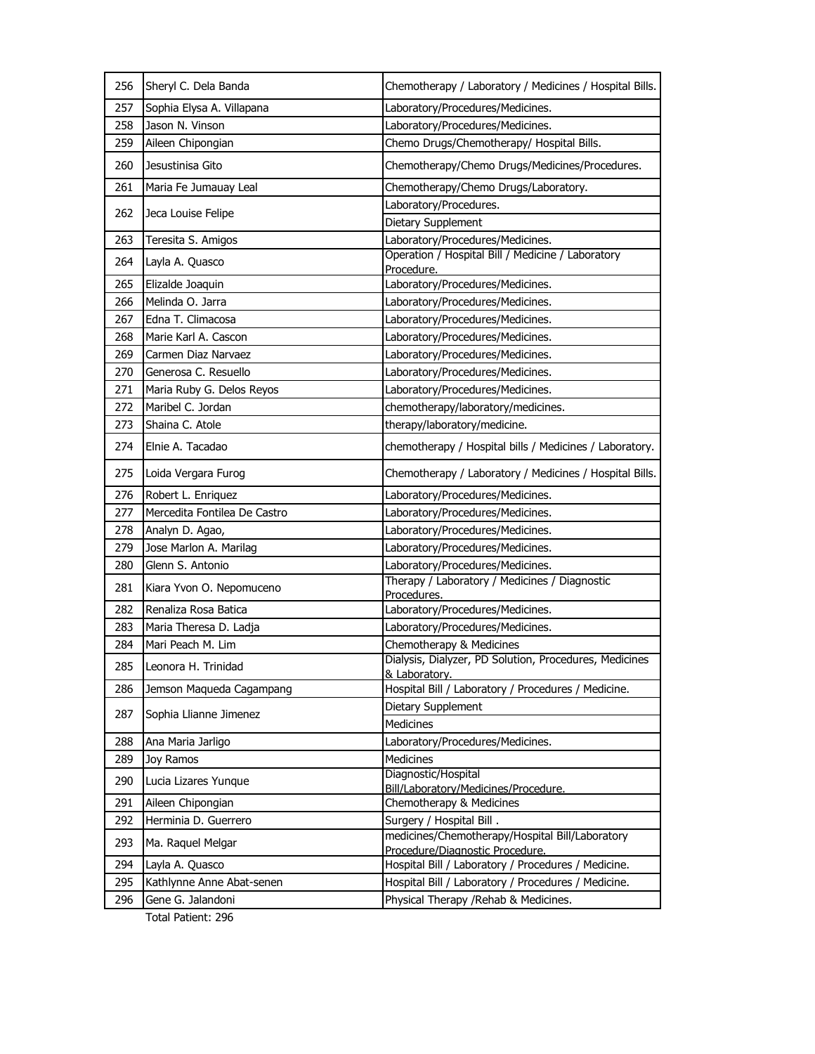| 256 | Sheryl C. Dela Banda         | Chemotherapy / Laboratory / Medicines / Hospital Bills.                            |
|-----|------------------------------|------------------------------------------------------------------------------------|
| 257 | Sophia Elysa A. Villapana    | Laboratory/Procedures/Medicines.                                                   |
| 258 | Jason N. Vinson              | Laboratory/Procedures/Medicines.                                                   |
| 259 | Aileen Chipongian            | Chemo Drugs/Chemotherapy/ Hospital Bills.                                          |
| 260 | Jesustinisa Gito             | Chemotherapy/Chemo Drugs/Medicines/Procedures.                                     |
| 261 | Maria Fe Jumauay Leal        | Chemotherapy/Chemo Drugs/Laboratory.                                               |
| 262 | Jeca Louise Felipe           | Laboratory/Procedures.                                                             |
|     |                              | Dietary Supplement                                                                 |
| 263 | Teresita S. Amigos           | Laboratory/Procedures/Medicines.                                                   |
| 264 | Layla A. Quasco              | Operation / Hospital Bill / Medicine / Laboratory<br>Procedure.                    |
| 265 | Elizalde Joaquin             | Laboratory/Procedures/Medicines.                                                   |
| 266 | Melinda O. Jarra             | Laboratory/Procedures/Medicines.                                                   |
| 267 | Edna T. Climacosa            | Laboratory/Procedures/Medicines.                                                   |
| 268 | Marie Karl A. Cascon         | Laboratory/Procedures/Medicines.                                                   |
| 269 | Carmen Diaz Narvaez          | Laboratory/Procedures/Medicines.                                                   |
| 270 | Generosa C. Resuello         | Laboratory/Procedures/Medicines.                                                   |
| 271 | Maria Ruby G. Delos Reyos    | Laboratory/Procedures/Medicines.                                                   |
| 272 | Maribel C. Jordan            | chemotherapy/laboratory/medicines.                                                 |
| 273 | Shaina C. Atole              | therapy/laboratory/medicine.                                                       |
| 274 | Elnie A. Tacadao             | chemotherapy / Hospital bills / Medicines / Laboratory.                            |
| 275 | Loida Vergara Furog          | Chemotherapy / Laboratory / Medicines / Hospital Bills.                            |
| 276 | Robert L. Enriquez           | Laboratory/Procedures/Medicines.                                                   |
| 277 | Mercedita Fontilea De Castro | Laboratory/Procedures/Medicines.                                                   |
| 278 | Analyn D. Agao,              | Laboratory/Procedures/Medicines.                                                   |
| 279 | Jose Marlon A. Marilag       | Laboratory/Procedures/Medicines.                                                   |
| 280 | Glenn S. Antonio             | Laboratory/Procedures/Medicines.                                                   |
| 281 | Kiara Yvon O. Nepomuceno     | Therapy / Laboratory / Medicines / Diagnostic<br>Procedures.                       |
| 282 | Renaliza Rosa Batica         | Laboratory/Procedures/Medicines.                                                   |
| 283 | Maria Theresa D. Ladja       | Laboratory/Procedures/Medicines.                                                   |
| 284 | Mari Peach M. Lim            | Chemotherapy & Medicines                                                           |
| 285 | Leonora H. Trinidad          | Dialysis, Dialyzer, PD Solution, Procedures, Medicines<br>& Laboratory.            |
| 286 | Jemson Magueda Cagampang     | Hospital Bill / Laboratory / Procedures / Medicine.                                |
| 287 | Sophia Llianne Jimenez       | Dietary Supplement<br>Medicines                                                    |
| 288 | Ana Maria Jarligo            | Laboratory/Procedures/Medicines.                                                   |
| 289 | Joy Ramos                    | <b>Medicines</b>                                                                   |
|     |                              | Diagnostic/Hospital                                                                |
| 290 | Lucia Lizares Yunque         | Bill/Laboratory/Medicines/Procedure.                                               |
| 291 | Aileen Chipongian            | Chemotherapy & Medicines                                                           |
| 292 | Herminia D. Guerrero         | Surgery / Hospital Bill.                                                           |
| 293 | Ma. Raguel Melgar            | medicines/Chemotherapy/Hospital Bill/Laboratory<br>Procedure/Diagnostic Procedure. |
| 294 | Layla A. Quasco              | Hospital Bill / Laboratory / Procedures / Medicine.                                |
| 295 | Kathlynne Anne Abat-senen    | Hospital Bill / Laboratory / Procedures / Medicine.                                |
| 296 | Gene G. Jalandoni            | Physical Therapy / Rehab & Medicines.                                              |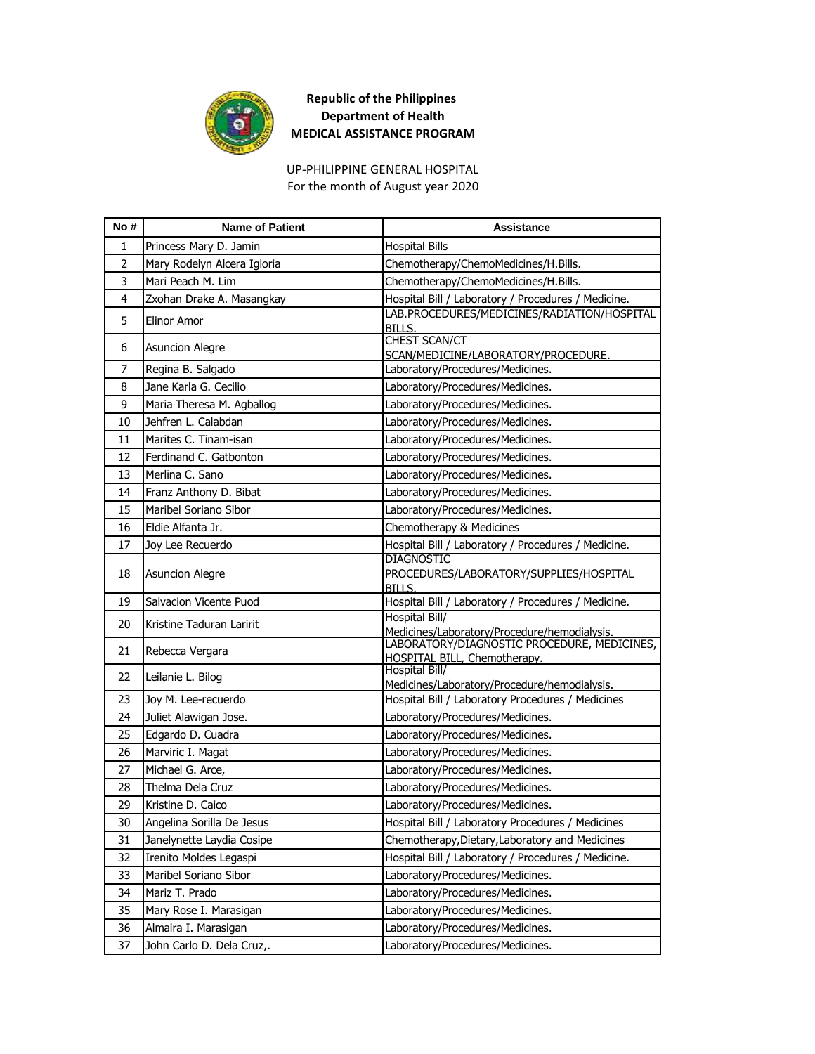

UP-PHILIPPINE GENERAL HOSPITAL For the month of August year 2020

| No#            | <b>Name of Patient</b>      | <b>Assistance</b>                                                                           |
|----------------|-----------------------------|---------------------------------------------------------------------------------------------|
| 1              | Princess Mary D. Jamin      | <b>Hospital Bills</b>                                                                       |
| $\overline{2}$ | Mary Rodelyn Alcera Igloria | Chemotherapy/ChemoMedicines/H.Bills.                                                        |
| 3              | Mari Peach M. Lim           | Chemotherapy/ChemoMedicines/H.Bills.                                                        |
| 4              | Zxohan Drake A. Masangkay   | Hospital Bill / Laboratory / Procedures / Medicine.                                         |
| 5              | <b>Elinor Amor</b>          | LAB.PROCEDURES/MEDICINES/RADIATION/HOSPITAL<br>BILLS.                                       |
| 6              | <b>Asuncion Alegre</b>      | <b>CHEST SCAN/CT</b><br>SCAN/MEDICINE/LABORATORY/PROCEDURE.                                 |
| 7              | Regina B. Salgado           | Laboratory/Procedures/Medicines.                                                            |
| 8              | Jane Karla G. Cecilio       | Laboratory/Procedures/Medicines.                                                            |
| 9              | Maria Theresa M. Agballog   | Laboratory/Procedures/Medicines.                                                            |
| 10             | Jehfren L. Calabdan         | Laboratory/Procedures/Medicines.                                                            |
| 11             | Marites C. Tinam-isan       | Laboratory/Procedures/Medicines.                                                            |
| 12             | Ferdinand C. Gatbonton      | Laboratory/Procedures/Medicines.                                                            |
| 13             | Merlina C. Sano             | Laboratory/Procedures/Medicines.                                                            |
| 14             | Franz Anthony D. Bibat      | Laboratory/Procedures/Medicines.                                                            |
| 15             | Maribel Soriano Sibor       | Laboratory/Procedures/Medicines.                                                            |
| 16             | Eldie Alfanta Jr.           | Chemotherapy & Medicines                                                                    |
| 17             | Joy Lee Recuerdo            | Hospital Bill / Laboratory / Procedures / Medicine.                                         |
| 18             | <b>Asuncion Alegre</b>      | <b>DIAGNOSTIC</b><br>PROCEDURES/LABORATORY/SUPPLIES/HOSPITAL<br><b>BILLS.</b>               |
| 19             | Salvacion Vicente Puod      | Hospital Bill / Laboratory / Procedures / Medicine.                                         |
| 20             | Kristine Taduran Laririt    | Hospital Bill/                                                                              |
|                |                             | Medicines/Laboratory/Procedure/hemodialysis.<br>LABORATORY/DIAGNOSTIC PROCEDURE, MEDICINES, |
| 21             | Rebecca Vergara             | HOSPITAL BILL, Chemotherapy.                                                                |
| 22             | Leilanie L. Bilog           | <b>Hospital Bill/</b><br>Medicines/Laboratory/Procedure/hemodialysis.                       |
| 23             | Joy M. Lee-recuerdo         | Hospital Bill / Laboratory Procedures / Medicines                                           |
| 24             | Juliet Alawigan Jose.       | Laboratory/Procedures/Medicines.                                                            |
| 25             | Edgardo D. Cuadra           | Laboratory/Procedures/Medicines.                                                            |
| 26             | Marviric I. Magat           | Laboratory/Procedures/Medicines.                                                            |
| 27             | Michael G. Arce,            | Laboratory/Procedures/Medicines.                                                            |
| 28             | Thelma Dela Cruz            | Laboratory/Procedures/Medicines.                                                            |
| 29             | Kristine D. Caico           | Laboratory/Procedures/Medicines.                                                            |
| 30             | Angelina Sorilla De Jesus   | Hospital Bill / Laboratory Procedures / Medicines                                           |
| 31             | Janelynette Laydia Cosipe   | Chemotherapy, Dietary, Laboratory and Medicines                                             |
| 32             | Irenito Moldes Legaspi      | Hospital Bill / Laboratory / Procedures / Medicine.                                         |
| 33             | Maribel Soriano Sibor       | Laboratory/Procedures/Medicines.                                                            |
| 34             | Mariz T. Prado              | Laboratory/Procedures/Medicines.                                                            |
| 35             | Mary Rose I. Marasigan      | Laboratory/Procedures/Medicines.                                                            |
| 36             | Almaira I. Marasigan        | Laboratory/Procedures/Medicines.                                                            |
| 37             | John Carlo D. Dela Cruz,.   | Laboratory/Procedures/Medicines.                                                            |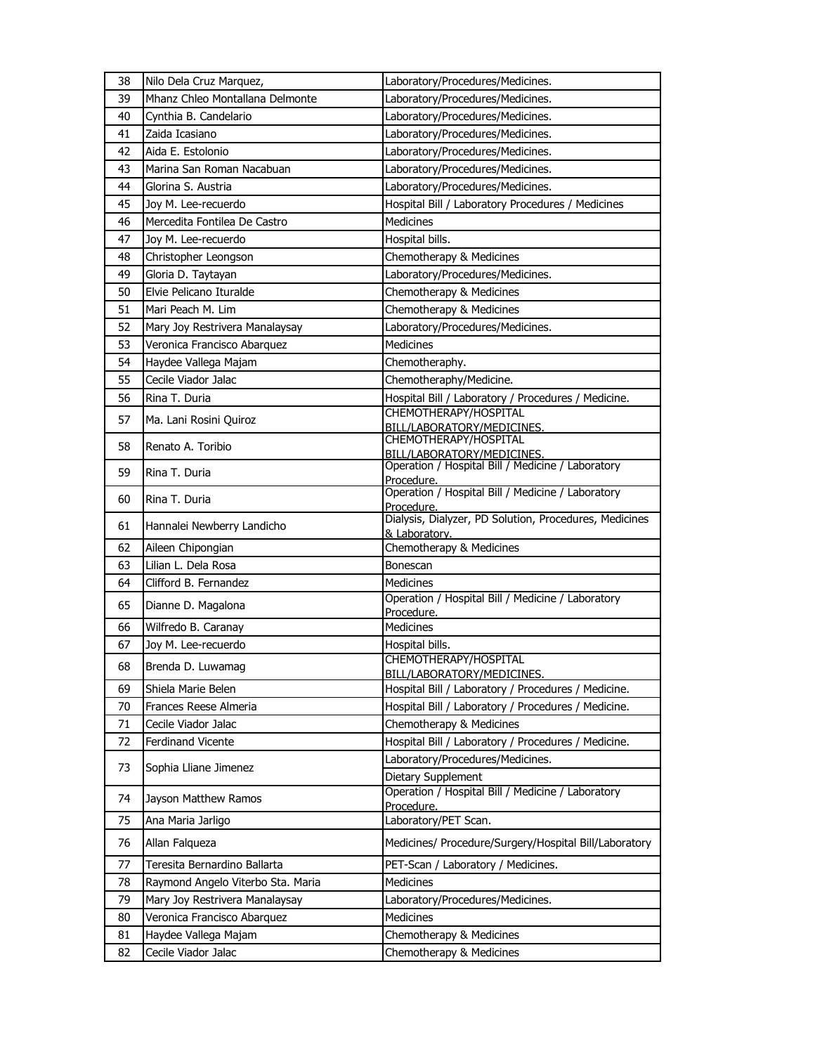| 38 | Nilo Dela Cruz Marquez,           | Laboratory/Procedures/Medicines.                                        |
|----|-----------------------------------|-------------------------------------------------------------------------|
| 39 | Mhanz Chleo Montallana Delmonte   | Laboratory/Procedures/Medicines.                                        |
| 40 | Cynthia B. Candelario             | Laboratory/Procedures/Medicines.                                        |
| 41 | Zaida Icasiano                    | Laboratory/Procedures/Medicines.                                        |
| 42 | Aida E. Estolonio                 | Laboratory/Procedures/Medicines.                                        |
| 43 | Marina San Roman Nacabuan         | Laboratory/Procedures/Medicines.                                        |
| 44 | Glorina S. Austria                | Laboratory/Procedures/Medicines.                                        |
| 45 | Joy M. Lee-recuerdo               | Hospital Bill / Laboratory Procedures / Medicines                       |
| 46 | Mercedita Fontilea De Castro      | <b>Medicines</b>                                                        |
| 47 | Joy M. Lee-recuerdo               | Hospital bills.                                                         |
| 48 | Christopher Leongson              | Chemotherapy & Medicines                                                |
| 49 | Gloria D. Taytayan                | Laboratory/Procedures/Medicines.                                        |
| 50 | Elvie Pelicano Ituralde           | Chemotherapy & Medicines                                                |
| 51 | Mari Peach M. Lim                 | Chemotherapy & Medicines                                                |
| 52 | Mary Joy Restrivera Manalaysay    | Laboratory/Procedures/Medicines.                                        |
| 53 | Veronica Francisco Abarquez       | Medicines                                                               |
| 54 | Haydee Vallega Majam              | Chemotheraphy.                                                          |
| 55 | Cecile Viador Jalac               | Chemotheraphy/Medicine.                                                 |
| 56 | Rina T. Duria                     | Hospital Bill / Laboratory / Procedures / Medicine.                     |
| 57 | Ma. Lani Rosini Quiroz            | CHEMOTHERAPY/HOSPITAL                                                   |
|    |                                   | BILL/LABORATORY/MEDICINES.<br>CHEMOTHERAPY/HOSPITAL                     |
| 58 | Renato A. Toribio                 | BILL/LABORATORY/MEDICINES.                                              |
| 59 | Rina T. Duria                     | Operation / Hospital Bill / Medicine / Laboratory                       |
|    |                                   | Procedure.<br>Operation / Hospital Bill / Medicine / Laboratory         |
| 60 | Rina T. Duria                     | Procedure.                                                              |
| 61 | Hannalei Newberry Landicho        | Dialysis, Dialyzer, PD Solution, Procedures, Medicines<br>& Laboratory. |
| 62 | Aileen Chipongian                 | Chemotherapy & Medicines                                                |
| 63 | Lilian L. Dela Rosa               | Bonescan                                                                |
| 64 | Clifford B. Fernandez             | Medicines                                                               |
| 65 | Dianne D. Magalona                | Operation / Hospital Bill / Medicine / Laboratory                       |
|    |                                   | Procedure.                                                              |
| 66 | Wilfredo B. Caranay               | Medicines                                                               |
| 67 | Joy M. Lee-recuerdo               | Hospital bills.<br>CHEMOTHERAPY/HOSPITAL                                |
| 68 | Brenda D. Luwamag                 | BILL/LABORATORY/MEDICINES.                                              |
| 69 | Shiela Marie Belen                | Hospital Bill / Laboratory / Procedures / Medicine.                     |
| 70 | Frances Reese Almeria             | Hospital Bill / Laboratory / Procedures / Medicine.                     |
| 71 | Cecile Viador Jalac               | Chemotherapy & Medicines                                                |
| 72 | <b>Ferdinand Vicente</b>          | Hospital Bill / Laboratory / Procedures / Medicine.                     |
|    |                                   | Laboratory/Procedures/Medicines.                                        |
| 73 | Sophia Lliane Jimenez             | Dietary Supplement                                                      |
| 74 | Jayson Matthew Ramos              | Operation / Hospital Bill / Medicine / Laboratory                       |
|    |                                   | Procedure.                                                              |
| 75 | Ana Maria Jarligo                 | Laboratory/PET Scan.                                                    |
| 76 | Allan Falgueza                    | Medicines/ Procedure/Surgery/Hospital Bill/Laboratory                   |
| 77 | Teresita Bernardino Ballarta      | PET-Scan / Laboratory / Medicines.                                      |
| 78 | Raymond Angelo Viterbo Sta. Maria | Medicines                                                               |
| 79 | Mary Joy Restrivera Manalaysay    | Laboratory/Procedures/Medicines.                                        |
| 80 | Veronica Francisco Abarquez       | Medicines                                                               |
| 81 | Haydee Vallega Majam              | Chemotherapy & Medicines                                                |
| 82 | Cecile Viador Jalac               | Chemotherapy & Medicines                                                |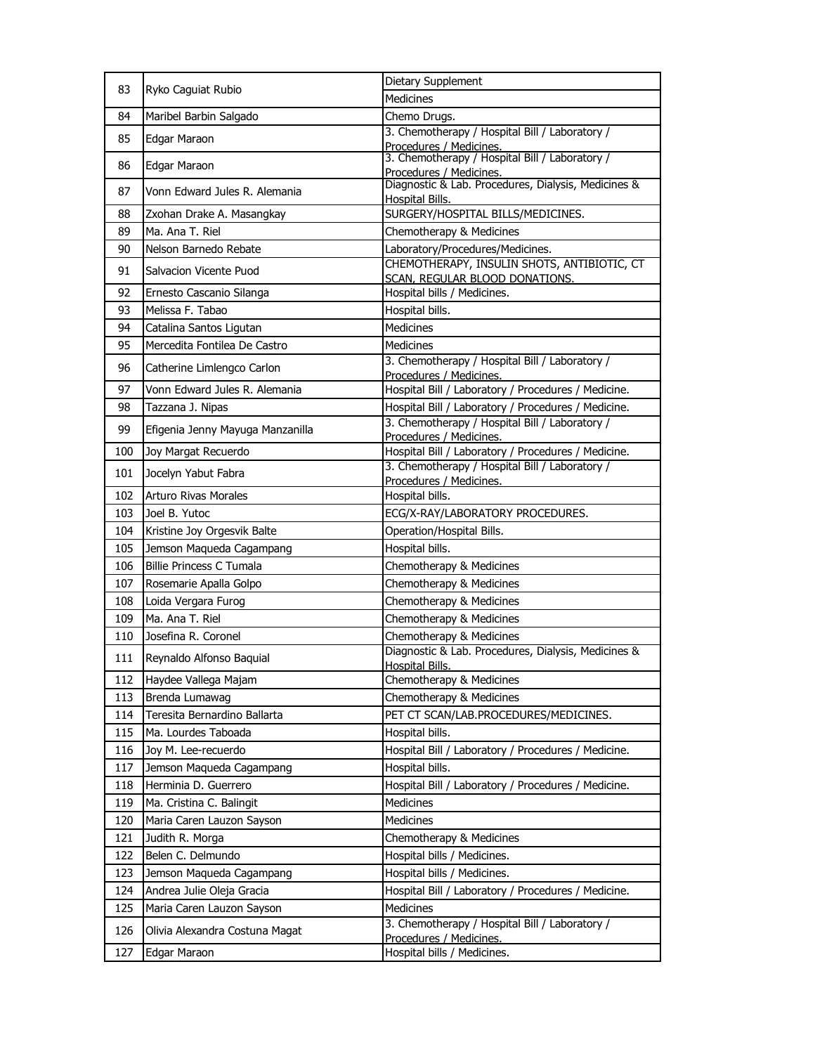| 83  | Ryko Caguiat Rubio               | Dietary Supplement                                                            |
|-----|----------------------------------|-------------------------------------------------------------------------------|
|     |                                  | <b>Medicines</b>                                                              |
| 84  | Maribel Barbin Salgado           | Chemo Drugs.                                                                  |
| 85  | Edgar Maraon                     | 3. Chemotherapy / Hospital Bill / Laboratory /<br>Procedures / Medicines.     |
| 86  | Edgar Maraon                     | 3. Chemotherapy / Hospital Bill / Laboratory /<br>Procedures / Medicines.     |
| 87  | Vonn Edward Jules R. Alemania    | Diagnostic & Lab. Procedures, Dialysis, Medicines &<br><b>Hospital Bills.</b> |
| 88  | Zxohan Drake A. Masangkay        | SURGERY/HOSPITAL BILLS/MEDICINES.                                             |
| 89  | Ma. Ana T. Riel                  | Chemotherapy & Medicines                                                      |
| 90  | Nelson Barnedo Rebate            | Laboratory/Procedures/Medicines.                                              |
| 91  | Salvacion Vicente Puod           | CHEMOTHERAPY, INSULIN SHOTS, ANTIBIOTIC, CT<br>SCAN, REGULAR BLOOD DONATIONS. |
| 92  | Ernesto Cascanio Silanga         | Hospital bills / Medicines.                                                   |
| 93  | Melissa F. Tabao                 | Hospital bills.                                                               |
| 94  | Catalina Santos Ligutan          | <b>Medicines</b>                                                              |
| 95  | Mercedita Fontilea De Castro     | Medicines                                                                     |
| 96  | Catherine Limlengco Carlon       | 3. Chemotherapy / Hospital Bill / Laboratory /<br>Procedures / Medicines.     |
| 97  | Vonn Edward Jules R. Alemania    | Hospital Bill / Laboratory / Procedures / Medicine.                           |
| 98  | Tazzana J. Nipas                 | Hospital Bill / Laboratory / Procedures / Medicine.                           |
| 99  | Efigenia Jenny Mayuga Manzanilla | 3. Chemotherapy / Hospital Bill / Laboratory /                                |
|     |                                  | Procedures / Medicines.                                                       |
| 100 | Joy Margat Recuerdo              | Hospital Bill / Laboratory / Procedures / Medicine.                           |
| 101 | Jocelyn Yabut Fabra              | 3. Chemotherapy / Hospital Bill / Laboratory /<br>Procedures / Medicines.     |
| 102 | <b>Arturo Rivas Morales</b>      | Hospital bills.                                                               |
| 103 | Joel B. Yutoc                    | ECG/X-RAY/LABORATORY PROCEDURES.                                              |
| 104 | Kristine Joy Orgesvik Balte      | Operation/Hospital Bills.                                                     |
| 105 | Jemson Maqueda Cagampang         | Hospital bills.                                                               |
| 106 | <b>Billie Princess C Tumala</b>  | Chemotherapy & Medicines                                                      |
| 107 | Rosemarie Apalla Golpo           | Chemotherapy & Medicines                                                      |
| 108 | Loida Vergara Furog              | Chemotherapy & Medicines                                                      |
| 109 | Ma. Ana T. Riel                  | Chemotherapy & Medicines                                                      |
| 110 | Josefina R. Coronel              | Chemotherapy & Medicines                                                      |
| 111 | Reynaldo Alfonso Baquial         | Diagnostic & Lab. Procedures, Dialysis, Medicines &<br>Hospital Bills.        |
| 112 | Haydee Vallega Majam             | Chemotherapy & Medicines                                                      |
| 113 | Brenda Lumawag                   | Chemotherapy & Medicines                                                      |
| 114 | Teresita Bernardino Ballarta     | PET CT SCAN/LAB.PROCEDURES/MEDICINES.                                         |
| 115 | Ma. Lourdes Taboada              | Hospital bills.                                                               |
| 116 | Joy M. Lee-recuerdo              | Hospital Bill / Laboratory / Procedures / Medicine.                           |
| 117 | Jemson Maqueda Cagampang         | Hospital bills.                                                               |
| 118 | Herminia D. Guerrero             | Hospital Bill / Laboratory / Procedures / Medicine.                           |
| 119 | Ma. Cristina C. Balingit         | Medicines                                                                     |
| 120 | Maria Caren Lauzon Sayson        | <b>Medicines</b>                                                              |
| 121 | Judith R. Morga                  | Chemotherapy & Medicines                                                      |
| 122 | Belen C. Delmundo                | Hospital bills / Medicines.                                                   |
| 123 | Jemson Maqueda Cagampang         | Hospital bills / Medicines.                                                   |
| 124 | Andrea Julie Oleja Gracia        | Hospital Bill / Laboratory / Procedures / Medicine.                           |
| 125 | Maria Caren Lauzon Sayson        | <b>Medicines</b>                                                              |
| 126 | Olivia Alexandra Costuna Magat   | 3. Chemotherapy / Hospital Bill / Laboratory /<br>Procedures / Medicines.     |
| 127 | Edgar Maraon                     | Hospital bills / Medicines.                                                   |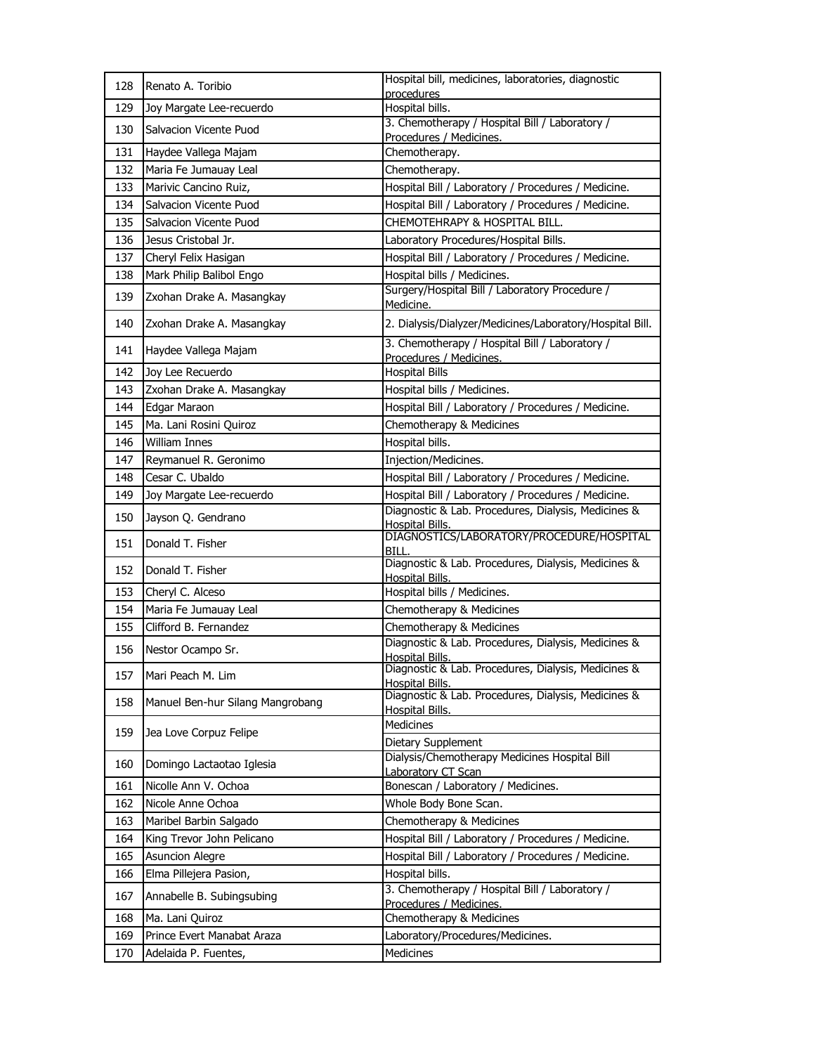| 128 | Renato A. Toribio                | Hospital bill, medicines, laboratories, diagnostic                            |
|-----|----------------------------------|-------------------------------------------------------------------------------|
| 129 | Joy Margate Lee-recuerdo         | procedures<br>Hospital bills.                                                 |
|     |                                  | 3. Chemotherapy / Hospital Bill / Laboratory /                                |
| 130 | Salvacion Vicente Puod           | Procedures / Medicines.                                                       |
| 131 | Haydee Vallega Majam             | Chemotherapy.                                                                 |
| 132 | Maria Fe Jumauay Leal            | Chemotherapy.                                                                 |
| 133 | Marivic Cancino Ruiz,            | Hospital Bill / Laboratory / Procedures / Medicine.                           |
| 134 | Salvacion Vicente Puod           | Hospital Bill / Laboratory / Procedures / Medicine.                           |
| 135 | Salvacion Vicente Puod           | CHEMOTEHRAPY & HOSPITAL BILL.                                                 |
| 136 | Jesus Cristobal Jr.              | Laboratory Procedures/Hospital Bills.                                         |
| 137 | Cheryl Felix Hasigan             | Hospital Bill / Laboratory / Procedures / Medicine.                           |
| 138 | Mark Philip Balibol Engo         | Hospital bills / Medicines.                                                   |
| 139 | Zxohan Drake A. Masangkay        | Surgery/Hospital Bill / Laboratory Procedure /<br>Medicine.                   |
| 140 | Zxohan Drake A. Masangkay        | 2. Dialysis/Dialyzer/Medicines/Laboratory/Hospital Bill.                      |
| 141 | Haydee Vallega Majam             | 3. Chemotherapy / Hospital Bill / Laboratory /<br>Procedures / Medicines.     |
| 142 | Joy Lee Recuerdo                 | <b>Hospital Bills</b>                                                         |
| 143 | Zxohan Drake A. Masangkay        | Hospital bills / Medicines.                                                   |
| 144 | Edgar Maraon                     | Hospital Bill / Laboratory / Procedures / Medicine.                           |
| 145 | Ma. Lani Rosini Quiroz           | Chemotherapy & Medicines                                                      |
| 146 | <b>William Innes</b>             | Hospital bills.                                                               |
| 147 | Reymanuel R. Geronimo            | Injection/Medicines.                                                          |
| 148 | Cesar C. Ubaldo                  | Hospital Bill / Laboratory / Procedures / Medicine.                           |
| 149 | Joy Margate Lee-recuerdo         | Hospital Bill / Laboratory / Procedures / Medicine.                           |
| 150 | Jayson Q. Gendrano               | Diagnostic & Lab. Procedures, Dialysis, Medicines &<br>Hospital Bills.        |
| 151 | Donald T. Fisher                 | DIAGNOSTICS/LABORATORY/PROCEDURE/HOSPITAL<br>BILL.                            |
| 152 | Donald T. Fisher                 | Diagnostic & Lab. Procedures, Dialysis, Medicines &<br>Hospital Bills.        |
| 153 | Cheryl C. Alceso                 | Hospital bills / Medicines.                                                   |
| 154 | Maria Fe Jumauay Leal            | Chemotherapy & Medicines                                                      |
| 155 | Clifford B. Fernandez            | Chemotherapy & Medicines                                                      |
| 156 | Nestor Ocampo Sr.                | Diagnostic & Lab. Procedures, Dialysis, Medicines &<br>Hospital Bills.        |
| 157 | Mari Peach M. Lim                | Diagnostic & Lab. Procedures, Dialysis, Medicines &<br><b>Hospital Bills.</b> |
| 158 | Manuel Ben-hur Silang Mangrobang | Diagnostic & Lab. Procedures, Dialysis, Medicines &<br>Hospital Bills.        |
| 159 | Jea Love Corpuz Felipe           | Medicines<br>Dietary Supplement                                               |
| 160 | Domingo Lactaotao Iglesia        | Dialysis/Chemotherapy Medicines Hospital Bill<br>Laboratory CT Scan           |
| 161 | Nicolle Ann V. Ochoa             | Bonescan / Laboratory / Medicines.                                            |
| 162 | Nicole Anne Ochoa                | Whole Body Bone Scan.                                                         |
| 163 | Maribel Barbin Salgado           | Chemotherapy & Medicines                                                      |
| 164 | King Trevor John Pelicano        | Hospital Bill / Laboratory / Procedures / Medicine.                           |
| 165 | <b>Asuncion Alegre</b>           | Hospital Bill / Laboratory / Procedures / Medicine.                           |
| 166 | Elma Pillejera Pasion,           | Hospital bills.                                                               |
| 167 | Annabelle B. Subingsubing        | 3. Chemotherapy / Hospital Bill / Laboratory /                                |
|     |                                  | Procedures / Medicines.                                                       |
| 168 | Ma. Lani Quiroz                  | Chemotherapy & Medicines                                                      |
| 169 | Prince Evert Manabat Araza       | Laboratory/Procedures/Medicines.                                              |
| 170 | Adelaida P. Fuentes,             | Medicines                                                                     |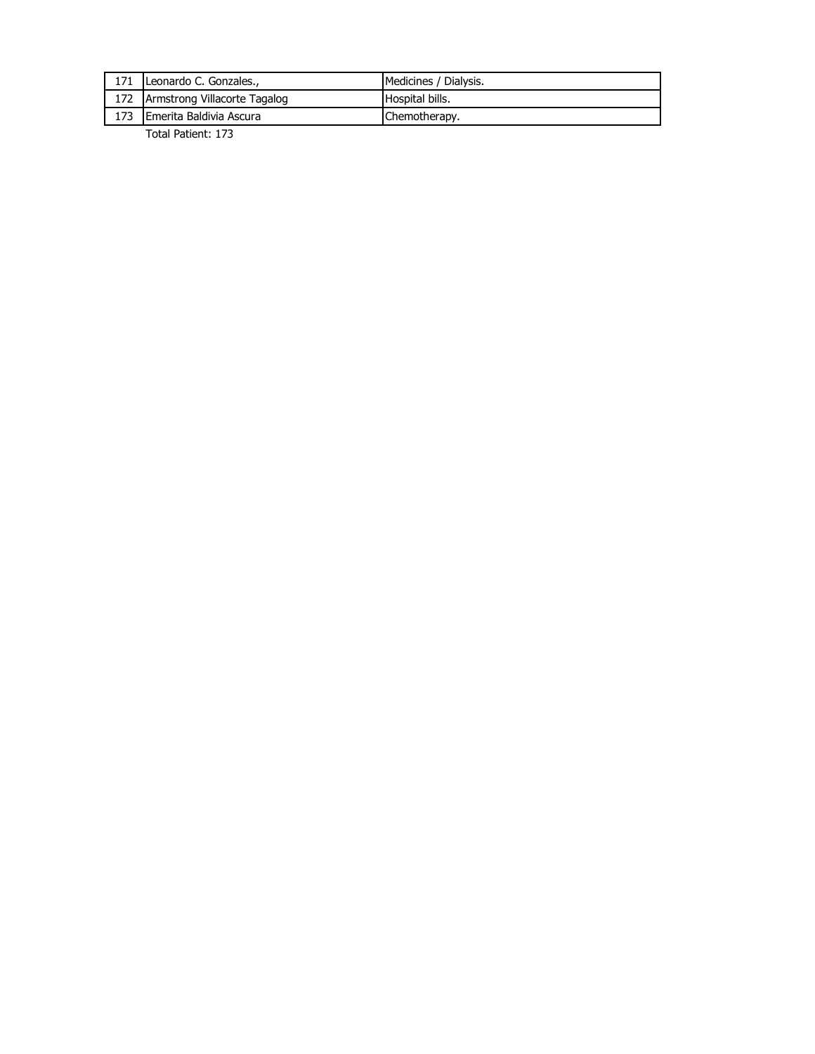|     | Leonardo C. Gonzales.,           | Medicines / Dialysis.  |
|-----|----------------------------------|------------------------|
|     | 172 Armstrong Villacorte Tagalog | <b>Hospital bills.</b> |
| 173 | <b>IEmerita Baldivia Ascura</b>  | Chemotherapy.          |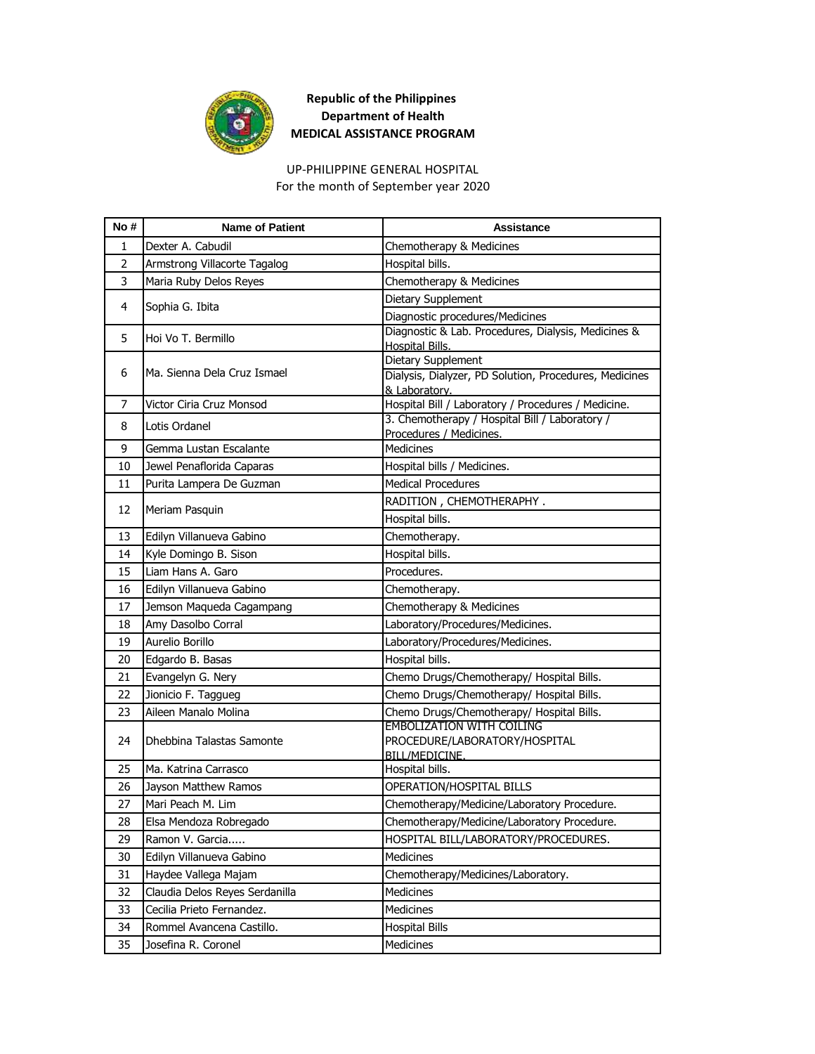

UP-PHILIPPINE GENERAL HOSPITAL For the month of September year 2020

| No#            | <b>Name of Patient</b>         | <b>Assistance</b>                                                            |
|----------------|--------------------------------|------------------------------------------------------------------------------|
| 1              | Dexter A. Cabudil              | Chemotherapy & Medicines                                                     |
| $\overline{2}$ | Armstrong Villacorte Tagalog   | Hospital bills.                                                              |
| 3              | Maria Ruby Delos Reyes         | Chemotherapy & Medicines                                                     |
|                |                                | Dietary Supplement                                                           |
| 4              | Sophia G. Ibita                | Diagnostic procedures/Medicines                                              |
| 5              | Hoi Vo T. Bermillo             | Diagnostic & Lab. Procedures, Dialysis, Medicines &                          |
|                |                                | <b>Hospital Bills.</b>                                                       |
| 6              | Ma. Sienna Dela Cruz Ismael    | Dietary Supplement<br>Dialysis, Dialyzer, PD Solution, Procedures, Medicines |
|                |                                | & Laboratory.                                                                |
| 7              | Victor Ciria Cruz Monsod       | Hospital Bill / Laboratory / Procedures / Medicine.                          |
| 8              | Lotis Ordanel                  | 3. Chemotherapy / Hospital Bill / Laboratory /                               |
| 9              | Gemma Lustan Escalante         | Procedures / Medicines.<br><b>Medicines</b>                                  |
| 10             |                                |                                                                              |
|                | Jewel Penaflorida Caparas      | Hospital bills / Medicines.<br><b>Medical Procedures</b>                     |
| 11             | Purita Lampera De Guzman       |                                                                              |
| 12             | Meriam Pasquin                 | RADITION, CHEMOTHERAPHY.<br>Hospital bills.                                  |
| 13             | Edilyn Villanueva Gabino       | Chemotherapy.                                                                |
| 14             | Kyle Domingo B. Sison          | Hospital bills.                                                              |
| 15             | Liam Hans A. Garo              | Procedures.                                                                  |
| 16             | Edilyn Villanueva Gabino       | Chemotherapy.                                                                |
| 17             | Jemson Maqueda Cagampang       | Chemotherapy & Medicines                                                     |
| 18             | Amy Dasolbo Corral             | Laboratory/Procedures/Medicines.                                             |
| 19             | Aurelio Borillo                | Laboratory/Procedures/Medicines.                                             |
| 20             | Edgardo B. Basas               | Hospital bills.                                                              |
| 21             | Evangelyn G. Nery              | Chemo Drugs/Chemotherapy/ Hospital Bills.                                    |
| 22             | Jionicio F. Taggueg            | Chemo Drugs/Chemotherapy/ Hospital Bills.                                    |
| 23             | Aileen Manalo Molina           | Chemo Drugs/Chemotherapy/ Hospital Bills.                                    |
|                |                                | <b>EMBOLIZATION WITH COILING</b>                                             |
| 24             | Dhebbina Talastas Samonte      | PROCEDURE/LABORATORY/HOSPITAL                                                |
|                |                                | <b>BILL/MEDICINE.</b>                                                        |
| 25             | Ma. Katrina Carrasco           | Hospital bills.                                                              |
| 26             | Jayson Matthew Ramos           | OPERATION/HOSPITAL BILLS                                                     |
| 27             | Mari Peach M. Lim              | Chemotherapy/Medicine/Laboratory Procedure.                                  |
| 28             | Elsa Mendoza Robregado         | Chemotherapy/Medicine/Laboratory Procedure.                                  |
| 29             | Ramon V. Garcia                | HOSPITAL BILL/LABORATORY/PROCEDURES.                                         |
| 30             | Edilyn Villanueva Gabino       | <b>Medicines</b>                                                             |
| 31             | Haydee Vallega Majam           | Chemotherapy/Medicines/Laboratory.                                           |
| 32             | Claudia Delos Reyes Serdanilla | Medicines                                                                    |
| 33             | Cecilia Prieto Fernandez.      | Medicines                                                                    |
| 34             | Rommel Avancena Castillo.      | <b>Hospital Bills</b>                                                        |
| 35             | Josefina R. Coronel            | Medicines                                                                    |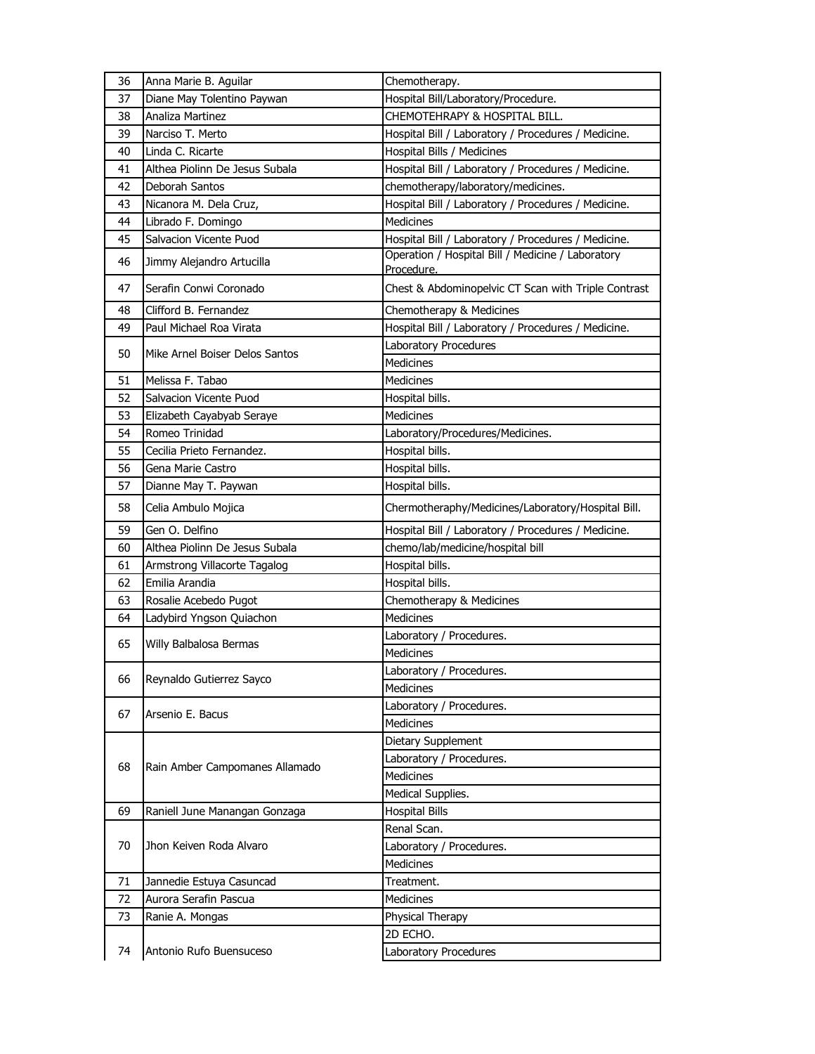| 36 | Anna Marie B. Aguilar          | Chemotherapy.                                                   |
|----|--------------------------------|-----------------------------------------------------------------|
| 37 | Diane May Tolentino Paywan     | Hospital Bill/Laboratory/Procedure.                             |
| 38 | Analiza Martinez               | CHEMOTEHRAPY & HOSPITAL BILL.                                   |
| 39 | Narciso T. Merto               | Hospital Bill / Laboratory / Procedures / Medicine.             |
| 40 | Linda C. Ricarte               | Hospital Bills / Medicines                                      |
| 41 | Althea Piolinn De Jesus Subala | Hospital Bill / Laboratory / Procedures / Medicine.             |
| 42 | Deborah Santos                 | chemotherapy/laboratory/medicines.                              |
| 43 | Nicanora M. Dela Cruz,         | Hospital Bill / Laboratory / Procedures / Medicine.             |
| 44 | Librado F. Domingo             | <b>Medicines</b>                                                |
| 45 | Salvacion Vicente Puod         | Hospital Bill / Laboratory / Procedures / Medicine.             |
| 46 | Jimmy Alejandro Artucilla      | Operation / Hospital Bill / Medicine / Laboratory<br>Procedure. |
| 47 | Serafin Conwi Coronado         | Chest & Abdominopelvic CT Scan with Triple Contrast             |
| 48 | Clifford B. Fernandez          | Chemotherapy & Medicines                                        |
| 49 | Paul Michael Roa Virata        | Hospital Bill / Laboratory / Procedures / Medicine.             |
| 50 | Mike Arnel Boiser Delos Santos | Laboratory Procedures                                           |
|    |                                | <b>Medicines</b>                                                |
| 51 | Melissa F. Tabao               | <b>Medicines</b>                                                |
| 52 | Salvacion Vicente Puod         | Hospital bills.                                                 |
| 53 | Elizabeth Cayabyab Seraye      | <b>Medicines</b>                                                |
| 54 | Romeo Trinidad                 | Laboratory/Procedures/Medicines.                                |
| 55 | Cecilia Prieto Fernandez.      | Hospital bills.                                                 |
| 56 | Gena Marie Castro              | Hospital bills.                                                 |
| 57 | Dianne May T. Paywan           | Hospital bills.                                                 |
| 58 | Celia Ambulo Mojica            | Chermotheraphy/Medicines/Laboratory/Hospital Bill.              |
| 59 | Gen O. Delfino                 | Hospital Bill / Laboratory / Procedures / Medicine.             |
| 60 | Althea Piolinn De Jesus Subala | chemo/lab/medicine/hospital bill                                |
| 61 | Armstrong Villacorte Tagalog   | Hospital bills.                                                 |
| 62 | Emilia Arandia                 | Hospital bills.                                                 |
| 63 | Rosalie Acebedo Pugot          | Chemotherapy & Medicines                                        |
| 64 | Ladybird Yngson Quiachon       | Medicines                                                       |
|    |                                | Laboratory / Procedures.                                        |
| 65 | Willy Balbalosa Bermas         | <b>Medicines</b>                                                |
|    |                                | Laboratory / Procedures.                                        |
| 66 | Reynaldo Gutierrez Sayco       | Medicines                                                       |
|    |                                | Laboratory / Procedures.                                        |
| 67 | Arsenio E. Bacus               | <b>Medicines</b>                                                |
|    |                                | Dietary Supplement                                              |
|    |                                | Laboratory / Procedures.                                        |
| 68 | Rain Amber Campomanes Allamado | <b>Medicines</b>                                                |
|    |                                | Medical Supplies.                                               |
| 69 | Raniell June Manangan Gonzaga  | <b>Hospital Bills</b>                                           |
|    |                                | Renal Scan.                                                     |
| 70 | Jhon Keiven Roda Alvaro        | Laboratory / Procedures.                                        |
|    |                                | <b>Medicines</b>                                                |
| 71 | Jannedie Estuya Casuncad       | Treatment.                                                      |
| 72 | Aurora Serafin Pascua          | Medicines                                                       |
| 73 | Ranie A. Mongas                | Physical Therapy                                                |
|    |                                | 2D ECHO.                                                        |
| 74 | Antonio Rufo Buensuceso        | Laboratory Procedures                                           |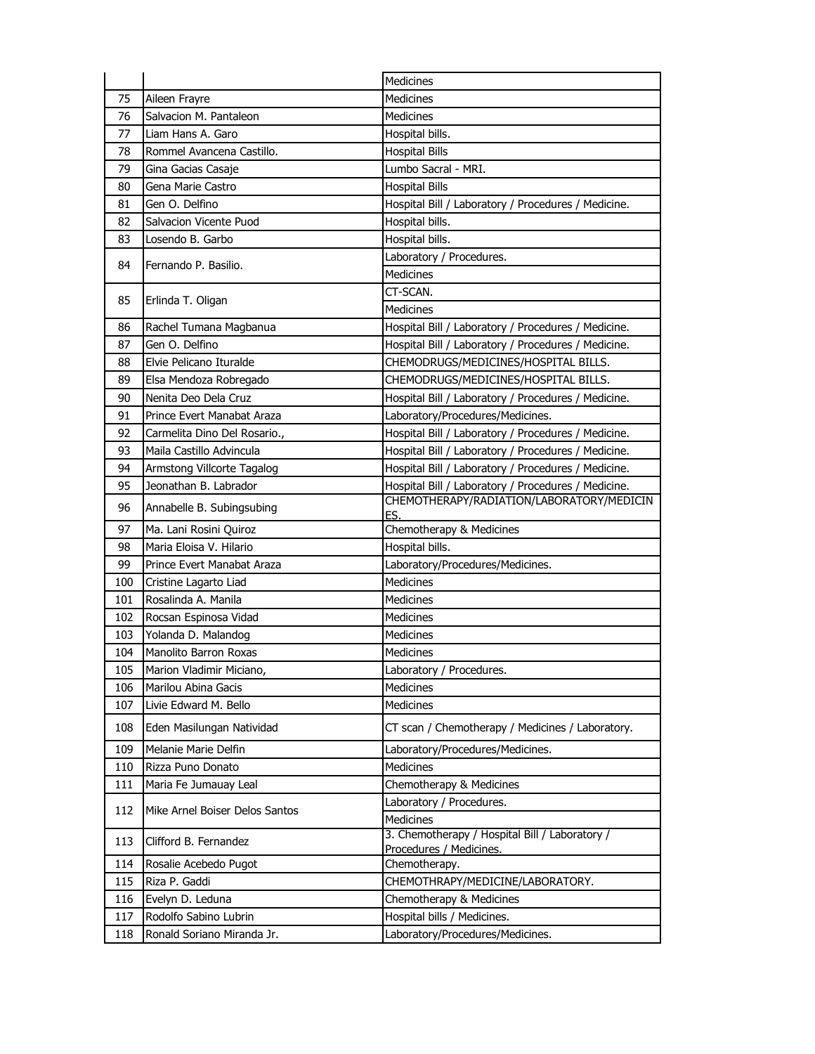|     |                                | Medicines                                                                 |
|-----|--------------------------------|---------------------------------------------------------------------------|
| 75  | Aileen Frayre                  | <b>Medicines</b>                                                          |
| 76  | Salvacion M. Pantaleon         | <b>Medicines</b>                                                          |
| 77  | Liam Hans A. Garo              | Hospital bills.                                                           |
| 78  | Rommel Avancena Castillo.      | <b>Hospital Bills</b>                                                     |
| 79  | Gina Gacias Casaje             | Lumbo Sacral - MRI.                                                       |
| 80  | Gena Marie Castro              | <b>Hospital Bills</b>                                                     |
| 81  | Gen O. Delfino                 | Hospital Bill / Laboratory / Procedures / Medicine.                       |
| 82  | Salvacion Vicente Puod         | Hospital bills.                                                           |
| 83  | Losendo B. Garbo               | Hospital bills.                                                           |
| 84  | Fernando P. Basilio.           | Laboratory / Procedures.                                                  |
|     |                                | <b>Medicines</b>                                                          |
| 85  | Erlinda T. Oligan              | CT-SCAN.                                                                  |
|     |                                | Medicines                                                                 |
| 86  | Rachel Tumana Magbanua         | Hospital Bill / Laboratory / Procedures / Medicine.                       |
| 87  | Gen O. Delfino                 | Hospital Bill / Laboratory / Procedures / Medicine.                       |
| 88  | Elvie Pelicano Ituralde        | CHEMODRUGS/MEDICINES/HOSPITAL BILLS.                                      |
| 89  | Elsa Mendoza Robregado         | CHEMODRUGS/MEDICINES/HOSPITAL BILLS.                                      |
| 90  | Nenita Deo Dela Cruz           | Hospital Bill / Laboratory / Procedures / Medicine.                       |
| 91  | Prince Evert Manabat Araza     | Laboratory/Procedures/Medicines.                                          |
| 92  | Carmelita Dino Del Rosario.,   | Hospital Bill / Laboratory / Procedures / Medicine.                       |
| 93  | Maila Castillo Advincula       | Hospital Bill / Laboratory / Procedures / Medicine.                       |
| 94  | Armstong Villcorte Tagalog     | Hospital Bill / Laboratory / Procedures / Medicine.                       |
| 95  | Jeonathan B. Labrador          | Hospital Bill / Laboratory / Procedures / Medicine.                       |
| 96  | Annabelle B. Subingsubing      | CHEMOTHERAPY/RADIATION/LABORATORY/MEDICIN<br>ES.                          |
| 97  | Ma. Lani Rosini Quiroz         | Chemotherapy & Medicines                                                  |
| 98  | Maria Eloisa V. Hilario        | Hospital bills.                                                           |
| 99  | Prince Evert Manabat Araza     | Laboratory/Procedures/Medicines.                                          |
| 100 | Cristine Lagarto Liad          | Medicines                                                                 |
| 101 | Rosalinda A. Manila            | Medicines                                                                 |
| 102 | Rocsan Espinosa Vidad          | Medicines                                                                 |
| 103 | Yolanda D. Malandog            | <b>Medicines</b>                                                          |
| 104 | Manolito Barron Roxas          | Medicines                                                                 |
| 105 | Marion Vladimir Miciano,       | Laboratory / Procedures.                                                  |
| 106 | Marilou Abina Gacis            | Medicines                                                                 |
| 107 | Livie Edward M. Bello          | Medicines                                                                 |
| 108 | Eden Masilungan Natividad      | CT scan / Chemotherapy / Medicines / Laboratory.                          |
| 109 | Melanie Marie Delfin           | Laboratory/Procedures/Medicines.                                          |
| 110 | Rizza Puno Donato              | <b>Medicines</b>                                                          |
| 111 | Maria Fe Jumauay Leal          | Chemotherapy & Medicines                                                  |
| 112 | Mike Arnel Boiser Delos Santos | Laboratory / Procedures.                                                  |
|     |                                | <b>Medicines</b>                                                          |
| 113 | Clifford B. Fernandez          | 3. Chemotherapy / Hospital Bill / Laboratory /<br>Procedures / Medicines. |
| 114 | Rosalie Acebedo Pugot          | Chemotherapy.                                                             |
| 115 | Riza P. Gaddi                  | CHEMOTHRAPY/MEDICINE/LABORATORY.                                          |
| 116 | Evelyn D. Leduna               | Chemotherapy & Medicines                                                  |
| 117 | Rodolfo Sabino Lubrin          | Hospital bills / Medicines.                                               |
| 118 | Ronald Soriano Miranda Jr.     | Laboratory/Procedures/Medicines.                                          |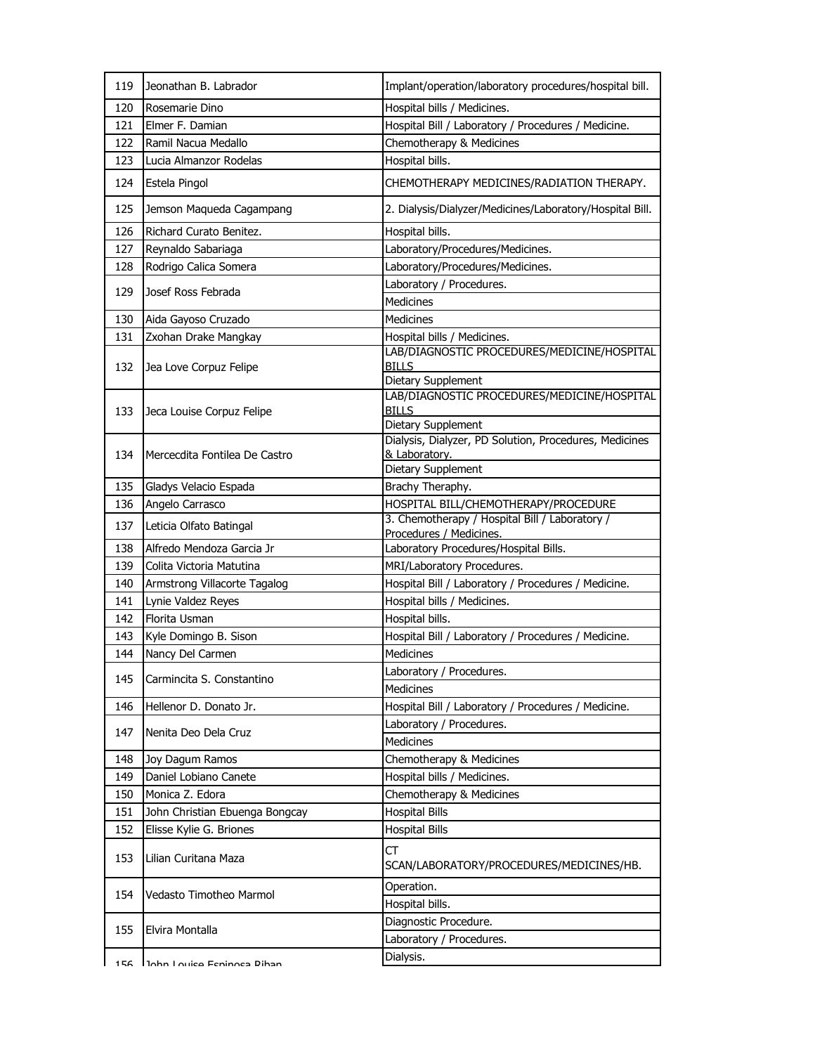| 119        | Jeonathan B. Labrador                  | Implant/operation/laboratory procedures/hospital bill.                          |
|------------|----------------------------------------|---------------------------------------------------------------------------------|
|            |                                        |                                                                                 |
| 120        | Rosemarie Dino                         | Hospital bills / Medicines.                                                     |
| 121        | Elmer F. Damian<br>Ramil Nacua Medallo | Hospital Bill / Laboratory / Procedures / Medicine.<br>Chemotherapy & Medicines |
| 122<br>123 | Lucia Almanzor Rodelas                 | Hospital bills.                                                                 |
|            |                                        |                                                                                 |
| 124        | Estela Pingol                          | CHEMOTHERAPY MEDICINES/RADIATION THERAPY.                                       |
| 125        | Jemson Maqueda Cagampang               | 2. Dialysis/Dialyzer/Medicines/Laboratory/Hospital Bill.                        |
| 126        | Richard Curato Benitez.                | Hospital bills.                                                                 |
| 127        | Reynaldo Sabariaga                     | Laboratory/Procedures/Medicines.                                                |
| 128        | Rodrigo Calica Somera                  | Laboratory/Procedures/Medicines.                                                |
| 129        | Josef Ross Febrada                     | Laboratory / Procedures.                                                        |
|            |                                        | <b>Medicines</b>                                                                |
| 130        | Aida Gayoso Cruzado                    | <b>Medicines</b>                                                                |
| 131        | Zxohan Drake Mangkay                   | Hospital bills / Medicines.                                                     |
| 132        | Jea Love Corpuz Felipe                 | LAB/DIAGNOSTIC PROCEDURES/MEDICINE/HOSPITAL<br><b>BILLS</b>                     |
|            |                                        | Dietary Supplement                                                              |
|            |                                        | LAB/DIAGNOSTIC PROCEDURES/MEDICINE/HOSPITAL                                     |
| 133        | Jeca Louise Corpuz Felipe              | <b>BILLS</b>                                                                    |
|            |                                        | Dietary Supplement                                                              |
|            |                                        | Dialysis, Dialyzer, PD Solution, Procedures, Medicines<br>& Laboratory.         |
| 134        | Mercecdita Fontilea De Castro          | Dietary Supplement                                                              |
| 135        | Gladys Velacio Espada                  | Brachy Theraphy.                                                                |
| 136        | Angelo Carrasco                        | HOSPITAL BILL/CHEMOTHERAPY/PROCEDURE                                            |
| 137        | Leticia Olfato Batingal                | 3. Chemotherapy / Hospital Bill / Laboratory /                                  |
|            |                                        | Procedures / Medicines.                                                         |
| 138        | Alfredo Mendoza Garcia Jr              | Laboratory Procedures/Hospital Bills.                                           |
| 139        | Colita Victoria Matutina               | MRI/Laboratory Procedures.                                                      |
| 140        | Armstrong Villacorte Tagalog           | Hospital Bill / Laboratory / Procedures / Medicine.                             |
| 141        | Lynie Valdez Reyes                     | Hospital bills / Medicines.                                                     |
| 142        | Florita Usman                          | Hospital bills.                                                                 |
| 143        | Kyle Domingo B. Sison                  | Hospital Bill / Laboratory / Procedures / Medicine.                             |
| 144        | Nancy Del Carmen                       | Medicines                                                                       |
| 145        | Carmincita S. Constantino              | Laboratory / Procedures.                                                        |
| 146        | Hellenor D. Donato Jr.                 | Medicines<br>Hospital Bill / Laboratory / Procedures / Medicine.                |
|            |                                        | Laboratory / Procedures.                                                        |
| 147        | Nenita Deo Dela Cruz                   | Medicines                                                                       |
| 148        | Joy Dagum Ramos                        | Chemotherapy & Medicines                                                        |
| 149        | Daniel Lobiano Canete                  | Hospital bills / Medicines.                                                     |
| 150        | Monica Z. Edora                        | Chemotherapy & Medicines                                                        |
| 151        | John Christian Ebuenga Bongcay         | <b>Hospital Bills</b>                                                           |
| 152        | Elisse Kylie G. Briones                | <b>Hospital Bills</b>                                                           |
| 153        | Lilian Curitana Maza                   | СT<br>SCAN/LABORATORY/PROCEDURES/MEDICINES/HB.                                  |
|            |                                        | Operation.                                                                      |
| 154        | Vedasto Timotheo Marmol                | Hospital bills.                                                                 |
|            |                                        | Diagnostic Procedure.                                                           |
| 155        | Elvira Montalla                        | Laboratory / Procedures.                                                        |
|            |                                        | Dialysis.                                                                       |
| 156        | lahn Louice Feninosa Rihan             |                                                                                 |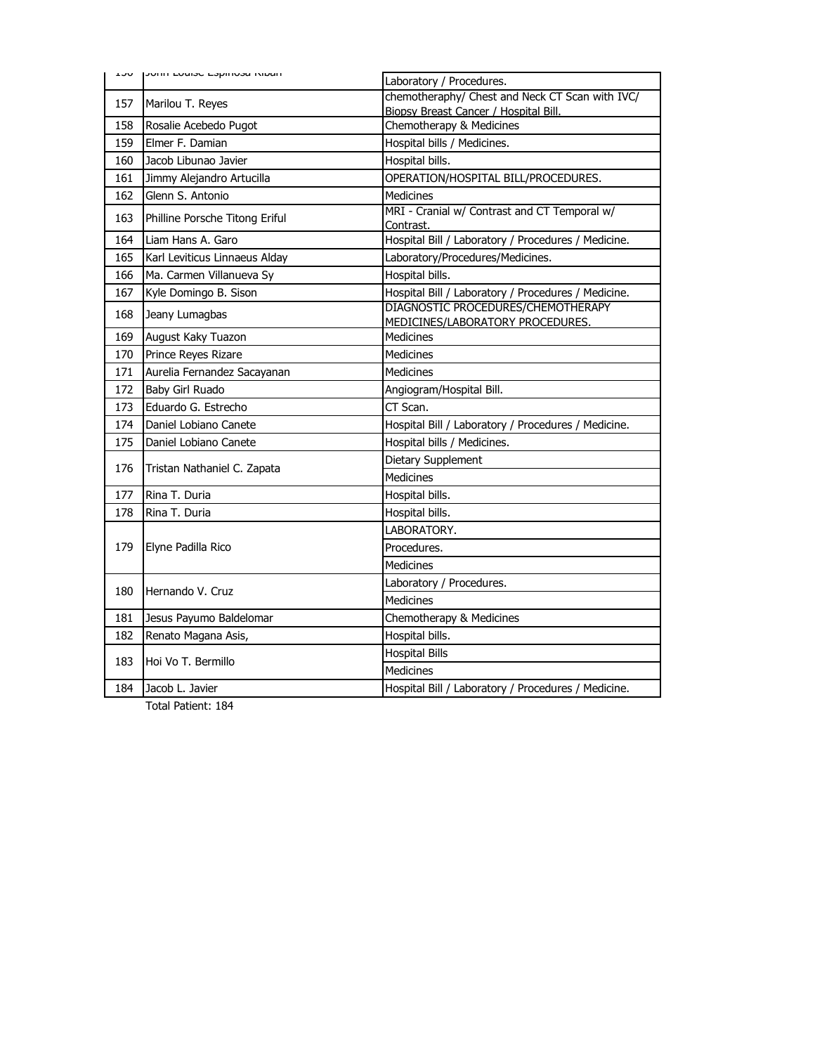|     | The International community of the | Laboratory / Procedures.                                               |
|-----|------------------------------------|------------------------------------------------------------------------|
| 157 | Marilou T. Reyes                   | chemotheraphy/ Chest and Neck CT Scan with IVC/                        |
| 158 | Rosalie Acebedo Pugot              | Biopsy Breast Cancer / Hospital Bill.<br>Chemotherapy & Medicines      |
| 159 | Elmer F. Damian                    | Hospital bills / Medicines.                                            |
| 160 | Jacob Libunao Javier               | Hospital bills.                                                        |
| 161 | Jimmy Alejandro Artucilla          | OPERATION/HOSPITAL BILL/PROCEDURES.                                    |
| 162 | Glenn S. Antonio                   | <b>Medicines</b>                                                       |
| 163 | Philline Porsche Titong Eriful     | MRI - Cranial w/ Contrast and CT Temporal w/<br>Contrast.              |
| 164 | Liam Hans A. Garo                  | Hospital Bill / Laboratory / Procedures / Medicine.                    |
| 165 | Karl Leviticus Linnaeus Alday      | Laboratory/Procedures/Medicines.                                       |
| 166 | Ma. Carmen Villanueva Sy           | Hospital bills.                                                        |
| 167 | Kyle Domingo B. Sison              | Hospital Bill / Laboratory / Procedures / Medicine.                    |
| 168 | Jeany Lumagbas                     | DIAGNOSTIC PROCEDURES/CHEMOTHERAPY<br>MEDICINES/LABORATORY PROCEDURES. |
| 169 | August Kaky Tuazon                 | <b>Medicines</b>                                                       |
| 170 | Prince Reyes Rizare                | <b>Medicines</b>                                                       |
| 171 | Aurelia Fernandez Sacayanan        | <b>Medicines</b>                                                       |
| 172 | Baby Girl Ruado                    | Angiogram/Hospital Bill.                                               |
| 173 | Eduardo G. Estrecho                | CT Scan.                                                               |
| 174 | Daniel Lobiano Canete              | Hospital Bill / Laboratory / Procedures / Medicine.                    |
| 175 | Daniel Lobiano Canete              | Hospital bills / Medicines.                                            |
| 176 | Tristan Nathaniel C. Zapata        | Dietary Supplement                                                     |
|     |                                    | Medicines                                                              |
| 177 | Rina T. Duria                      | Hospital bills.                                                        |
| 178 | Rina T. Duria                      | Hospital bills.                                                        |
|     |                                    | LABORATORY.                                                            |
| 179 | Elyne Padilla Rico                 | Procedures.                                                            |
|     |                                    | <b>Medicines</b>                                                       |
| 180 | Hernando V. Cruz                   | Laboratory / Procedures.                                               |
|     |                                    | <b>Medicines</b>                                                       |
| 181 | Jesus Payumo Baldelomar            | Chemotherapy & Medicines                                               |
| 182 | Renato Magana Asis,                | Hospital bills.                                                        |
| 183 | Hoi Vo T. Bermillo                 | <b>Hospital Bills</b>                                                  |
|     |                                    | <b>Medicines</b>                                                       |
| 184 | Jacob L. Javier                    | Hospital Bill / Laboratory / Procedures / Medicine.                    |
|     |                                    |                                                                        |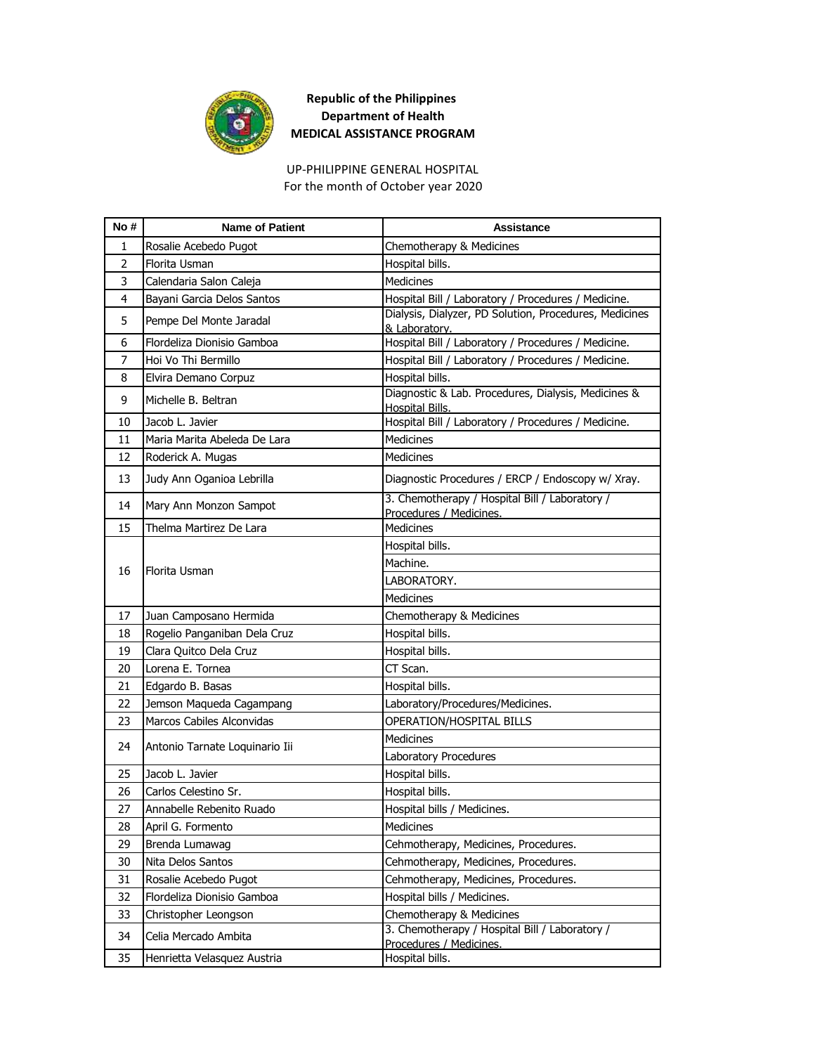

UP-PHILIPPINE GENERAL HOSPITAL For the month of October year 2020

| No #           | <b>Name of Patient</b>         | <b>Assistance</b>                                                         |
|----------------|--------------------------------|---------------------------------------------------------------------------|
| $\mathbf{1}$   | Rosalie Acebedo Pugot          | Chemotherapy & Medicines                                                  |
| $\overline{2}$ | Florita Usman                  | Hospital bills.                                                           |
| 3              | Calendaria Salon Caleja        | <b>Medicines</b>                                                          |
| 4              | Bayani Garcia Delos Santos     | Hospital Bill / Laboratory / Procedures / Medicine.                       |
| 5              | Pempe Del Monte Jaradal        | Dialysis, Dialyzer, PD Solution, Procedures, Medicines<br>& Laboratory.   |
| 6              | Flordeliza Dionisio Gamboa     | Hospital Bill / Laboratory / Procedures / Medicine.                       |
| 7              | Hoi Vo Thi Bermillo            | Hospital Bill / Laboratory / Procedures / Medicine.                       |
| 8              | Elvira Demano Corpuz           | Hospital bills.                                                           |
| 9              | Michelle B. Beltran            | Diagnostic & Lab. Procedures, Dialysis, Medicines &<br>Hospital Bills.    |
| 10             | Jacob L. Javier                | Hospital Bill / Laboratory / Procedures / Medicine.                       |
| 11             | Maria Marita Abeleda De Lara   | <b>Medicines</b>                                                          |
| 12             | Roderick A. Mugas              | <b>Medicines</b>                                                          |
| 13             | Judy Ann Oganioa Lebrilla      | Diagnostic Procedures / ERCP / Endoscopy w/ Xray.                         |
| 14             | Mary Ann Monzon Sampot         | 3. Chemotherapy / Hospital Bill / Laboratory /<br>Procedures / Medicines. |
| 15             | Thelma Martirez De Lara        | <b>Medicines</b>                                                          |
|                | Florita Usman                  | Hospital bills.                                                           |
| 16             |                                | Machine.                                                                  |
|                |                                | LABORATORY.                                                               |
|                |                                | <b>Medicines</b>                                                          |
| 17             | Juan Camposano Hermida         | Chemotherapy & Medicines                                                  |
| 18             | Rogelio Panganiban Dela Cruz   | Hospital bills.                                                           |
| 19             | Clara Quitco Dela Cruz         | Hospital bills.                                                           |
| 20             | Lorena E. Tornea               | CT Scan.                                                                  |
| 21             | Edgardo B. Basas               | Hospital bills.                                                           |
| 22             | Jemson Maqueda Cagampang       | Laboratory/Procedures/Medicines.                                          |
| 23             | Marcos Cabiles Alconvidas      | OPERATION/HOSPITAL BILLS                                                  |
| 24             | Antonio Tarnate Loquinario Iii | <b>Medicines</b>                                                          |
|                |                                | Laboratory Procedures                                                     |
| 25             | Jacob L. Javier                | Hospital bills.                                                           |
| 26             | Carlos Celestino Sr.           | Hospital bills.                                                           |
| 27             | Annabelle Rebenito Ruado       | Hospital bills / Medicines.                                               |
| 28             | April G. Formento              | Medicines                                                                 |
| 29             | Brenda Lumawag                 | Cehmotherapy, Medicines, Procedures.                                      |
| 30             | Nita Delos Santos              | Cehmotherapy, Medicines, Procedures.                                      |
| 31             | Rosalie Acebedo Pugot          | Cehmotherapy, Medicines, Procedures.                                      |
| 32             | Flordeliza Dionisio Gamboa     | Hospital bills / Medicines.                                               |
| 33             | Christopher Leongson           | Chemotherapy & Medicines                                                  |
| 34             | Celia Mercado Ambita           | 3. Chemotherapy / Hospital Bill / Laboratory /<br>Procedures / Medicines. |
| 35             | Henrietta Velasquez Austria    | Hospital bills.                                                           |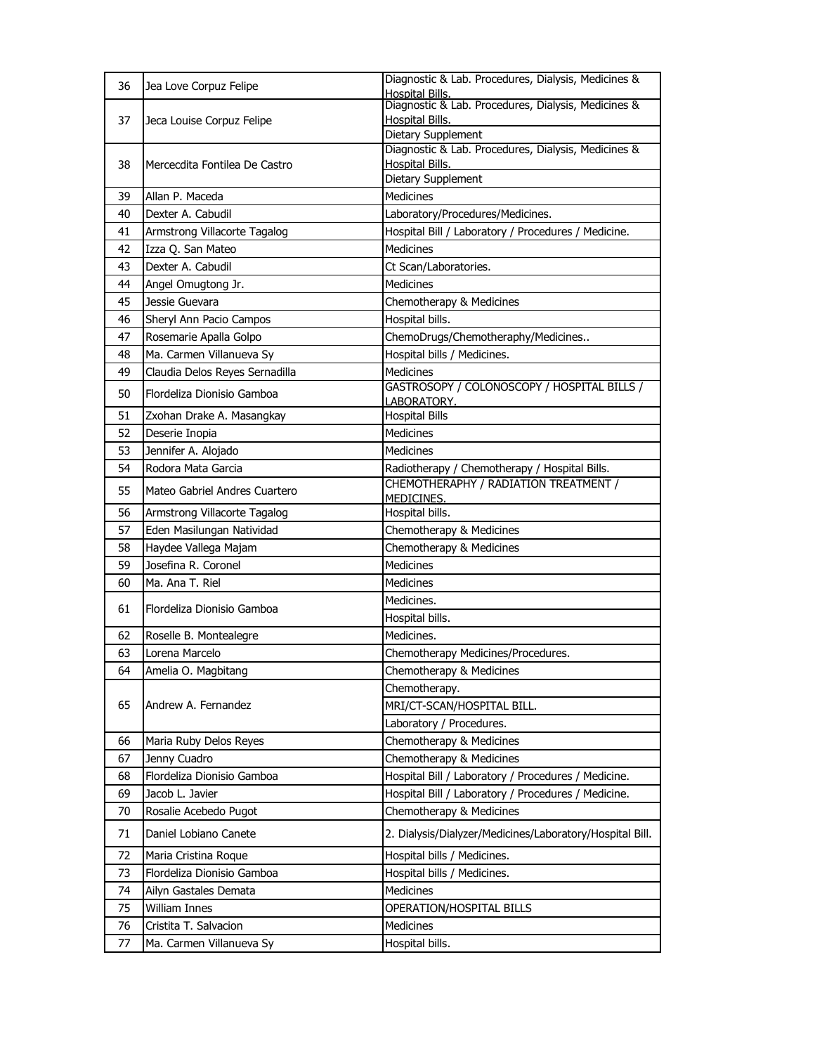| 36 | Jea Love Corpuz Felipe         | Diagnostic & Lab. Procedures, Dialysis, Medicines &<br><b>Hospital Bills.</b> |
|----|--------------------------------|-------------------------------------------------------------------------------|
| 37 |                                | Diagnostic & Lab. Procedures, Dialysis, Medicines &<br><b>Hospital Bills.</b> |
|    | Jeca Louise Corpuz Felipe      | Dietary Supplement                                                            |
|    |                                | Diagnostic & Lab. Procedures, Dialysis, Medicines &<br>Hospital Bills.        |
| 38 | Mercecdita Fontilea De Castro  | Dietary Supplement                                                            |
| 39 | Allan P. Maceda                | <b>Medicines</b>                                                              |
| 40 | Dexter A. Cabudil              | Laboratory/Procedures/Medicines.                                              |
| 41 | Armstrong Villacorte Tagalog   | Hospital Bill / Laboratory / Procedures / Medicine.                           |
| 42 | Izza Q. San Mateo              | <b>Medicines</b>                                                              |
| 43 | Dexter A. Cabudil              | Ct Scan/Laboratories.                                                         |
| 44 | Angel Omugtong Jr.             | <b>Medicines</b>                                                              |
| 45 | Jessie Guevara                 | Chemotherapy & Medicines                                                      |
| 46 | Sheryl Ann Pacio Campos        | Hospital bills.                                                               |
| 47 | Rosemarie Apalla Golpo         | ChemoDrugs/Chemotheraphy/Medicines                                            |
| 48 | Ma. Carmen Villanueva Sy       | Hospital bills / Medicines.                                                   |
| 49 | Claudia Delos Reyes Sernadilla | <b>Medicines</b>                                                              |
|    | Flordeliza Dionisio Gamboa     | GASTROSOPY / COLONOSCOPY / HOSPITAL BILLS /                                   |
| 50 |                                | LABORATORY.                                                                   |
| 51 | Zxohan Drake A. Masangkay      | <b>Hospital Bills</b>                                                         |
| 52 | Deserie Inopia                 | Medicines                                                                     |
| 53 | Jennifer A. Alojado            | <b>Medicines</b>                                                              |
| 54 | Rodora Mata Garcia             | Radiotherapy / Chemotherapy / Hospital Bills.                                 |
| 55 | Mateo Gabriel Andres Cuartero  | CHEMOTHERAPHY / RADIATION TREATMENT /<br>MEDICINES.                           |
| 56 | Armstrong Villacorte Tagalog   | Hospital bills.                                                               |
| 57 | Eden Masilungan Natividad      | Chemotherapy & Medicines                                                      |
| 58 | Haydee Vallega Majam           | Chemotherapy & Medicines                                                      |
| 59 | Josefina R. Coronel            | <b>Medicines</b>                                                              |
| 60 | Ma. Ana T. Riel                | Medicines                                                                     |
| 61 | Flordeliza Dionisio Gamboa     | Medicines.                                                                    |
|    |                                | Hospital bills.                                                               |
| 62 | Roselle B. Montealegre         | Medicines.                                                                    |
| 63 | Lorena Marcelo                 | Chemotherapy Medicines/Procedures.                                            |
| 64 | Amelia O. Magbitang            | Chemotherapy & Medicines                                                      |
|    |                                | Chemotherapy.                                                                 |
| 65 | Andrew A. Fernandez            | MRI/CT-SCAN/HOSPITAL BILL.                                                    |
|    |                                | Laboratory / Procedures.                                                      |
| 66 | Maria Ruby Delos Reyes         | Chemotherapy & Medicines                                                      |
| 67 | Jenny Cuadro                   | Chemotherapy & Medicines                                                      |
| 68 | Flordeliza Dionisio Gamboa     | Hospital Bill / Laboratory / Procedures / Medicine.                           |
| 69 | Jacob L. Javier                | Hospital Bill / Laboratory / Procedures / Medicine.                           |
| 70 | Rosalie Acebedo Pugot          | Chemotherapy & Medicines                                                      |
| 71 | Daniel Lobiano Canete          | 2. Dialysis/Dialyzer/Medicines/Laboratory/Hospital Bill.                      |
| 72 | Maria Cristina Roque           | Hospital bills / Medicines.                                                   |
| 73 | Flordeliza Dionisio Gamboa     | Hospital bills / Medicines.                                                   |
| 74 | Ailyn Gastales Demata          | <b>Medicines</b>                                                              |
| 75 | <b>William Innes</b>           | OPERATION/HOSPITAL BILLS                                                      |
| 76 | Cristita T. Salvacion          | Medicines                                                                     |
| 77 | Ma. Carmen Villanueva Sy       | Hospital bills.                                                               |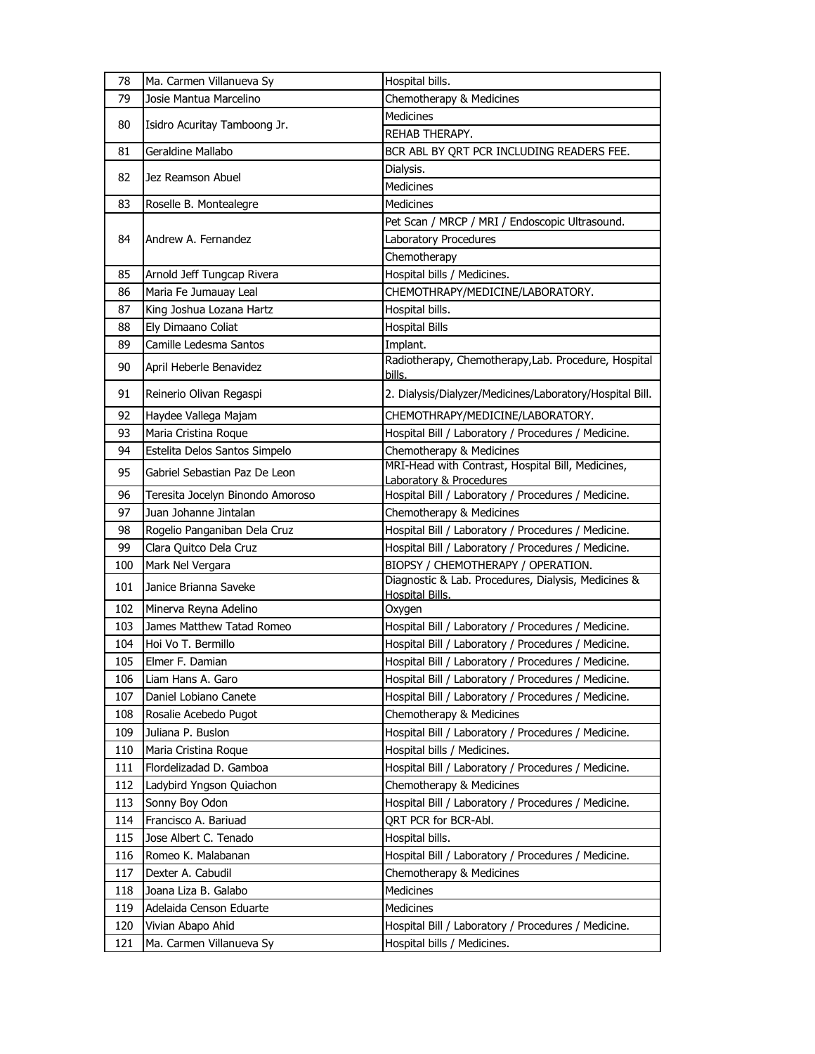| 78  | Ma. Carmen Villanueva Sy         | Hospital bills.                                                              |
|-----|----------------------------------|------------------------------------------------------------------------------|
| 79  | Josie Mantua Marcelino           | Chemotherapy & Medicines                                                     |
|     |                                  | <b>Medicines</b>                                                             |
| 80  | Isidro Acuritay Tamboong Jr.     | REHAB THERAPY.                                                               |
| 81  | Geraldine Mallabo                | BCR ABL BY QRT PCR INCLUDING READERS FEE.                                    |
|     |                                  | Dialysis.                                                                    |
| 82  | Jez Reamson Abuel                | <b>Medicines</b>                                                             |
| 83  | Roselle B. Montealegre           | <b>Medicines</b>                                                             |
|     |                                  | Pet Scan / MRCP / MRI / Endoscopic Ultrasound.                               |
| 84  | Andrew A. Fernandez              | Laboratory Procedures                                                        |
|     |                                  | Chemotherapy                                                                 |
| 85  | Arnold Jeff Tungcap Rivera       | Hospital bills / Medicines.                                                  |
| 86  | Maria Fe Jumauay Leal            | CHEMOTHRAPY/MEDICINE/LABORATORY.                                             |
| 87  | King Joshua Lozana Hartz         | Hospital bills.                                                              |
| 88  | Ely Dimaano Coliat               | <b>Hospital Bills</b>                                                        |
| 89  | Camille Ledesma Santos           | Implant.                                                                     |
|     |                                  | Radiotherapy, Chemotherapy, Lab. Procedure, Hospital                         |
| 90  | April Heberle Benavidez          | bills.                                                                       |
| 91  | Reinerio Olivan Regaspi          | 2. Dialysis/Dialyzer/Medicines/Laboratory/Hospital Bill.                     |
| 92  | Haydee Vallega Majam             | CHEMOTHRAPY/MEDICINE/LABORATORY.                                             |
| 93  | Maria Cristina Roque             | Hospital Bill / Laboratory / Procedures / Medicine.                          |
| 94  | Estelita Delos Santos Simpelo    | Chemotherapy & Medicines                                                     |
| 95  | Gabriel Sebastian Paz De Leon    | MRI-Head with Contrast, Hospital Bill, Medicines,<br>Laboratory & Procedures |
| 96  | Teresita Jocelyn Binondo Amoroso | Hospital Bill / Laboratory / Procedures / Medicine.                          |
| 97  | Juan Johanne Jintalan            | Chemotherapy & Medicines                                                     |
| 98  | Rogelio Panganiban Dela Cruz     | Hospital Bill / Laboratory / Procedures / Medicine.                          |
| 99  | Clara Quitco Dela Cruz           | Hospital Bill / Laboratory / Procedures / Medicine.                          |
| 100 | Mark Nel Vergara                 | BIOPSY / CHEMOTHERAPY / OPERATION.                                           |
| 101 | Janice Brianna Saveke            | Diagnostic & Lab. Procedures, Dialysis, Medicines &                          |
|     |                                  | Hospital Bills.                                                              |
| 102 | Minerva Reyna Adelino            | Oxygen                                                                       |
| 103 | James Matthew Tatad Romeo        | Hospital Bill / Laboratory / Procedures / Medicine.                          |
| 104 | Hoi Vo T. Bermillo               | Hospital Bill / Laboratory / Procedures / Medicine.                          |
| 105 | Elmer F. Damian                  | Hospital Bill / Laboratory / Procedures / Medicine.                          |
| 106 | Liam Hans A. Garo                | Hospital Bill / Laboratory / Procedures / Medicine.                          |
| 107 | Daniel Lobiano Canete            | Hospital Bill / Laboratory / Procedures / Medicine.                          |
| 108 | Rosalie Acebedo Pugot            | Chemotherapy & Medicines                                                     |
| 109 | Juliana P. Buslon                | Hospital Bill / Laboratory / Procedures / Medicine.                          |
| 110 | Maria Cristina Roque             | Hospital bills / Medicines.                                                  |
| 111 | Flordelizadad D. Gamboa          | Hospital Bill / Laboratory / Procedures / Medicine.                          |
| 112 | Ladybird Yngson Quiachon         | Chemotherapy & Medicines                                                     |
| 113 | Sonny Boy Odon                   | Hospital Bill / Laboratory / Procedures / Medicine.                          |
| 114 | Francisco A. Bariuad             | QRT PCR for BCR-Abl.                                                         |
| 115 | Jose Albert C. Tenado            | Hospital bills.                                                              |
| 116 | Romeo K. Malabanan               | Hospital Bill / Laboratory / Procedures / Medicine.                          |
| 117 | Dexter A. Cabudil                | Chemotherapy & Medicines                                                     |
| 118 | Joana Liza B. Galabo             | Medicines                                                                    |
| 119 | Adelaida Censon Eduarte          | Medicines                                                                    |
| 120 | Vivian Abapo Ahid                | Hospital Bill / Laboratory / Procedures / Medicine.                          |
| 121 | Ma. Carmen Villanueva Sy         | Hospital bills / Medicines.                                                  |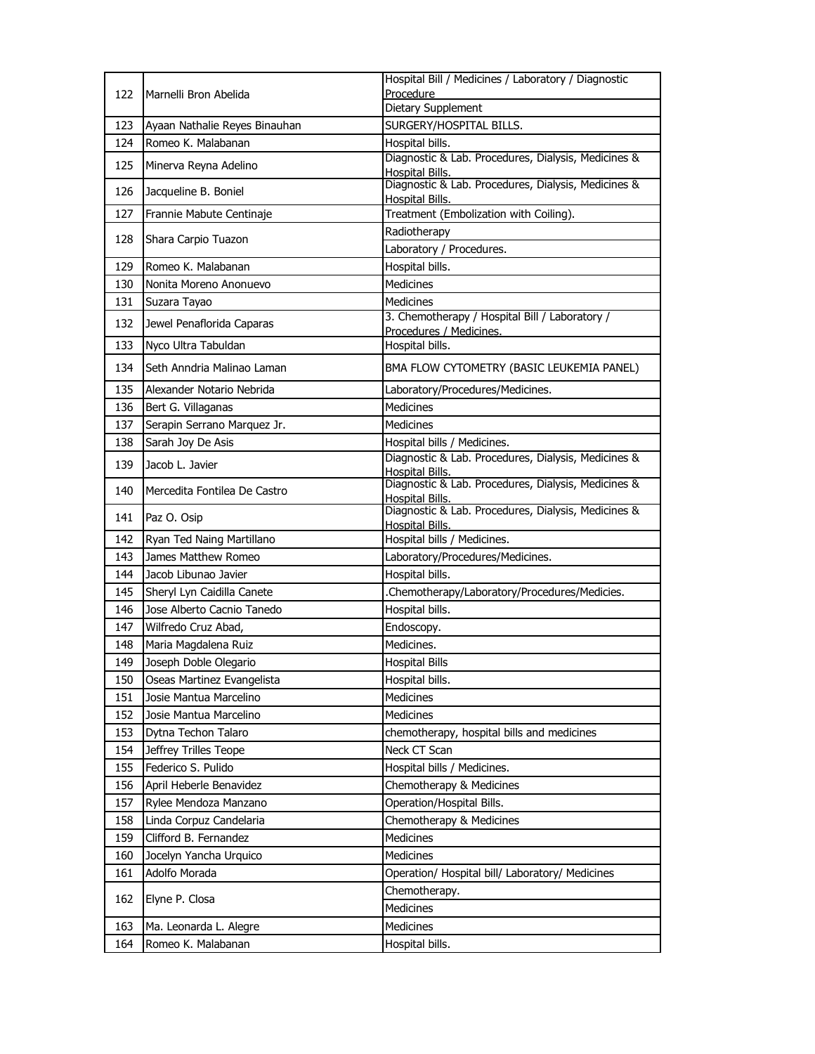| 122 | Marnelli Bron Abelida         | Hospital Bill / Medicines / Laboratory / Diagnostic                                              |
|-----|-------------------------------|--------------------------------------------------------------------------------------------------|
|     |                               | Procedure                                                                                        |
|     |                               | Dietary Supplement                                                                               |
| 123 | Ayaan Nathalie Reyes Binauhan | SURGERY/HOSPITAL BILLS.                                                                          |
| 124 | Romeo K. Malabanan            | Hospital bills.                                                                                  |
| 125 | Minerva Reyna Adelino         | Diagnostic & Lab. Procedures, Dialysis, Medicines &<br>Hospital Bills.                           |
| 126 | Jacqueline B. Boniel          | Diagnostic & Lab. Procedures, Dialysis, Medicines &<br><b>Hospital Bills.</b>                    |
| 127 | Frannie Mabute Centinaje      | Treatment (Embolization with Coiling).                                                           |
|     |                               | Radiotherapy                                                                                     |
| 128 | Shara Carpio Tuazon           | Laboratory / Procedures.                                                                         |
| 129 | Romeo K. Malabanan            | Hospital bills.                                                                                  |
| 130 | Nonita Moreno Anonuevo        | <b>Medicines</b>                                                                                 |
| 131 | Suzara Tayao                  | Medicines                                                                                        |
| 132 | Jewel Penaflorida Caparas     | 3. Chemotherapy / Hospital Bill / Laboratory /<br>Procedures / Medicines.                        |
| 133 | Nyco Ultra Tabuldan           | Hospital bills.                                                                                  |
| 134 | Seth Anndria Malinao Laman    | BMA FLOW CYTOMETRY (BASIC LEUKEMIA PANEL)                                                        |
| 135 | Alexander Notario Nebrida     | Laboratory/Procedures/Medicines.                                                                 |
| 136 | Bert G. Villaganas            | <b>Medicines</b>                                                                                 |
| 137 | Serapin Serrano Marquez Jr.   | Medicines                                                                                        |
| 138 | Sarah Joy De Asis             | Hospital bills / Medicines.                                                                      |
| 139 | Jacob L. Javier               | Diagnostic & Lab. Procedures, Dialysis, Medicines &                                              |
| 140 | Mercedita Fontilea De Castro  | <b>Hospital Bills.</b><br>Diagnostic & Lab. Procedures, Dialysis, Medicines &<br>Hospital Bills. |
| 141 | Paz O. Osip                   | Diagnostic & Lab. Procedures, Dialysis, Medicines &                                              |
| 142 | Ryan Ted Naing Martillano     | <b>Hospital Bills.</b><br>Hospital bills / Medicines.                                            |
| 143 | James Matthew Romeo           | Laboratory/Procedures/Medicines.                                                                 |
| 144 | Jacob Libunao Javier          | Hospital bills.                                                                                  |
| 145 | Sheryl Lyn Caidilla Canete    | .Chemotherapy/Laboratory/Procedures/Medicies.                                                    |
| 146 | Jose Alberto Cacnio Tanedo    | Hospital bills.                                                                                  |
| 147 | Wilfredo Cruz Abad,           | Endoscopy.                                                                                       |
| 148 | Maria Magdalena Ruiz          | Medicines.                                                                                       |
| 149 | Joseph Doble Olegario         | <b>Hospital Bills</b>                                                                            |
| 150 | Oseas Martinez Evangelista    | Hospital bills.                                                                                  |
| 151 | Josie Mantua Marcelino        | Medicines                                                                                        |
| 152 | Josie Mantua Marcelino        | Medicines                                                                                        |
| 153 | Dytna Techon Talaro           | chemotherapy, hospital bills and medicines                                                       |
| 154 | Jeffrey Trilles Teope         | Neck CT Scan                                                                                     |
| 155 | Federico S. Pulido            | Hospital bills / Medicines.                                                                      |
| 156 | April Heberle Benavidez       | Chemotherapy & Medicines                                                                         |
| 157 | Rylee Mendoza Manzano         | Operation/Hospital Bills.                                                                        |
| 158 | Linda Corpuz Candelaria       | Chemotherapy & Medicines                                                                         |
| 159 | Clifford B. Fernandez         | Medicines                                                                                        |
| 160 | Jocelyn Yancha Urquico        | <b>Medicines</b>                                                                                 |
| 161 | Adolfo Morada                 | Operation/ Hospital bill/ Laboratory/ Medicines                                                  |
|     |                               | Chemotherapy.                                                                                    |
| 162 | Elyne P. Closa                | Medicines                                                                                        |
| 163 | Ma. Leonarda L. Alegre        | Medicines                                                                                        |
| 164 | Romeo K. Malabanan            | Hospital bills.                                                                                  |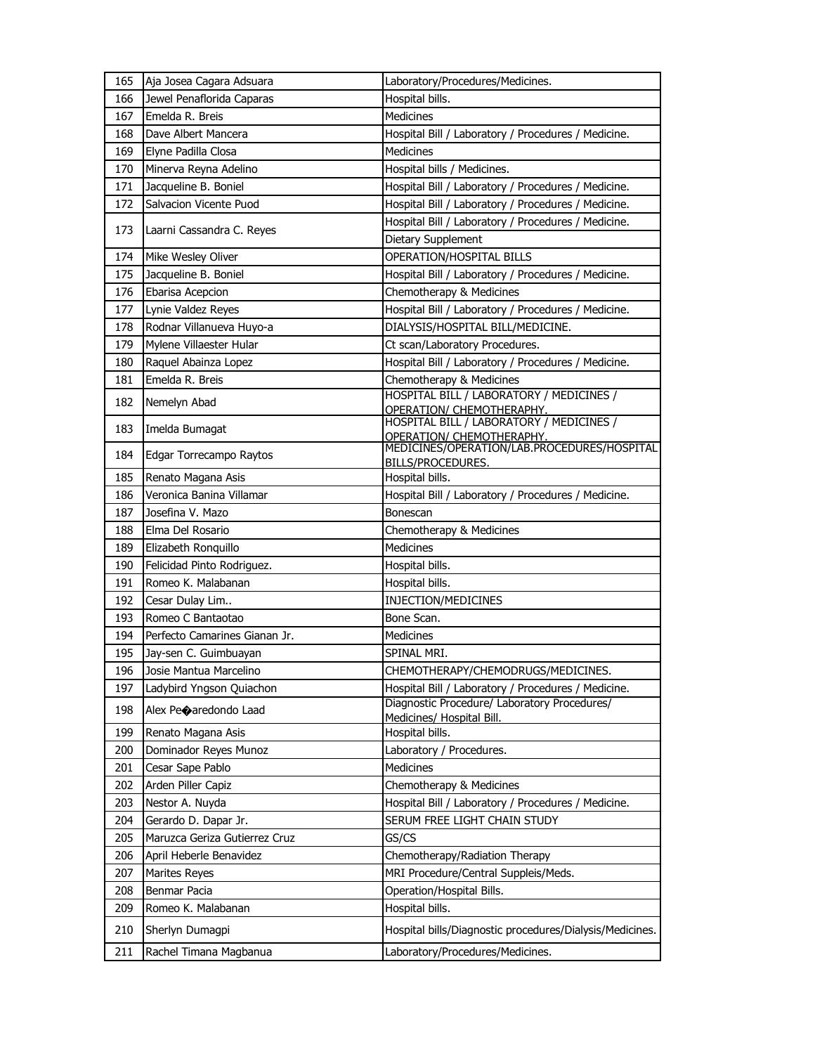| 165 | Aja Josea Cagara Adsuara         | Laboratory/Procedures/Medicines.                                         |
|-----|----------------------------------|--------------------------------------------------------------------------|
| 166 | Jewel Penaflorida Caparas        | Hospital bills.                                                          |
| 167 | Emelda R. Breis                  | <b>Medicines</b>                                                         |
| 168 | Dave Albert Mancera              | Hospital Bill / Laboratory / Procedures / Medicine.                      |
| 169 | Elyne Padilla Closa              | <b>Medicines</b>                                                         |
| 170 | Minerva Reyna Adelino            | Hospital bills / Medicines.                                              |
| 171 | Jacqueline B. Boniel             | Hospital Bill / Laboratory / Procedures / Medicine.                      |
| 172 | Salvacion Vicente Puod           | Hospital Bill / Laboratory / Procedures / Medicine.                      |
| 173 | Laarni Cassandra C. Reyes        | Hospital Bill / Laboratory / Procedures / Medicine.                      |
|     |                                  | Dietary Supplement                                                       |
| 174 | Mike Wesley Oliver               | OPERATION/HOSPITAL BILLS                                                 |
| 175 | Jacqueline B. Boniel             | Hospital Bill / Laboratory / Procedures / Medicine.                      |
| 176 | Ebarisa Acepcion                 | Chemotherapy & Medicines                                                 |
| 177 | Lynie Valdez Reyes               | Hospital Bill / Laboratory / Procedures / Medicine.                      |
| 178 | Rodnar Villanueva Huyo-a         | DIALYSIS/HOSPITAL BILL/MEDICINE.                                         |
| 179 | Mylene Villaester Hular          | Ct scan/Laboratory Procedures.                                           |
| 180 | Raquel Abainza Lopez             | Hospital Bill / Laboratory / Procedures / Medicine.                      |
| 181 | Emelda R. Breis                  | Chemotherapy & Medicines                                                 |
| 182 | Nemelyn Abad                     | HOSPITAL BILL / LABORATORY / MEDICINES /                                 |
|     |                                  | OPERATION/ CHEMOTHERAPHY.<br>HOSPITAL BILL / LABORATORY / MEDICINES /    |
| 183 | Imelda Bumagat                   | OPERATION/ CHEMOTHERAPHY.<br>MEDICINES/OPERATION/LAB.PROCEDURES/HOSPITAL |
| 184 | Edgar Torrecampo Raytos          |                                                                          |
| 185 | Renato Magana Asis               | BILLS/PROCEDURES.<br>Hospital bills.                                     |
| 186 | Veronica Banina Villamar         | Hospital Bill / Laboratory / Procedures / Medicine.                      |
| 187 | Josefina V. Mazo                 | <b>Bonescan</b>                                                          |
| 188 | Elma Del Rosario                 | Chemotherapy & Medicines                                                 |
| 189 | Elizabeth Ronquillo              | <b>Medicines</b>                                                         |
| 190 | Felicidad Pinto Rodriguez.       | Hospital bills.                                                          |
| 191 | Romeo K. Malabanan               | Hospital bills.                                                          |
| 192 | Cesar Dulay Lim                  | INJECTION/MEDICINES                                                      |
| 193 | Romeo C Bantaotao                | Bone Scan.                                                               |
| 194 | Perfecto Camarines Gianan Jr.    | <b>Medicines</b>                                                         |
| 195 | Jay-sen C. Guimbuayan            | SPINAL MRI.                                                              |
| 196 | Josie Mantua Marcelino           | CHEMOTHERAPY/CHEMODRUGS/MEDICINES.                                       |
| 197 | Ladybird Yngson Quiachon         | Hospital Bill / Laboratory / Procedures / Medicine.                      |
| 198 | Alex Pe $\bigcirc$ aredondo Laad | Diagnostic Procedure/ Laboratory Procedures/                             |
|     |                                  | Medicines/ Hospital Bill.                                                |
| 199 | Renato Magana Asis               | Hospital bills.                                                          |
| 200 | Dominador Reyes Munoz            | Laboratory / Procedures.                                                 |
| 201 | Cesar Sape Pablo                 | Medicines                                                                |
| 202 | Arden Piller Capiz               | Chemotherapy & Medicines                                                 |
| 203 | Nestor A. Nuyda                  | Hospital Bill / Laboratory / Procedures / Medicine.                      |
| 204 | Gerardo D. Dapar Jr.             | SERUM FREE LIGHT CHAIN STUDY                                             |
| 205 | Maruzca Geriza Gutierrez Cruz    | GS/CS                                                                    |
| 206 | April Heberle Benavidez          | Chemotherapy/Radiation Therapy                                           |
| 207 | Marites Reyes                    | MRI Procedure/Central Suppleis/Meds.                                     |
| 208 | Benmar Pacia                     | Operation/Hospital Bills.                                                |
| 209 | Romeo K. Malabanan               | Hospital bills.                                                          |
| 210 | Sherlyn Dumagpi                  | Hospital bills/Diagnostic procedures/Dialysis/Medicines.                 |
| 211 | Rachel Timana Magbanua           | Laboratory/Procedures/Medicines.                                         |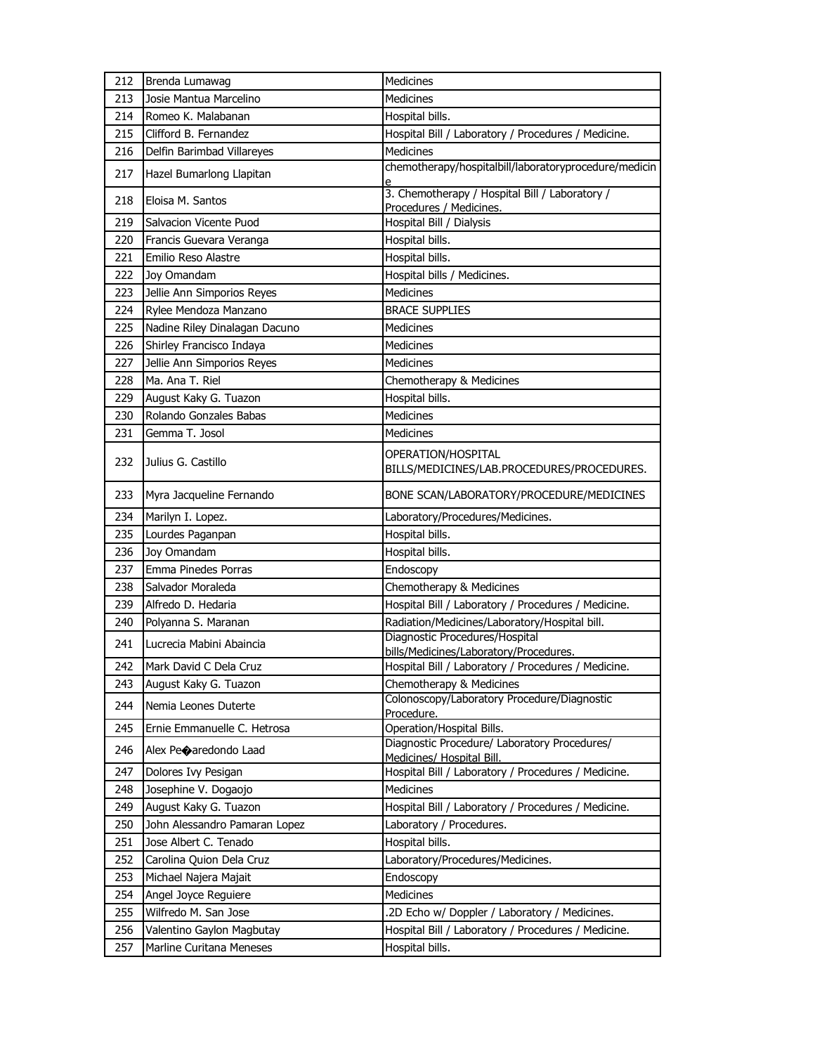| 212 | Brenda Lumawag                | <b>Medicines</b>                                                          |
|-----|-------------------------------|---------------------------------------------------------------------------|
| 213 | Josie Mantua Marcelino        | <b>Medicines</b>                                                          |
| 214 | Romeo K. Malabanan            | Hospital bills.                                                           |
| 215 | Clifford B. Fernandez         | Hospital Bill / Laboratory / Procedures / Medicine.                       |
| 216 | Delfin Barimbad Villareyes    | <b>Medicines</b>                                                          |
| 217 | Hazel Bumarlong Llapitan      | chemotherapy/hospitalbill/laboratoryprocedure/medicin                     |
| 218 | Eloisa M. Santos              | 3. Chemotherapy / Hospital Bill / Laboratory /<br>Procedures / Medicines. |
| 219 | Salvacion Vicente Puod        | Hospital Bill / Dialysis                                                  |
| 220 | Francis Guevara Veranga       | Hospital bills.                                                           |
| 221 | Emilio Reso Alastre           | Hospital bills.                                                           |
| 222 | Joy Omandam                   | Hospital bills / Medicines.                                               |
| 223 | Jellie Ann Simporios Reyes    | <b>Medicines</b>                                                          |
| 224 | Rylee Mendoza Manzano         | <b>BRACE SUPPLIES</b>                                                     |
| 225 | Nadine Riley Dinalagan Dacuno | <b>Medicines</b>                                                          |
| 226 | Shirley Francisco Indaya      | <b>Medicines</b>                                                          |
| 227 | Jellie Ann Simporios Reyes    | <b>Medicines</b>                                                          |
| 228 | Ma. Ana T. Riel               | Chemotherapy & Medicines                                                  |
| 229 | August Kaky G. Tuazon         | Hospital bills.                                                           |
| 230 | Rolando Gonzales Babas        | <b>Medicines</b>                                                          |
| 231 | Gemma T. Josol                | <b>Medicines</b>                                                          |
| 232 | Julius G. Castillo            | OPERATION/HOSPITAL<br>BILLS/MEDICINES/LAB.PROCEDURES/PROCEDURES.          |
| 233 | Myra Jacqueline Fernando      | BONE SCAN/LABORATORY/PROCEDURE/MEDICINES                                  |
| 234 | Marilyn I. Lopez.             | Laboratory/Procedures/Medicines.                                          |
| 235 | Lourdes Paganpan              | Hospital bills.                                                           |
| 236 | Joy Omandam                   | Hospital bills.                                                           |
| 237 | Emma Pinedes Porras           | Endoscopy                                                                 |
| 238 | Salvador Moraleda             | Chemotherapy & Medicines                                                  |
| 239 | Alfredo D. Hedaria            | Hospital Bill / Laboratory / Procedures / Medicine.                       |
| 240 | Polyanna S. Maranan           | Radiation/Medicines/Laboratory/Hospital bill.                             |
| 241 | Lucrecia Mabini Abaincia      | Diagnostic Procedures/Hospital<br>bills/Medicines/Laboratory/Procedures.  |
| 242 | Mark David C Dela Cruz        | Hospital Bill / Laboratory / Procedures / Medicine                        |
| 243 | August Kaky G. Tuazon         | Chemotherapy & Medicines                                                  |
| 244 | Nemia Leones Duterte          | Colonoscopy/Laboratory Procedure/Diagnostic<br>Procedure.                 |
| 245 | Ernie Emmanuelle C. Hetrosa   | Operation/Hospital Bills.                                                 |
| 246 | Alex Peoaredondo Laad         | Diagnostic Procedure/ Laboratory Procedures/<br>Medicines/ Hospital Bill. |
| 247 | Dolores Ivy Pesigan           | Hospital Bill / Laboratory / Procedures / Medicine.                       |
| 248 | Josephine V. Dogaojo          | Medicines                                                                 |
| 249 | August Kaky G. Tuazon         | Hospital Bill / Laboratory / Procedures / Medicine.                       |
| 250 | John Alessandro Pamaran Lopez | Laboratory / Procedures.                                                  |
| 251 | Jose Albert C. Tenado         | Hospital bills.                                                           |
| 252 | Carolina Quion Dela Cruz      | Laboratory/Procedures/Medicines.                                          |
| 253 | Michael Najera Majait         | Endoscopy                                                                 |
| 254 | Angel Joyce Reguiere          | Medicines                                                                 |
| 255 | Wilfredo M. San Jose          | .2D Echo w/ Doppler / Laboratory / Medicines.                             |
| 256 | Valentino Gaylon Magbutay     | Hospital Bill / Laboratory / Procedures / Medicine.                       |
| 257 | Marline Curitana Meneses      | Hospital bills.                                                           |